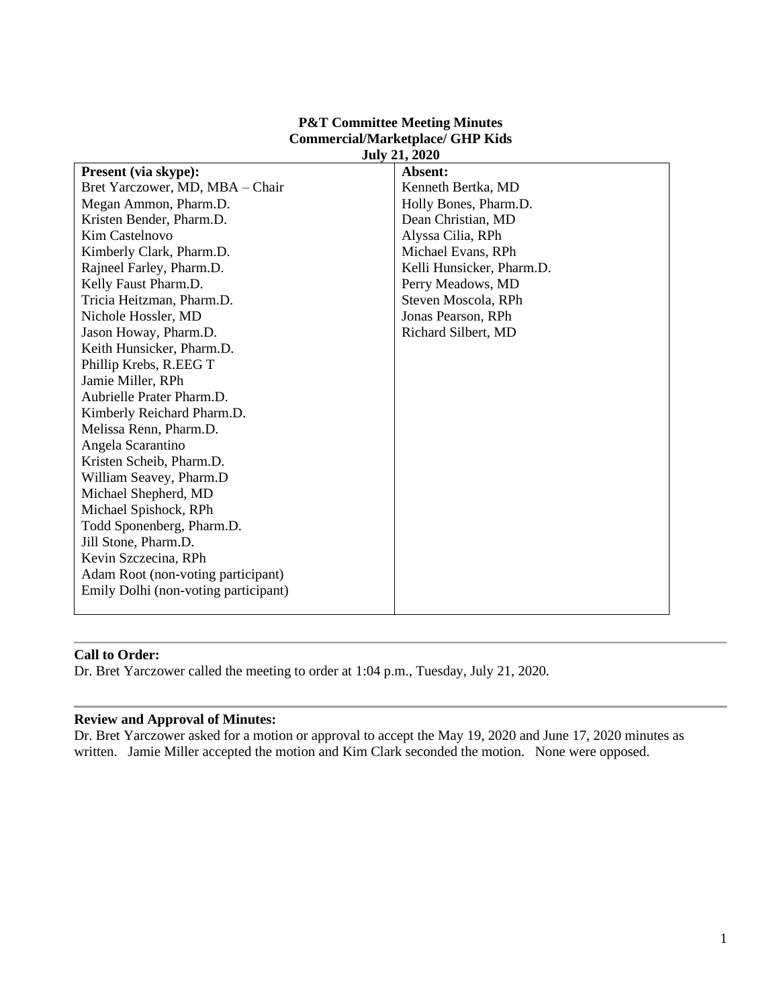| JULY 21, 2020             |
|---------------------------|
| Absent:                   |
| Kenneth Bertka, MD        |
| Holly Bones, Pharm.D.     |
| Dean Christian, MD        |
| Alyssa Cilia, RPh         |
| Michael Evans, RPh        |
| Kelli Hunsicker, Pharm.D. |
| Perry Meadows, MD         |
| Steven Moscola, RPh       |
| Jonas Pearson, RPh        |
| Richard Silbert, MD       |
|                           |
|                           |
|                           |
|                           |
|                           |
|                           |
|                           |
|                           |
|                           |
|                           |
|                           |
|                           |
|                           |
|                           |
|                           |
|                           |
|                           |
|                           |

#### **P&T Committee Meeting Minutes Commercial/Marketplace/ GHP Kids July 21, 2020**

# **Call to Order:**

Dr. Bret Yarczower called the meeting to order at 1:04 p.m., Tuesday, July 21, 2020.

#### **Review and Approval of Minutes:**

Dr. Bret Yarczower asked for a motion or approval to accept the May 19, 2020 and June 17, 2020 minutes as written. Jamie Miller accepted the motion and Kim Clark seconded the motion. None were opposed.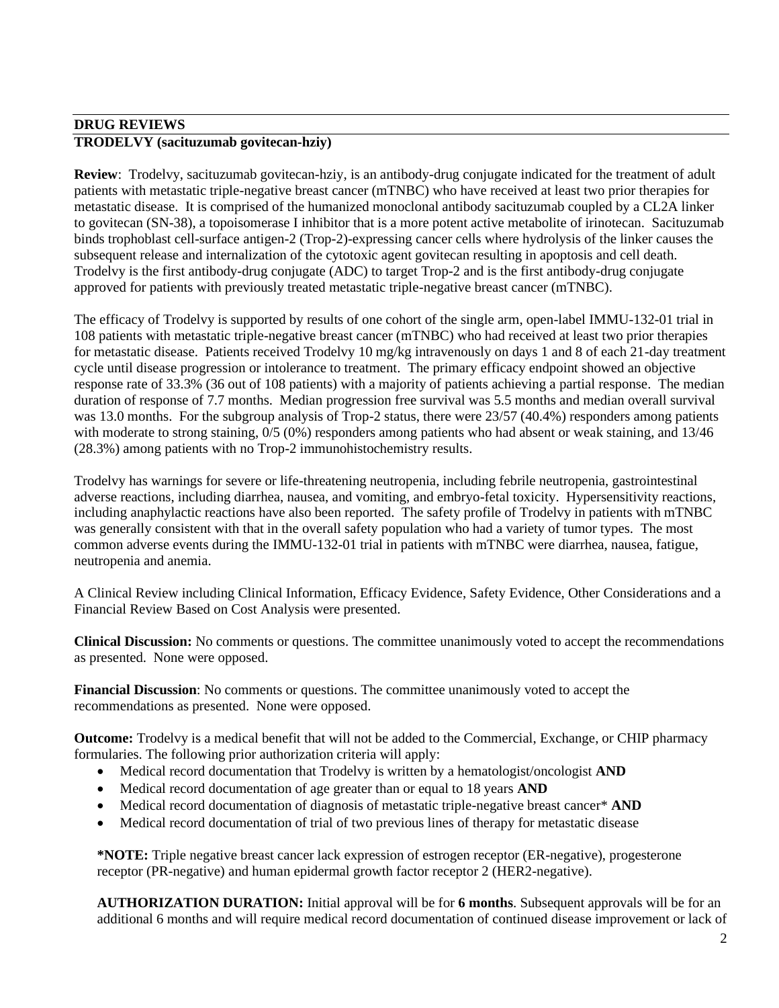# **DRUG REVIEWS TRODELVY (sacituzumab govitecan-hziy)**

**Review**: Trodelvy, sacituzumab govitecan-hziy, is an antibody-drug conjugate indicated for the treatment of adult patients with metastatic triple-negative breast cancer (mTNBC) who have received at least two prior therapies for metastatic disease. It is comprised of the humanized monoclonal antibody sacituzumab coupled by a CL2A linker to govitecan (SN-38), a topoisomerase I inhibitor that is a more potent active metabolite of irinotecan. Sacituzumab binds trophoblast cell-surface antigen-2 (Trop-2)-expressing cancer cells where hydrolysis of the linker causes the subsequent release and internalization of the cytotoxic agent govitecan resulting in apoptosis and cell death. Trodelvy is the first antibody-drug conjugate (ADC) to target Trop-2 and is the first antibody-drug conjugate approved for patients with previously treated metastatic triple-negative breast cancer (mTNBC).

The efficacy of Trodelvy is supported by results of one cohort of the single arm, open-label IMMU-132-01 trial in 108 patients with metastatic triple-negative breast cancer (mTNBC) who had received at least two prior therapies for metastatic disease. Patients received Trodelvy 10 mg/kg intravenously on days 1 and 8 of each 21-day treatment cycle until disease progression or intolerance to treatment. The primary efficacy endpoint showed an objective response rate of 33.3% (36 out of 108 patients) with a majority of patients achieving a partial response. The median duration of response of 7.7 months. Median progression free survival was 5.5 months and median overall survival was 13.0 months. For the subgroup analysis of Trop-2 status, there were 23/57 (40.4%) responders among patients with moderate to strong staining,  $0/5$  (0%) responders among patients who had absent or weak staining, and 13/46 (28.3%) among patients with no Trop-2 immunohistochemistry results.

Trodelvy has warnings for severe or life-threatening neutropenia, including febrile neutropenia, gastrointestinal adverse reactions, including diarrhea, nausea, and vomiting, and embryo-fetal toxicity. Hypersensitivity reactions, including anaphylactic reactions have also been reported. The safety profile of Trodelvy in patients with mTNBC was generally consistent with that in the overall safety population who had a variety of tumor types.The most common adverse events during the IMMU-132-01 trial in patients with mTNBC were diarrhea, nausea, fatigue, neutropenia and anemia.

A Clinical Review including Clinical Information, Efficacy Evidence, Safety Evidence, Other Considerations and a Financial Review Based on Cost Analysis were presented.

**Clinical Discussion:** No comments or questions. The committee unanimously voted to accept the recommendations as presented. None were opposed.

**Financial Discussion**: No comments or questions. The committee unanimously voted to accept the recommendations as presented. None were opposed.

**Outcome:** Trodelvy is a medical benefit that will not be added to the Commercial, Exchange, or CHIP pharmacy formularies. The following prior authorization criteria will apply:

- Medical record documentation that Trodelvy is written by a hematologist/oncologist **AND**
- Medical record documentation of age greater than or equal to 18 years **AND**
- Medical record documentation of diagnosis of metastatic triple-negative breast cancer\* **AND**
- Medical record documentation of trial of two previous lines of therapy for metastatic disease

**\*NOTE:** Triple negative breast cancer lack expression of estrogen receptor (ER-negative), progesterone receptor (PR-negative) and human epidermal growth factor receptor 2 (HER2-negative).

**AUTHORIZATION DURATION:** Initial approval will be for **6 months**. Subsequent approvals will be for an additional 6 months and will require medical record documentation of continued disease improvement or lack of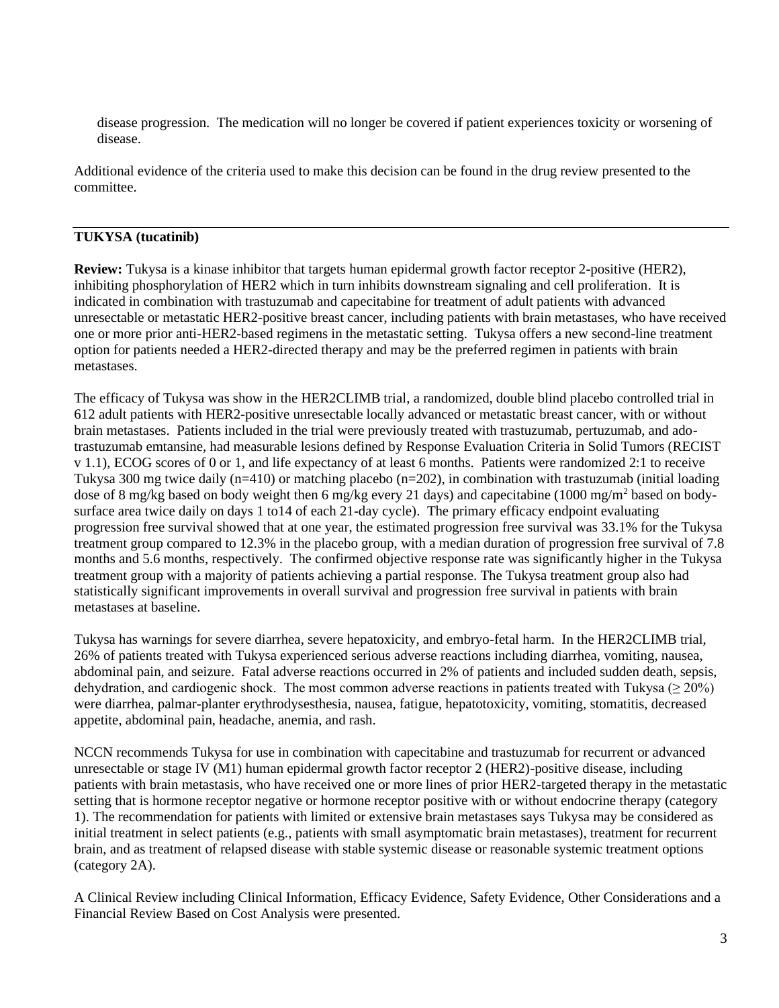disease progression. The medication will no longer be covered if patient experiences toxicity or worsening of disease.

Additional evidence of the criteria used to make this decision can be found in the drug review presented to the committee.

#### **TUKYSA (tucatinib)**

**Review:** Tukysa is a kinase inhibitor that targets human epidermal growth factor receptor 2-positive (HER2), inhibiting phosphorylation of HER2 which in turn inhibits downstream signaling and cell proliferation. It is indicated in combination with trastuzumab and capecitabine for treatment of adult patients with advanced unresectable or metastatic HER2-positive breast cancer, including patients with brain metastases, who have received one or more prior anti-HER2-based regimens in the metastatic setting. Tukysa offers a new second-line treatment option for patients needed a HER2-directed therapy and may be the preferred regimen in patients with brain metastases.

The efficacy of Tukysa was show in the HER2CLIMB trial, a randomized, double blind placebo controlled trial in 612 adult patients with HER2-positive unresectable locally advanced or metastatic breast cancer, with or without brain metastases. Patients included in the trial were previously treated with trastuzumab, pertuzumab, and adotrastuzumab emtansine, had measurable lesions defined by Response Evaluation Criteria in Solid Tumors (RECIST v 1.1), ECOG scores of 0 or 1, and life expectancy of at least 6 months. Patients were randomized 2:1 to receive Tukysa 300 mg twice daily (n=410) or matching placebo (n=202), in combination with trastuzumab (initial loading dose of 8 mg/kg based on body weight then 6 mg/kg every 21 days) and capecitabine (1000 mg/m<sup>2</sup> based on bodysurface area twice daily on days 1 to14 of each 21-day cycle). The primary efficacy endpoint evaluating progression free survival showed that at one year, the estimated progression free survival was 33.1% for the Tukysa treatment group compared to 12.3% in the placebo group, with a median duration of progression free survival of 7.8 months and 5.6 months, respectively. The confirmed objective response rate was significantly higher in the Tukysa treatment group with a majority of patients achieving a partial response. The Tukysa treatment group also had statistically significant improvements in overall survival and progression free survival in patients with brain metastases at baseline.

Tukysa has warnings for severe diarrhea, severe hepatoxicity, and embryo-fetal harm. In the HER2CLIMB trial, 26% of patients treated with Tukysa experienced serious adverse reactions including diarrhea, vomiting, nausea, abdominal pain, and seizure. Fatal adverse reactions occurred in 2% of patients and included sudden death, sepsis, dehydration, and cardiogenic shock. The most common adverse reactions in patients treated with Tukysa ( $\geq 20\%$ ) were diarrhea, palmar-planter erythrodysesthesia, nausea, fatigue, hepatotoxicity, vomiting, stomatitis, decreased appetite, abdominal pain, headache, anemia, and rash.

NCCN recommends Tukysa for use in combination with capecitabine and trastuzumab for recurrent or advanced unresectable or stage IV (M1) human epidermal growth factor receptor 2 (HER2)-positive disease, including patients with brain metastasis, who have received one or more lines of prior HER2-targeted therapy in the metastatic setting that is hormone receptor negative or hormone receptor positive with or without endocrine therapy (category 1). The recommendation for patients with limited or extensive brain metastases says Tukysa may be considered as initial treatment in select patients (e.g., patients with small asymptomatic brain metastases), treatment for recurrent brain, and as treatment of relapsed disease with stable systemic disease or reasonable systemic treatment options (category 2A).

A Clinical Review including Clinical Information, Efficacy Evidence, Safety Evidence, Other Considerations and a Financial Review Based on Cost Analysis were presented.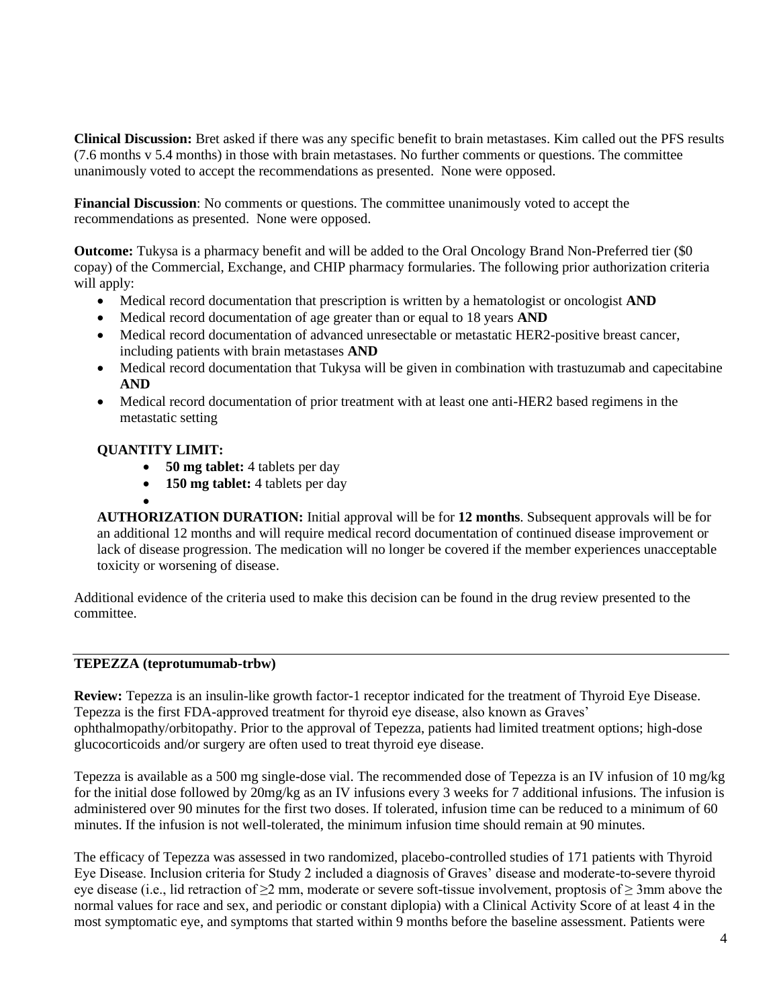**Clinical Discussion:** Bret asked if there was any specific benefit to brain metastases. Kim called out the PFS results (7.6 months v 5.4 months) in those with brain metastases. No further comments or questions. The committee unanimously voted to accept the recommendations as presented. None were opposed.

**Financial Discussion**: No comments or questions. The committee unanimously voted to accept the recommendations as presented. None were opposed.

**Outcome:** Tukysa is a pharmacy benefit and will be added to the Oral Oncology Brand Non-Preferred tier (\$0 copay) of the Commercial, Exchange, and CHIP pharmacy formularies. The following prior authorization criteria will apply:

- Medical record documentation that prescription is written by a hematologist or oncologist **AND**
- Medical record documentation of age greater than or equal to 18 years **AND**
- Medical record documentation of advanced unresectable or metastatic HER2-positive breast cancer, including patients with brain metastases **AND**
- Medical record documentation that Tukysa will be given in combination with trastuzumab and capecitabine **AND**
- Medical record documentation of prior treatment with at least one anti-HER2 based regimens in the metastatic setting

### **QUANTITY LIMIT:**

- **50 mg tablet:** 4 tablets per day
- **150 mg tablet:** 4 tablets per day

• **AUTHORIZATION DURATION:** Initial approval will be for **12 months**. Subsequent approvals will be for an additional 12 months and will require medical record documentation of continued disease improvement or lack of disease progression. The medication will no longer be covered if the member experiences unacceptable toxicity or worsening of disease.

Additional evidence of the criteria used to make this decision can be found in the drug review presented to the committee.

#### **TEPEZZA (teprotumumab-trbw)**

**Review:** Tepezza is an insulin-like growth factor-1 receptor indicated for the treatment of Thyroid Eye Disease. Tepezza is the first FDA-approved treatment for thyroid eye disease, also known as Graves' ophthalmopathy/orbitopathy. Prior to the approval of Tepezza, patients had limited treatment options; high-dose glucocorticoids and/or surgery are often used to treat thyroid eye disease.

Tepezza is available as a 500 mg single-dose vial. The recommended dose of Tepezza is an IV infusion of 10 mg/kg for the initial dose followed by 20mg/kg as an IV infusions every 3 weeks for 7 additional infusions. The infusion is administered over 90 minutes for the first two doses. If tolerated, infusion time can be reduced to a minimum of 60 minutes. If the infusion is not well-tolerated, the minimum infusion time should remain at 90 minutes.

The efficacy of Tepezza was assessed in two randomized, placebo-controlled studies of 171 patients with Thyroid Eye Disease. Inclusion criteria for Study 2 included a diagnosis of Graves' disease and moderate-to-severe thyroid eye disease (i.e., lid retraction of  $\geq 2$  mm, moderate or severe soft-tissue involvement, proptosis of  $\geq 3$ mm above the normal values for race and sex, and periodic or constant diplopia) with a Clinical Activity Score of at least 4 in the most symptomatic eye, and symptoms that started within 9 months before the baseline assessment. Patients were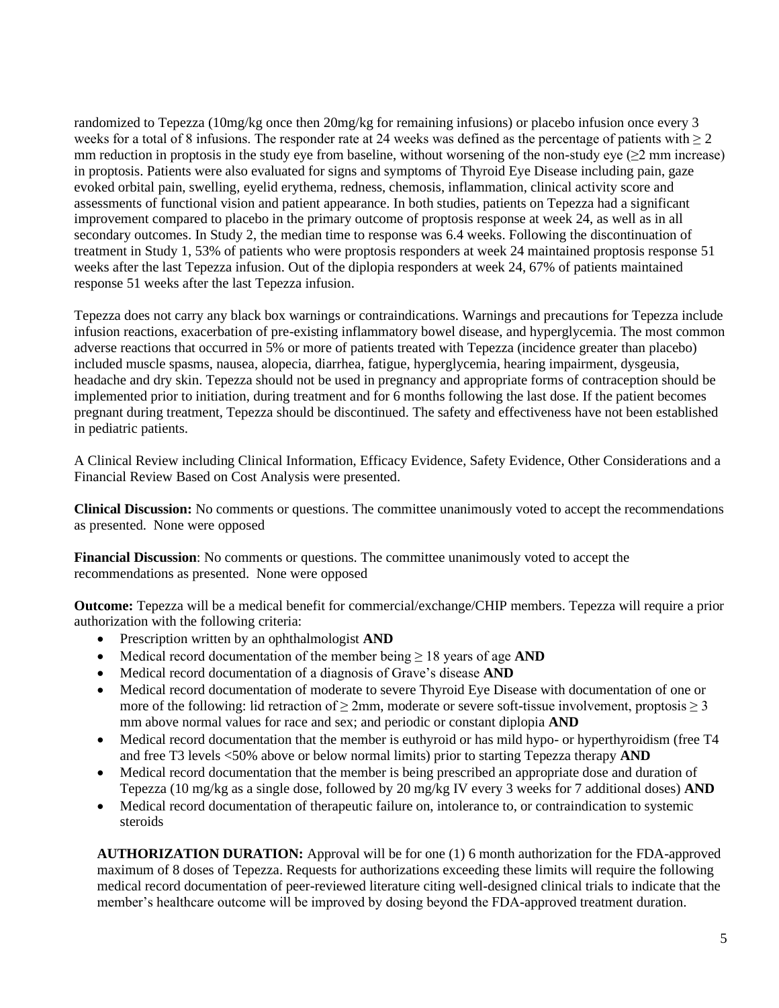randomized to Tepezza (10mg/kg once then 20mg/kg for remaining infusions) or placebo infusion once every 3 weeks for a total of 8 infusions. The responder rate at 24 weeks was defined as the percentage of patients with  $\geq 2$ mm reduction in proptosis in the study eye from baseline, without worsening of the non-study eye ( $\geq$ 2 mm increase) in proptosis. Patients were also evaluated for signs and symptoms of Thyroid Eye Disease including pain, gaze evoked orbital pain, swelling, eyelid erythema, redness, chemosis, inflammation, clinical activity score and assessments of functional vision and patient appearance. In both studies, patients on Tepezza had a significant improvement compared to placebo in the primary outcome of proptosis response at week 24, as well as in all secondary outcomes. In Study 2, the median time to response was 6.4 weeks. Following the discontinuation of treatment in Study 1, 53% of patients who were proptosis responders at week 24 maintained proptosis response 51 weeks after the last Tepezza infusion. Out of the diplopia responders at week 24, 67% of patients maintained response 51 weeks after the last Tepezza infusion.

Tepezza does not carry any black box warnings or contraindications. Warnings and precautions for Tepezza include infusion reactions, exacerbation of pre-existing inflammatory bowel disease, and hyperglycemia. The most common adverse reactions that occurred in 5% or more of patients treated with Tepezza (incidence greater than placebo) included muscle spasms, nausea, alopecia, diarrhea, fatigue, hyperglycemia, hearing impairment, dysgeusia, headache and dry skin. Tepezza should not be used in pregnancy and appropriate forms of contraception should be implemented prior to initiation, during treatment and for 6 months following the last dose. If the patient becomes pregnant during treatment, Tepezza should be discontinued. The safety and effectiveness have not been established in pediatric patients.

A Clinical Review including Clinical Information, Efficacy Evidence, Safety Evidence, Other Considerations and a Financial Review Based on Cost Analysis were presented.

**Clinical Discussion:** No comments or questions. The committee unanimously voted to accept the recommendations as presented. None were opposed

**Financial Discussion**: No comments or questions. The committee unanimously voted to accept the recommendations as presented. None were opposed

**Outcome:** Tepezza will be a medical benefit for commercial/exchange/CHIP members. Tepezza will require a prior authorization with the following criteria:

- Prescription written by an ophthalmologist **AND**
- Medical record documentation of the member being ≥ 18 years of age **AND**
- Medical record documentation of a diagnosis of Grave's disease **AND**
- Medical record documentation of moderate to severe Thyroid Eye Disease with documentation of one or more of the following: lid retraction of  $\geq 2$ mm, moderate or severe soft-tissue involvement, proptosis  $\geq 3$ mm above normal values for race and sex; and periodic or constant diplopia **AND**
- Medical record documentation that the member is euthyroid or has mild hypo- or hyperthyroidism (free T4 and free T3 levels <50% above or below normal limits) prior to starting Tepezza therapy **AND**
- Medical record documentation that the member is being prescribed an appropriate dose and duration of Tepezza (10 mg/kg as a single dose, followed by 20 mg/kg IV every 3 weeks for 7 additional doses) **AND**
- Medical record documentation of therapeutic failure on, intolerance to, or contraindication to systemic steroids

**AUTHORIZATION DURATION:** Approval will be for one (1) 6 month authorization for the FDA-approved maximum of 8 doses of Tepezza. Requests for authorizations exceeding these limits will require the following medical record documentation of peer-reviewed literature citing well-designed clinical trials to indicate that the member's healthcare outcome will be improved by dosing beyond the FDA-approved treatment duration.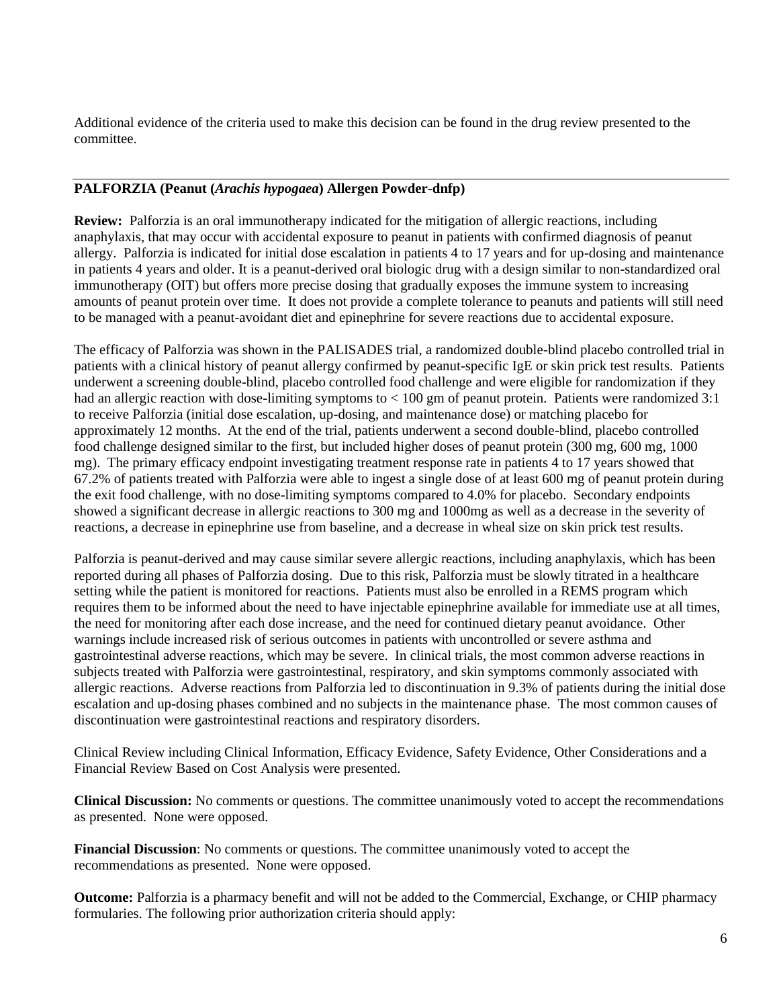Additional evidence of the criteria used to make this decision can be found in the drug review presented to the committee.

# **PALFORZIA (Peanut (***Arachis hypogaea***) Allergen Powder-dnfp)**

**Review:** Palforzia is an oral immunotherapy indicated for the mitigation of allergic reactions, including anaphylaxis, that may occur with accidental exposure to peanut in patients with confirmed diagnosis of peanut allergy. Palforzia is indicated for initial dose escalation in patients 4 to 17 years and for up-dosing and maintenance in patients 4 years and older. It is a peanut-derived oral biologic drug with a design similar to non-standardized oral immunotherapy (OIT) but offers more precise dosing that gradually exposes the immune system to increasing amounts of peanut protein over time. It does not provide a complete tolerance to peanuts and patients will still need to be managed with a peanut-avoidant diet and epinephrine for severe reactions due to accidental exposure.

The efficacy of Palforzia was shown in the PALISADES trial, a randomized double-blind placebo controlled trial in patients with a clinical history of peanut allergy confirmed by peanut-specific IgE or skin prick test results. Patients underwent a screening double-blind, placebo controlled food challenge and were eligible for randomization if they had an allergic reaction with dose-limiting symptoms to < 100 gm of peanut protein. Patients were randomized 3:1 to receive Palforzia (initial dose escalation, up-dosing, and maintenance dose) or matching placebo for approximately 12 months. At the end of the trial, patients underwent a second double-blind, placebo controlled food challenge designed similar to the first, but included higher doses of peanut protein (300 mg, 600 mg, 1000 mg). The primary efficacy endpoint investigating treatment response rate in patients 4 to 17 years showed that 67.2% of patients treated with Palforzia were able to ingest a single dose of at least 600 mg of peanut protein during the exit food challenge, with no dose-limiting symptoms compared to 4.0% for placebo. Secondary endpoints showed a significant decrease in allergic reactions to 300 mg and 1000mg as well as a decrease in the severity of reactions, a decrease in epinephrine use from baseline, and a decrease in wheal size on skin prick test results.

Palforzia is peanut-derived and may cause similar severe allergic reactions, including anaphylaxis, which has been reported during all phases of Palforzia dosing. Due to this risk, Palforzia must be slowly titrated in a healthcare setting while the patient is monitored for reactions. Patients must also be enrolled in a REMS program which requires them to be informed about the need to have injectable epinephrine available for immediate use at all times, the need for monitoring after each dose increase, and the need for continued dietary peanut avoidance. Other warnings include increased risk of serious outcomes in patients with uncontrolled or severe asthma and gastrointestinal adverse reactions, which may be severe. In clinical trials, the most common adverse reactions in subjects treated with Palforzia were gastrointestinal, respiratory, and skin symptoms commonly associated with allergic reactions. Adverse reactions from Palforzia led to discontinuation in 9.3% of patients during the initial dose escalation and up-dosing phases combined and no subjects in the maintenance phase. The most common causes of discontinuation were gastrointestinal reactions and respiratory disorders.

Clinical Review including Clinical Information, Efficacy Evidence, Safety Evidence, Other Considerations and a Financial Review Based on Cost Analysis were presented.

**Clinical Discussion:** No comments or questions. The committee unanimously voted to accept the recommendations as presented. None were opposed.

**Financial Discussion**: No comments or questions. The committee unanimously voted to accept the recommendations as presented. None were opposed.

**Outcome:** Palforzia is a pharmacy benefit and will not be added to the Commercial, Exchange, or CHIP pharmacy formularies. The following prior authorization criteria should apply: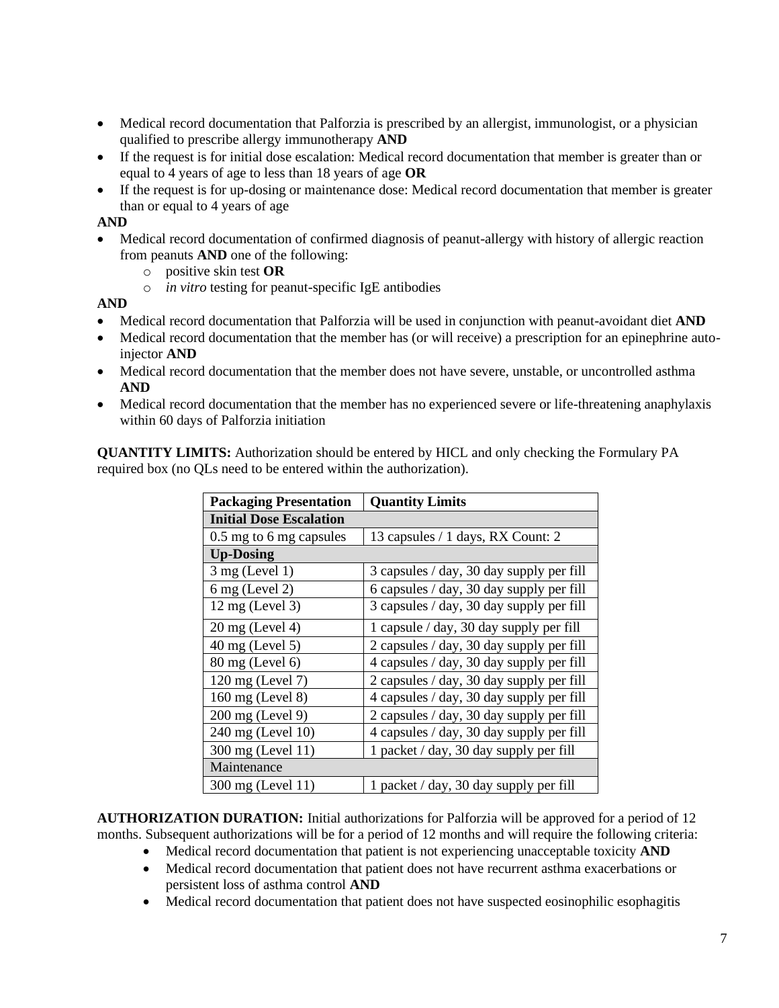- Medical record documentation that Palforzia is prescribed by an allergist, immunologist, or a physician qualified to prescribe allergy immunotherapy **AND**
- If the request is for initial dose escalation: Medical record documentation that member is greater than or equal to 4 years of age to less than 18 years of age **OR**
- If the request is for up-dosing or maintenance dose: Medical record documentation that member is greater than or equal to 4 years of age

### **AND**

- Medical record documentation of confirmed diagnosis of peanut-allergy with history of allergic reaction from peanuts **AND** one of the following:
	- o positive skin test **OR**
	- o *in vitro* testing for peanut-specific IgE antibodies

### **AND**

- Medical record documentation that Palforzia will be used in conjunction with peanut-avoidant diet **AND**
- Medical record documentation that the member has (or will receive) a prescription for an epinephrine autoinjector **AND**
- Medical record documentation that the member does not have severe, unstable, or uncontrolled asthma **AND**
- Medical record documentation that the member has no experienced severe or life-threatening anaphylaxis within 60 days of Palforzia initiation

**QUANTITY LIMITS:** Authorization should be entered by HICL and only checking the Formulary PA required box (no QLs need to be entered within the authorization).

| <b>Packaging Presentation</b>  | <b>Quantity Limits</b>                   |  |
|--------------------------------|------------------------------------------|--|
| <b>Initial Dose Escalation</b> |                                          |  |
| 0.5 mg to 6 mg capsules        | 13 capsules / 1 days, RX Count: 2        |  |
| <b>Up-Dosing</b>               |                                          |  |
| $3$ mg (Level 1)               | 3 capsules / day, 30 day supply per fill |  |
| $6$ mg (Level 2)               | 6 capsules / day, 30 day supply per fill |  |
| $12 \text{ mg}$ (Level 3)      | 3 capsules / day, 30 day supply per fill |  |
| $20$ mg (Level 4)              | 1 capsule / day, 30 day supply per fill  |  |
| $40 \text{ mg}$ (Level 5)      | 2 capsules / day, 30 day supply per fill |  |
| 80 mg (Level 6)                | 4 capsules / day, 30 day supply per fill |  |
| 120 mg (Level 7)               | 2 capsules / day, 30 day supply per fill |  |
| 160 mg (Level 8)               | 4 capsules / day, 30 day supply per fill |  |
| 200 mg (Level 9)               | 2 capsules / day, 30 day supply per fill |  |
| 240 mg (Level 10)              | 4 capsules / day, 30 day supply per fill |  |
| 300 mg (Level 11)              | 1 packet / day, 30 day supply per fill   |  |
| Maintenance                    |                                          |  |
| 300 mg (Level 11)              | 1 packet / day, 30 day supply per fill   |  |

**AUTHORIZATION DURATION:** Initial authorizations for Palforzia will be approved for a period of 12 months. Subsequent authorizations will be for a period of 12 months and will require the following criteria:

- Medical record documentation that patient is not experiencing unacceptable toxicity **AND**
	- Medical record documentation that patient does not have recurrent asthma exacerbations or persistent loss of asthma control **AND**
	- Medical record documentation that patient does not have suspected eosinophilic esophagitis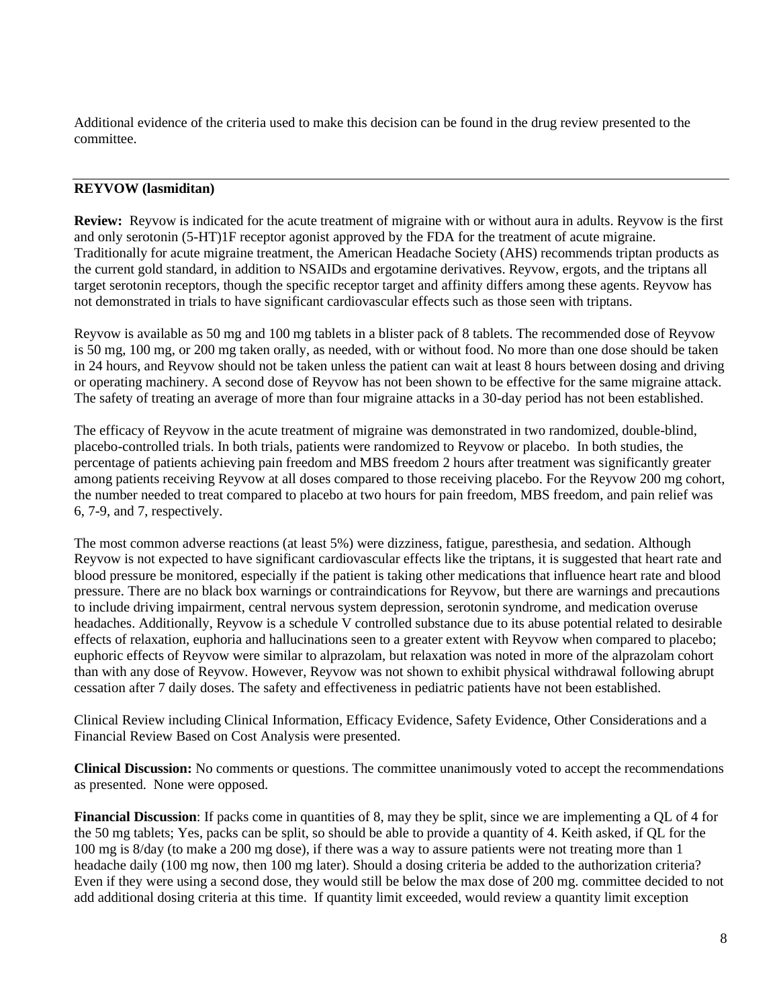Additional evidence of the criteria used to make this decision can be found in the drug review presented to the committee.

# **REYVOW (lasmiditan)**

**Review:** Reyvow is indicated for the acute treatment of migraine with or without aura in adults. Reyvow is the first and only serotonin (5-HT)1F receptor agonist approved by the FDA for the treatment of acute migraine. Traditionally for acute migraine treatment, the American Headache Society (AHS) recommends triptan products as the current gold standard, in addition to NSAIDs and ergotamine derivatives. Reyvow, ergots, and the triptans all target serotonin receptors, though the specific receptor target and affinity differs among these agents. Reyvow has not demonstrated in trials to have significant cardiovascular effects such as those seen with triptans.

Reyvow is available as 50 mg and 100 mg tablets in a blister pack of 8 tablets. The recommended dose of Reyvow is 50 mg, 100 mg, or 200 mg taken orally, as needed, with or without food. No more than one dose should be taken in 24 hours, and Reyvow should not be taken unless the patient can wait at least 8 hours between dosing and driving or operating machinery. A second dose of Reyvow has not been shown to be effective for the same migraine attack. The safety of treating an average of more than four migraine attacks in a 30-day period has not been established.

The efficacy of Reyvow in the acute treatment of migraine was demonstrated in two randomized, double-blind, placebo-controlled trials. In both trials, patients were randomized to Reyvow or placebo. In both studies, the percentage of patients achieving pain freedom and MBS freedom 2 hours after treatment was significantly greater among patients receiving Reyvow at all doses compared to those receiving placebo. For the Reyvow 200 mg cohort, the number needed to treat compared to placebo at two hours for pain freedom, MBS freedom, and pain relief was 6, 7-9, and 7, respectively.

The most common adverse reactions (at least 5%) were dizziness, fatigue, paresthesia, and sedation. Although Reyvow is not expected to have significant cardiovascular effects like the triptans, it is suggested that heart rate and blood pressure be monitored, especially if the patient is taking other medications that influence heart rate and blood pressure. There are no black box warnings or contraindications for Reyvow, but there are warnings and precautions to include driving impairment, central nervous system depression, serotonin syndrome, and medication overuse headaches. Additionally, Reyvow is a schedule V controlled substance due to its abuse potential related to desirable effects of relaxation, euphoria and hallucinations seen to a greater extent with Reyvow when compared to placebo; euphoric effects of Reyvow were similar to alprazolam, but relaxation was noted in more of the alprazolam cohort than with any dose of Reyvow. However, Reyvow was not shown to exhibit physical withdrawal following abrupt cessation after 7 daily doses. The safety and effectiveness in pediatric patients have not been established.

Clinical Review including Clinical Information, Efficacy Evidence, Safety Evidence, Other Considerations and a Financial Review Based on Cost Analysis were presented.

**Clinical Discussion:** No comments or questions. The committee unanimously voted to accept the recommendations as presented. None were opposed.

**Financial Discussion**: If packs come in quantities of 8, may they be split, since we are implementing a QL of 4 for the 50 mg tablets; Yes, packs can be split, so should be able to provide a quantity of 4. Keith asked, if QL for the 100 mg is 8/day (to make a 200 mg dose), if there was a way to assure patients were not treating more than 1 headache daily (100 mg now, then 100 mg later). Should a dosing criteria be added to the authorization criteria? Even if they were using a second dose, they would still be below the max dose of 200 mg. committee decided to not add additional dosing criteria at this time. If quantity limit exceeded, would review a quantity limit exception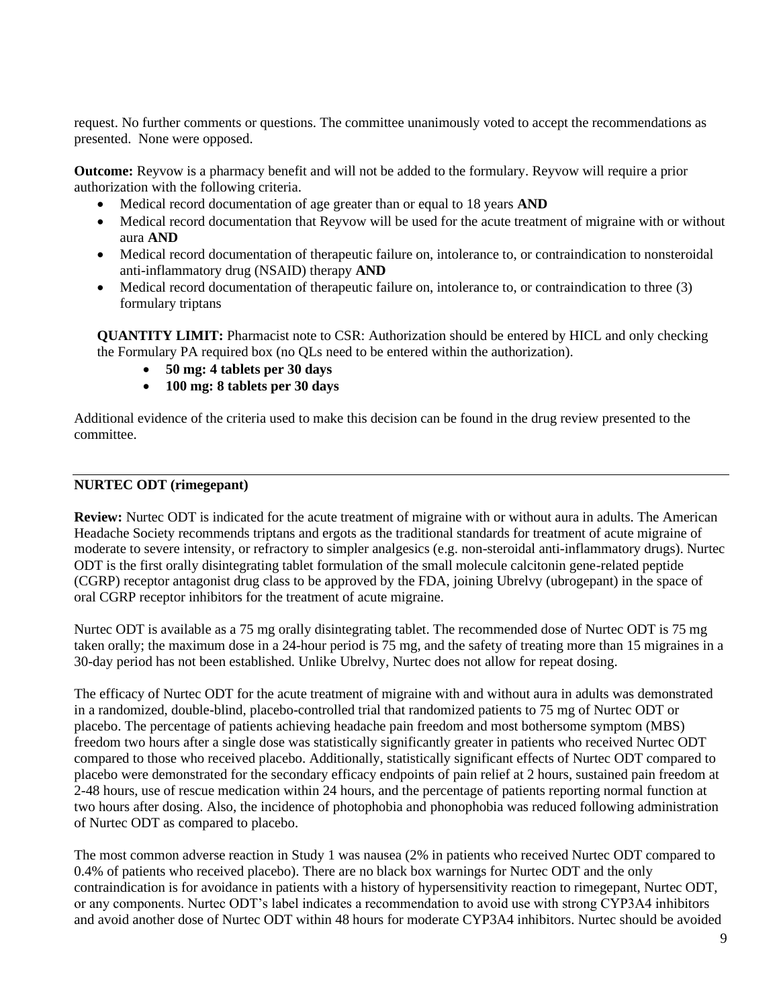request. No further comments or questions. The committee unanimously voted to accept the recommendations as presented. None were opposed.

**Outcome:** Reyvow is a pharmacy benefit and will not be added to the formulary. Reyvow will require a prior authorization with the following criteria.

- Medical record documentation of age greater than or equal to 18 years **AND**
- Medical record documentation that Reyvow will be used for the acute treatment of migraine with or without aura **AND**
- Medical record documentation of therapeutic failure on, intolerance to, or contraindication to nonsteroidal anti-inflammatory drug (NSAID) therapy **AND**
- Medical record documentation of therapeutic failure on, intolerance to, or contraindication to three (3) formulary triptans

**QUANTITY LIMIT:** Pharmacist note to CSR: Authorization should be entered by HICL and only checking the Formulary PA required box (no QLs need to be entered within the authorization).

- **50 mg: 4 tablets per 30 days**
- **100 mg: 8 tablets per 30 days**

Additional evidence of the criteria used to make this decision can be found in the drug review presented to the committee.

#### **NURTEC ODT (rimegepant)**

**Review:** Nurtec ODT is indicated for the acute treatment of migraine with or without aura in adults. The American Headache Society recommends triptans and ergots as the traditional standards for treatment of acute migraine of moderate to severe intensity, or refractory to simpler analgesics (e.g. non-steroidal anti-inflammatory drugs). Nurtec ODT is the first orally disintegrating tablet formulation of the small molecule calcitonin gene-related peptide (CGRP) receptor antagonist drug class to be approved by the FDA, joining Ubrelvy (ubrogepant) in the space of oral CGRP receptor inhibitors for the treatment of acute migraine.

Nurtec ODT is available as a 75 mg orally disintegrating tablet. The recommended dose of Nurtec ODT is 75 mg taken orally; the maximum dose in a 24-hour period is 75 mg, and the safety of treating more than 15 migraines in a 30-day period has not been established. Unlike Ubrelvy, Nurtec does not allow for repeat dosing.

The efficacy of Nurtec ODT for the acute treatment of migraine with and without aura in adults was demonstrated in a randomized, double-blind, placebo-controlled trial that randomized patients to 75 mg of Nurtec ODT or placebo. The percentage of patients achieving headache pain freedom and most bothersome symptom (MBS) freedom two hours after a single dose was statistically significantly greater in patients who received Nurtec ODT compared to those who received placebo. Additionally, statistically significant effects of Nurtec ODT compared to placebo were demonstrated for the secondary efficacy endpoints of pain relief at 2 hours, sustained pain freedom at 2-48 hours, use of rescue medication within 24 hours, and the percentage of patients reporting normal function at two hours after dosing. Also, the incidence of photophobia and phonophobia was reduced following administration of Nurtec ODT as compared to placebo.

The most common adverse reaction in Study 1 was nausea (2% in patients who received Nurtec ODT compared to 0.4% of patients who received placebo). There are no black box warnings for Nurtec ODT and the only contraindication is for avoidance in patients with a history of hypersensitivity reaction to rimegepant, Nurtec ODT, or any components. Nurtec ODT's label indicates a recommendation to avoid use with strong CYP3A4 inhibitors and avoid another dose of Nurtec ODT within 48 hours for moderate CYP3A4 inhibitors. Nurtec should be avoided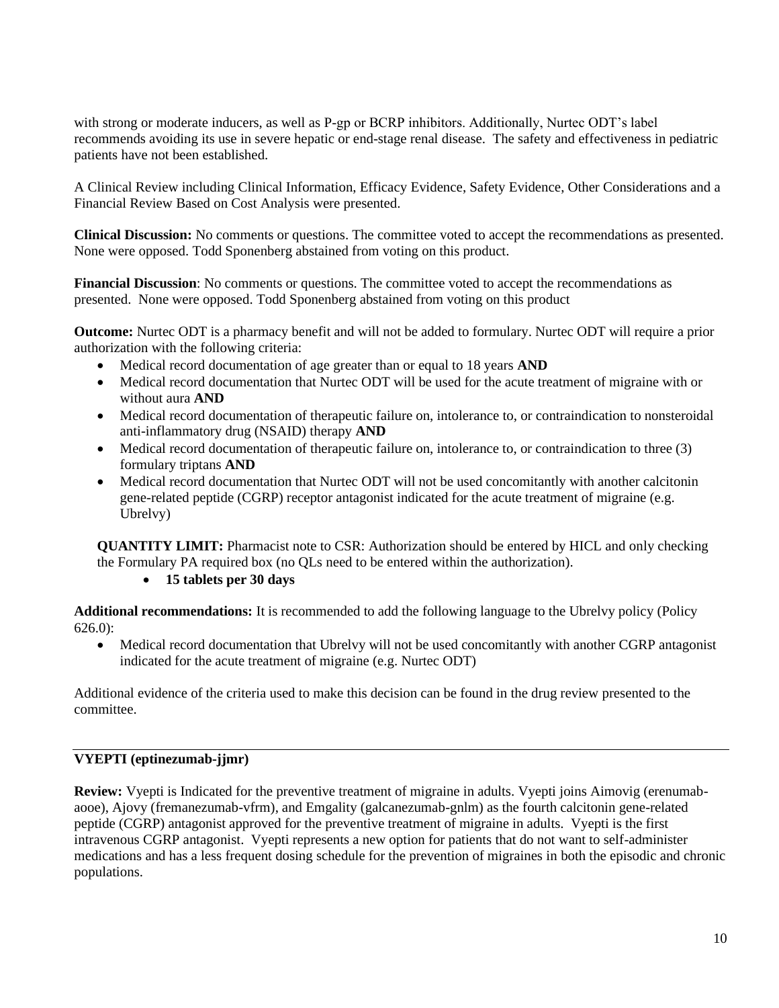with strong or moderate inducers, as well as P-gp or BCRP inhibitors. Additionally, Nurtec ODT's label recommends avoiding its use in severe hepatic or end-stage renal disease. The safety and effectiveness in pediatric patients have not been established.

A Clinical Review including Clinical Information, Efficacy Evidence, Safety Evidence, Other Considerations and a Financial Review Based on Cost Analysis were presented.

**Clinical Discussion:** No comments or questions. The committee voted to accept the recommendations as presented. None were opposed. Todd Sponenberg abstained from voting on this product.

**Financial Discussion**: No comments or questions. The committee voted to accept the recommendations as presented. None were opposed. Todd Sponenberg abstained from voting on this product

**Outcome:** Nurtec ODT is a pharmacy benefit and will not be added to formulary. Nurtec ODT will require a prior authorization with the following criteria:

- Medical record documentation of age greater than or equal to 18 years **AND**
- Medical record documentation that Nurtec ODT will be used for the acute treatment of migraine with or without aura **AND**
- Medical record documentation of therapeutic failure on, intolerance to, or contraindication to nonsteroidal anti-inflammatory drug (NSAID) therapy **AND**
- Medical record documentation of therapeutic failure on, intolerance to, or contraindication to three (3) formulary triptans **AND**
- Medical record documentation that Nurtec ODT will not be used concomitantly with another calcitonin gene-related peptide (CGRP) receptor antagonist indicated for the acute treatment of migraine (e.g. Ubrelvy)

**QUANTITY LIMIT:** Pharmacist note to CSR: Authorization should be entered by HICL and only checking the Formulary PA required box (no QLs need to be entered within the authorization).

# • **15 tablets per 30 days**

**Additional recommendations:** It is recommended to add the following language to the Ubrelvy policy (Policy 626.0):

• Medical record documentation that Ubrelvy will not be used concomitantly with another CGRP antagonist indicated for the acute treatment of migraine (e.g. Nurtec ODT)

Additional evidence of the criteria used to make this decision can be found in the drug review presented to the committee.

### **VYEPTI (eptinezumab-jjmr)**

**Review:** Vyepti is Indicated for the preventive treatment of migraine in adults. Vyepti joins Aimovig (erenumabaooe), Ajovy (fremanezumab-vfrm), and Emgality (galcanezumab-gnlm) as the fourth calcitonin gene-related peptide (CGRP) antagonist approved for the preventive treatment of migraine in adults. Vyepti is the first intravenous CGRP antagonist. Vyepti represents a new option for patients that do not want to self-administer medications and has a less frequent dosing schedule for the prevention of migraines in both the episodic and chronic populations.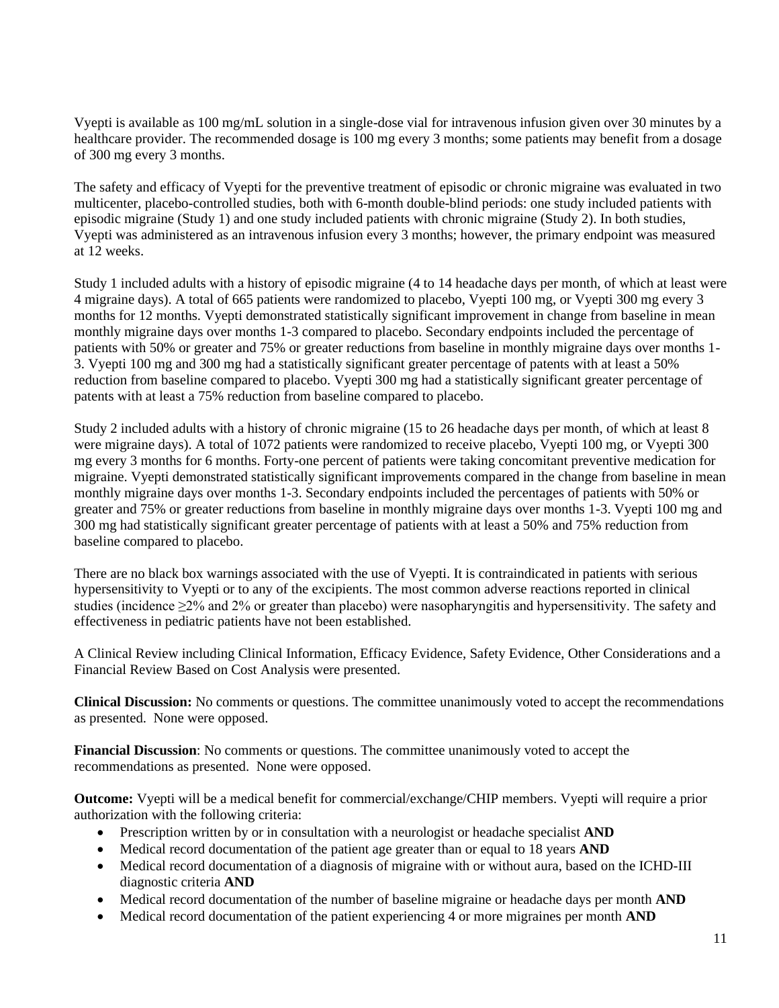Vyepti is available as 100 mg/mL solution in a single-dose vial for intravenous infusion given over 30 minutes by a healthcare provider. The recommended dosage is 100 mg every 3 months; some patients may benefit from a dosage of 300 mg every 3 months.

The safety and efficacy of Vyepti for the preventive treatment of episodic or chronic migraine was evaluated in two multicenter, placebo-controlled studies, both with 6-month double-blind periods: one study included patients with episodic migraine (Study 1) and one study included patients with chronic migraine (Study 2). In both studies, Vyepti was administered as an intravenous infusion every 3 months; however, the primary endpoint was measured at 12 weeks.

Study 1 included adults with a history of episodic migraine (4 to 14 headache days per month, of which at least were 4 migraine days). A total of 665 patients were randomized to placebo, Vyepti 100 mg, or Vyepti 300 mg every 3 months for 12 months. Vyepti demonstrated statistically significant improvement in change from baseline in mean monthly migraine days over months 1-3 compared to placebo. Secondary endpoints included the percentage of patients with 50% or greater and 75% or greater reductions from baseline in monthly migraine days over months 1- 3. Vyepti 100 mg and 300 mg had a statistically significant greater percentage of patents with at least a 50% reduction from baseline compared to placebo. Vyepti 300 mg had a statistically significant greater percentage of patents with at least a 75% reduction from baseline compared to placebo.

Study 2 included adults with a history of chronic migraine (15 to 26 headache days per month, of which at least 8 were migraine days). A total of 1072 patients were randomized to receive placebo, Vyepti 100 mg, or Vyepti 300 mg every 3 months for 6 months. Forty-one percent of patients were taking concomitant preventive medication for migraine. Vyepti demonstrated statistically significant improvements compared in the change from baseline in mean monthly migraine days over months 1-3. Secondary endpoints included the percentages of patients with 50% or greater and 75% or greater reductions from baseline in monthly migraine days over months 1-3. Vyepti 100 mg and 300 mg had statistically significant greater percentage of patients with at least a 50% and 75% reduction from baseline compared to placebo.

There are no black box warnings associated with the use of Vyepti. It is contraindicated in patients with serious hypersensitivity to Vyepti or to any of the excipients. The most common adverse reactions reported in clinical studies (incidence ≥2% and 2% or greater than placebo) were nasopharyngitis and hypersensitivity. The safety and effectiveness in pediatric patients have not been established.

A Clinical Review including Clinical Information, Efficacy Evidence, Safety Evidence, Other Considerations and a Financial Review Based on Cost Analysis were presented.

**Clinical Discussion:** No comments or questions. The committee unanimously voted to accept the recommendations as presented. None were opposed.

**Financial Discussion**: No comments or questions. The committee unanimously voted to accept the recommendations as presented. None were opposed.

**Outcome:** Vyepti will be a medical benefit for commercial/exchange/CHIP members. Vyepti will require a prior authorization with the following criteria:

- Prescription written by or in consultation with a neurologist or headache specialist **AND**
- Medical record documentation of the patient age greater than or equal to 18 years **AND**
- Medical record documentation of a diagnosis of migraine with or without aura, based on the ICHD-III diagnostic criteria **AND**
- Medical record documentation of the number of baseline migraine or headache days per month **AND**
- Medical record documentation of the patient experiencing 4 or more migraines per month **AND**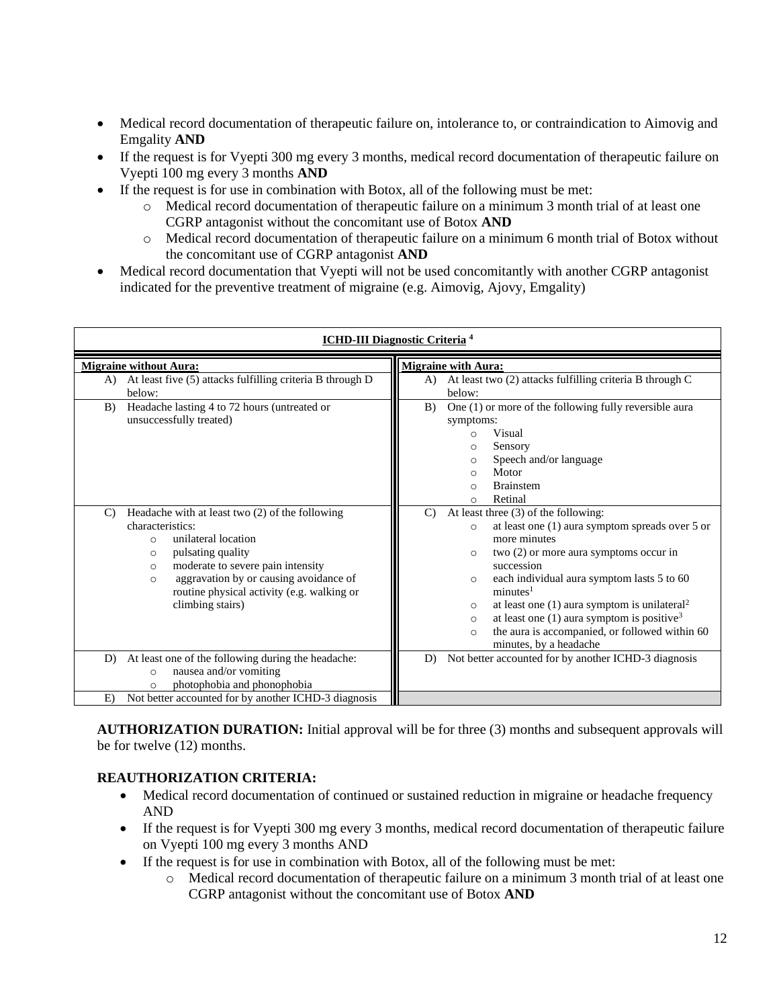- Medical record documentation of therapeutic failure on, intolerance to, or contraindication to Aimovig and Emgality **AND**
- If the request is for Vyepti 300 mg every 3 months, medical record documentation of therapeutic failure on Vyepti 100 mg every 3 months **AND**
- If the request is for use in combination with Botox, all of the following must be met:
	- o Medical record documentation of therapeutic failure on a minimum 3 month trial of at least one CGRP antagonist without the concomitant use of Botox **AND**
	- o Medical record documentation of therapeutic failure on a minimum 6 month trial of Botox without the concomitant use of CGRP antagonist **AND**
- Medical record documentation that Vyepti will not be used concomitantly with another CGRP antagonist indicated for the preventive treatment of migraine (e.g. Aimovig, Ajovy, Emgality)

| <b>ICHD-III Diagnostic Criteria 4</b>                                                                                                                                                                                                                                                                                                                                                       |                                                                                                                                                                                                                                                                                                                                                                                                                                                                                                                                                                                                         |  |
|---------------------------------------------------------------------------------------------------------------------------------------------------------------------------------------------------------------------------------------------------------------------------------------------------------------------------------------------------------------------------------------------|---------------------------------------------------------------------------------------------------------------------------------------------------------------------------------------------------------------------------------------------------------------------------------------------------------------------------------------------------------------------------------------------------------------------------------------------------------------------------------------------------------------------------------------------------------------------------------------------------------|--|
| <b>Migraine without Aura:</b><br>At least five (5) attacks fulfilling criteria B through D<br>A)<br>below:<br>Headache lasting 4 to 72 hours (untreated or<br>B)<br>unsuccessfully treated)                                                                                                                                                                                                 | <b>Migraine with Aura:</b><br>At least two (2) attacks fulfilling criteria B through C<br>A)<br>below:<br>One (1) or more of the following fully reversible aura<br>B)<br>symptoms:<br>Visual<br>$\circ$<br>Sensory<br>$\circ$<br>Speech and/or language<br>$\circ$<br>Motor<br>$\Omega$<br><b>Brainstem</b><br>$\Omega$<br>Retinal                                                                                                                                                                                                                                                                     |  |
| Headache with at least two (2) of the following<br>$\mathcal{C}$<br>characteristics:<br>unilateral location<br>$\Omega$<br>pulsating quality<br>$\circ$<br>moderate to severe pain intensity<br>$\circ$<br>aggravation by or causing avoidance of<br>$\Omega$<br>routine physical activity (e.g. walking or<br>climbing stairs)<br>At least one of the following during the headache:<br>D) | $\circ$<br>At least three $(3)$ of the following:<br>$\mathcal{C}$<br>at least one $(1)$ aura symptom spreads over 5 or<br>$\circ$<br>more minutes<br>two $(2)$ or more aura symptoms occur in<br>$\circ$<br>succession<br>each individual aura symptom lasts 5 to 60<br>$\circ$<br>minutes <sup>1</sup><br>at least one $(1)$ aura symptom is unilateral <sup>2</sup><br>O<br>at least one $(1)$ aura symptom is positive <sup>3</sup><br>$\circ$<br>the aura is accompanied, or followed within 60<br>$\circ$<br>minutes, by a headache<br>Not better accounted for by another ICHD-3 diagnosis<br>D) |  |
| nausea and/or vomiting<br>$\circ$<br>photophobia and phonophobia<br>$\circ$<br>Not better accounted for by another ICHD-3 diagnosis<br>E)                                                                                                                                                                                                                                                   |                                                                                                                                                                                                                                                                                                                                                                                                                                                                                                                                                                                                         |  |

**AUTHORIZATION DURATION:** Initial approval will be for three (3) months and subsequent approvals will be for twelve (12) months.

# **REAUTHORIZATION CRITERIA:**

- Medical record documentation of continued or sustained reduction in migraine or headache frequency AND
- If the request is for Vyepti 300 mg every 3 months, medical record documentation of therapeutic failure on Vyepti 100 mg every 3 months AND
- If the request is for use in combination with Botox, all of the following must be met:
	- $\circ$  Medical record documentation of therapeutic failure on a minimum 3 month trial of at least one CGRP antagonist without the concomitant use of Botox **AND**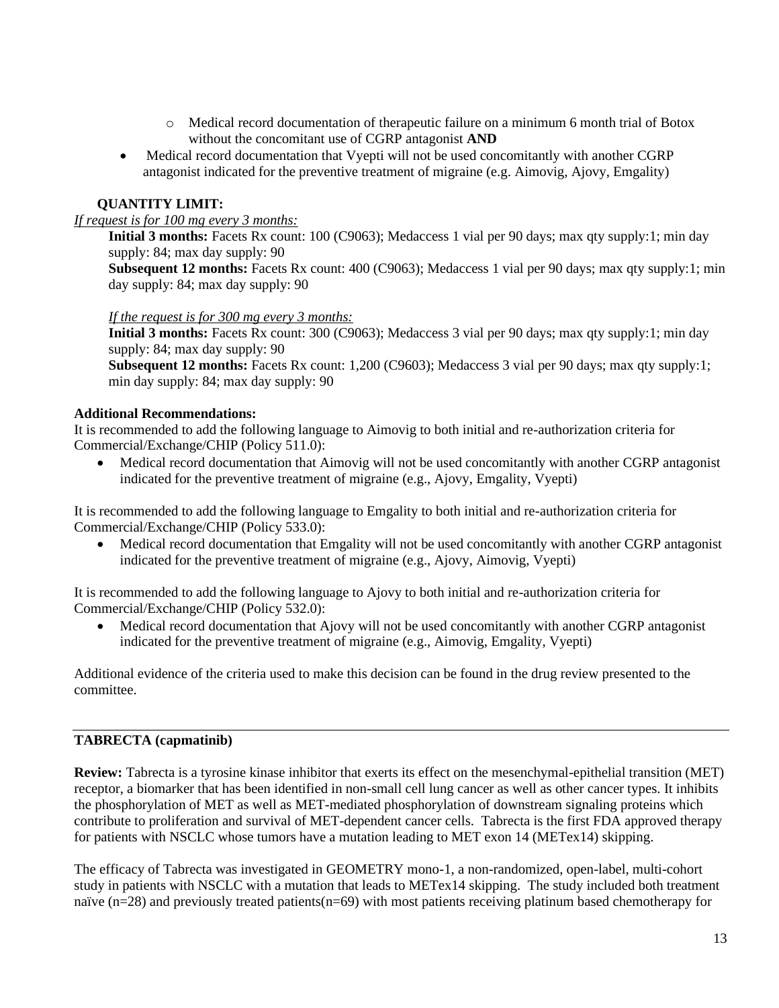- o Medical record documentation of therapeutic failure on a minimum 6 month trial of Botox without the concomitant use of CGRP antagonist **AND**
- Medical record documentation that Vyepti will not be used concomitantly with another CGRP antagonist indicated for the preventive treatment of migraine (e.g. Aimovig, Ajovy, Emgality)

# **QUANTITY LIMIT:**

### *If request is for 100 mg every 3 months:*

**Initial 3 months:** Facets Rx count: 100 (C9063); Medaccess 1 vial per 90 days; max qty supply: 1; min day supply: 84; max day supply: 90

**Subsequent 12 months:** Facets Rx count: 400 (C9063); Medaccess 1 vial per 90 days; max qty supply:1; min day supply: 84; max day supply: 90

#### *If the request is for 300 mg every 3 months:*

**Initial 3 months:** Facets Rx count: 300 (C9063); Medaccess 3 vial per 90 days; max qty supply:1; min day supply: 84; max day supply: 90

**Subsequent 12 months:** Facets Rx count: 1,200 (C9603); Medaccess 3 vial per 90 days; max qty supply:1; min day supply: 84; max day supply: 90

### **Additional Recommendations:**

It is recommended to add the following language to Aimovig to both initial and re-authorization criteria for Commercial/Exchange/CHIP (Policy 511.0):

• Medical record documentation that Aimovig will not be used concomitantly with another CGRP antagonist indicated for the preventive treatment of migraine (e.g., Ajovy, Emgality, Vyepti)

It is recommended to add the following language to Emgality to both initial and re-authorization criteria for Commercial/Exchange/CHIP (Policy 533.0):

• Medical record documentation that Emgality will not be used concomitantly with another CGRP antagonist indicated for the preventive treatment of migraine (e.g., Ajovy, Aimovig, Vyepti)

It is recommended to add the following language to Ajovy to both initial and re-authorization criteria for Commercial/Exchange/CHIP (Policy 532.0):

• Medical record documentation that Ajovy will not be used concomitantly with another CGRP antagonist indicated for the preventive treatment of migraine (e.g., Aimovig, Emgality, Vyepti)

Additional evidence of the criteria used to make this decision can be found in the drug review presented to the committee.

# **TABRECTA (capmatinib)**

**Review:** Tabrecta is a tyrosine kinase inhibitor that exerts its effect on the mesenchymal-epithelial transition (MET) receptor, a biomarker that has been identified in non-small cell lung cancer as well as other cancer types. It inhibits the phosphorylation of MET as well as MET-mediated phosphorylation of downstream signaling proteins which contribute to proliferation and survival of MET-dependent cancer cells. Tabrecta is the first FDA approved therapy for patients with NSCLC whose tumors have a mutation leading to MET exon 14 (METex14) skipping.

The efficacy of Tabrecta was investigated in GEOMETRY mono-1, a non-randomized, open-label, multi-cohort study in patients with NSCLC with a mutation that leads to METex14 skipping. The study included both treatment naïve (n=28) and previously treated patients(n=69) with most patients receiving platinum based chemotherapy for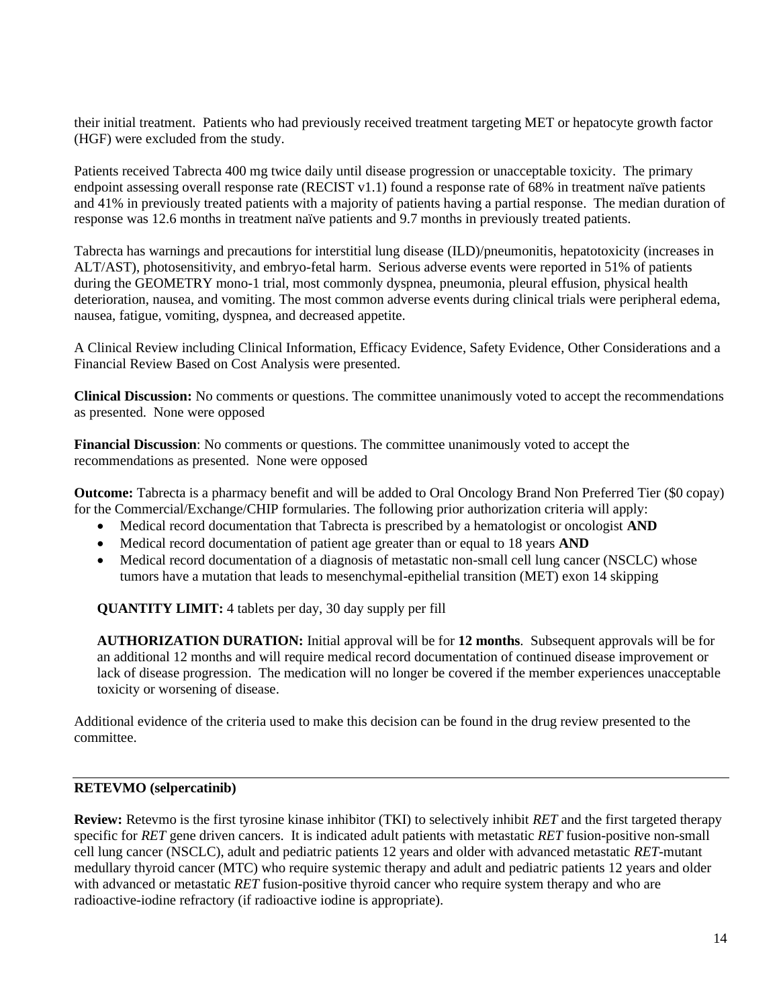their initial treatment. Patients who had previously received treatment targeting MET or hepatocyte growth factor (HGF) were excluded from the study.

Patients received Tabrecta 400 mg twice daily until disease progression or unacceptable toxicity. The primary endpoint assessing overall response rate (RECIST v1.1) found a response rate of 68% in treatment naïve patients and 41% in previously treated patients with a majority of patients having a partial response. The median duration of response was 12.6 months in treatment naïve patients and 9.7 months in previously treated patients.

Tabrecta has warnings and precautions for interstitial lung disease (ILD)/pneumonitis, hepatotoxicity (increases in ALT/AST), photosensitivity, and embryo-fetal harm. Serious adverse events were reported in 51% of patients during the GEOMETRY mono-1 trial, most commonly dyspnea, pneumonia, pleural effusion, physical health deterioration, nausea, and vomiting. The most common adverse events during clinical trials were peripheral edema, nausea, fatigue, vomiting, dyspnea, and decreased appetite.

A Clinical Review including Clinical Information, Efficacy Evidence, Safety Evidence, Other Considerations and a Financial Review Based on Cost Analysis were presented.

**Clinical Discussion:** No comments or questions. The committee unanimously voted to accept the recommendations as presented. None were opposed

**Financial Discussion**: No comments or questions. The committee unanimously voted to accept the recommendations as presented. None were opposed

**Outcome:** Tabrecta is a pharmacy benefit and will be added to Oral Oncology Brand Non Preferred Tier (\$0 copay) for the Commercial/Exchange/CHIP formularies. The following prior authorization criteria will apply:

- Medical record documentation that Tabrecta is prescribed by a hematologist or oncologist **AND**
- Medical record documentation of patient age greater than or equal to 18 years **AND**
- Medical record documentation of a diagnosis of metastatic non-small cell lung cancer (NSCLC) whose tumors have a mutation that leads to mesenchymal-epithelial transition (MET) exon 14 skipping

**QUANTITY LIMIT:** 4 tablets per day, 30 day supply per fill

**AUTHORIZATION DURATION:** Initial approval will be for **12 months**. Subsequent approvals will be for an additional 12 months and will require medical record documentation of continued disease improvement or lack of disease progression. The medication will no longer be covered if the member experiences unacceptable toxicity or worsening of disease.

Additional evidence of the criteria used to make this decision can be found in the drug review presented to the committee.

#### **RETEVMO (selpercatinib)**

**Review:** Retevmo is the first tyrosine kinase inhibitor (TKI) to selectively inhibit *RET* and the first targeted therapy specific for *RET* gene driven cancers. It is indicated adult patients with metastatic *RET* fusion-positive non-small cell lung cancer (NSCLC), adult and pediatric patients 12 years and older with advanced metastatic *RET*-mutant medullary thyroid cancer (MTC) who require systemic therapy and adult and pediatric patients 12 years and older with advanced or metastatic *RET* fusion-positive thyroid cancer who require system therapy and who are radioactive-iodine refractory (if radioactive iodine is appropriate).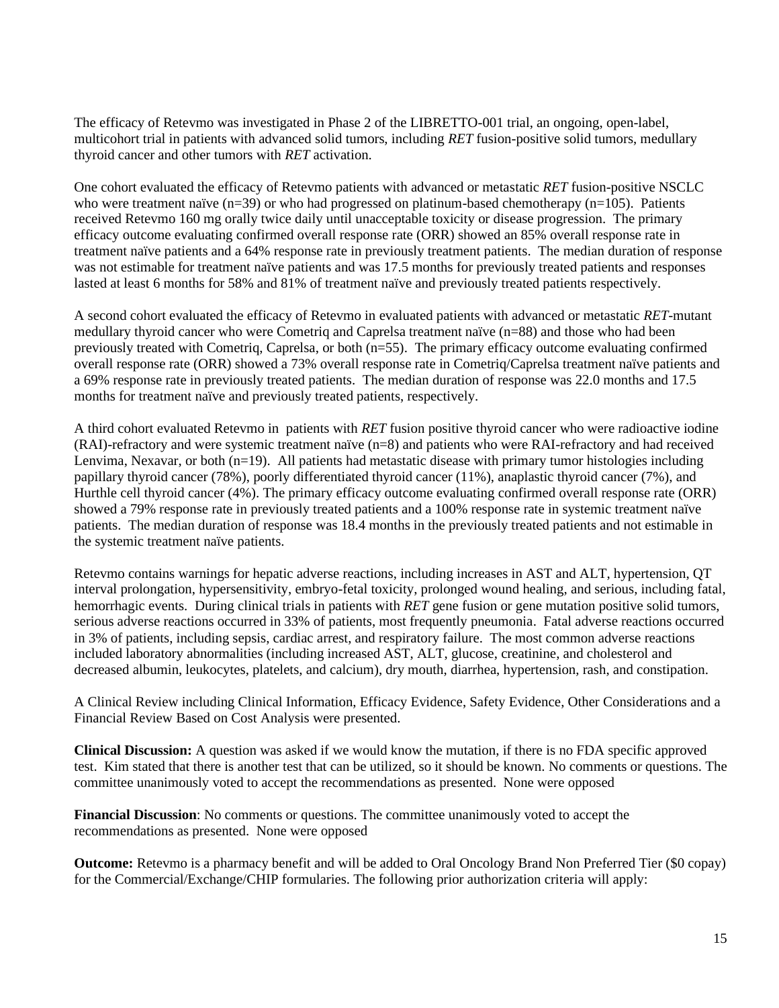The efficacy of Retevmo was investigated in Phase 2 of the LIBRETTO-001 trial, an ongoing, open-label, multicohort trial in patients with advanced solid tumors, including *RET* fusion-positive solid tumors, medullary thyroid cancer and other tumors with *RET* activation.

One cohort evaluated the efficacy of Retevmo patients with advanced or metastatic *RET* fusion-positive NSCLC who were treatment naïve (n=39) or who had progressed on platinum-based chemotherapy (n=105). Patients received Retevmo 160 mg orally twice daily until unacceptable toxicity or disease progression. The primary efficacy outcome evaluating confirmed overall response rate (ORR) showed an 85% overall response rate in treatment naïve patients and a 64% response rate in previously treatment patients. The median duration of response was not estimable for treatment naïve patients and was 17.5 months for previously treated patients and responses lasted at least 6 months for 58% and 81% of treatment naïve and previously treated patients respectively.

A second cohort evaluated the efficacy of Retevmo in evaluated patients with advanced or metastatic *RET*-mutant medullary thyroid cancer who were Cometriq and Caprelsa treatment naïve (n=88) and those who had been previously treated with Cometriq, Caprelsa, or both (n=55). The primary efficacy outcome evaluating confirmed overall response rate (ORR) showed a 73% overall response rate in Cometriq/Caprelsa treatment naïve patients and a 69% response rate in previously treated patients. The median duration of response was 22.0 months and 17.5 months for treatment naïve and previously treated patients, respectively.

A third cohort evaluated Retevmo in patients with *RET* fusion positive thyroid cancer who were radioactive iodine (RAI)-refractory and were systemic treatment naïve (n=8) and patients who were RAI-refractory and had received Lenvima, Nexavar, or both  $(n=19)$ . All patients had metastatic disease with primary tumor histologies including papillary thyroid cancer (78%), poorly differentiated thyroid cancer (11%), anaplastic thyroid cancer (7%), and Hurthle cell thyroid cancer (4%). The primary efficacy outcome evaluating confirmed overall response rate (ORR) showed a 79% response rate in previously treated patients and a 100% response rate in systemic treatment naïve patients. The median duration of response was 18.4 months in the previously treated patients and not estimable in the systemic treatment naïve patients.

Retevmo contains warnings for hepatic adverse reactions, including increases in AST and ALT, hypertension, QT interval prolongation, hypersensitivity, embryo-fetal toxicity, prolonged wound healing, and serious, including fatal, hemorrhagic events. During clinical trials in patients with *RET* gene fusion or gene mutation positive solid tumors, serious adverse reactions occurred in 33% of patients, most frequently pneumonia. Fatal adverse reactions occurred in 3% of patients, including sepsis, cardiac arrest, and respiratory failure. The most common adverse reactions included laboratory abnormalities (including increased AST, ALT, glucose, creatinine, and cholesterol and decreased albumin, leukocytes, platelets, and calcium), dry mouth, diarrhea, hypertension, rash, and constipation.

A Clinical Review including Clinical Information, Efficacy Evidence, Safety Evidence, Other Considerations and a Financial Review Based on Cost Analysis were presented.

**Clinical Discussion:** A question was asked if we would know the mutation, if there is no FDA specific approved test. Kim stated that there is another test that can be utilized, so it should be known. No comments or questions. The committee unanimously voted to accept the recommendations as presented. None were opposed

**Financial Discussion**: No comments or questions. The committee unanimously voted to accept the recommendations as presented. None were opposed

**Outcome:** Retevmo is a pharmacy benefit and will be added to Oral Oncology Brand Non Preferred Tier (\$0 copay) for the Commercial/Exchange/CHIP formularies. The following prior authorization criteria will apply: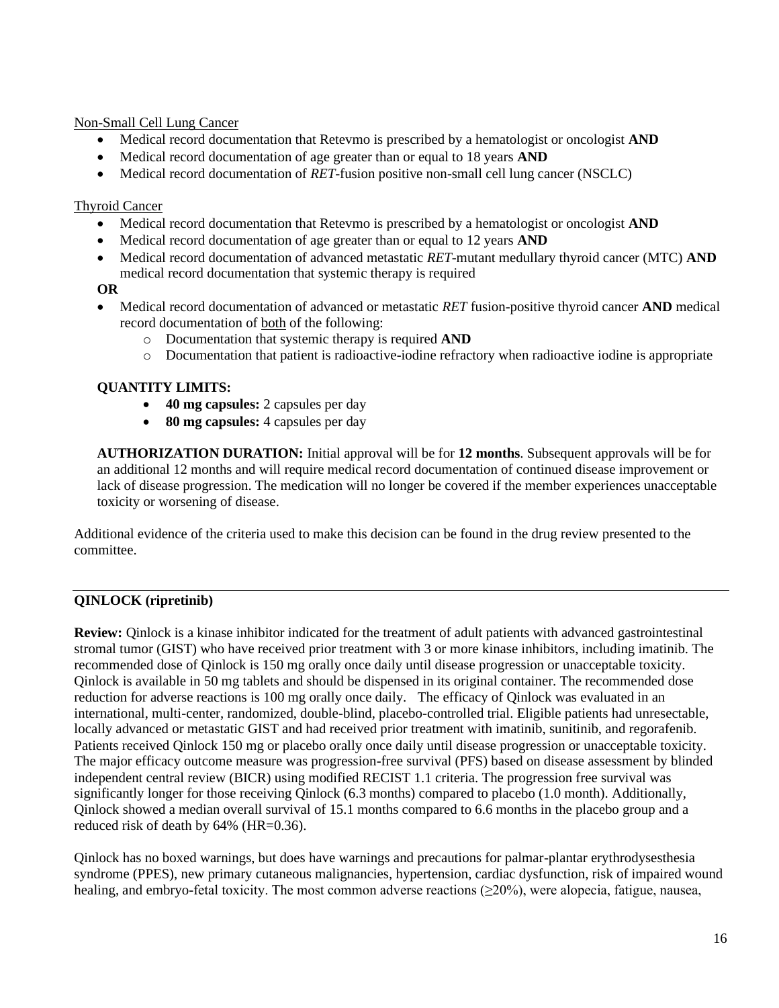### Non-Small Cell Lung Cancer

- Medical record documentation that Retevmo is prescribed by a hematologist or oncologist **AND**
- Medical record documentation of age greater than or equal to 18 years **AND**
- Medical record documentation of *RET*-fusion positive non-small cell lung cancer (NSCLC)

### Thyroid Cancer

- Medical record documentation that Retevmo is prescribed by a hematologist or oncologist **AND**
- Medical record documentation of age greater than or equal to 12 years **AND**
- Medical record documentation of advanced metastatic *RET*-mutant medullary thyroid cancer (MTC) **AND**  medical record documentation that systemic therapy is required

### **OR**

- Medical record documentation of advanced or metastatic *RET* fusion-positive thyroid cancer **AND** medical record documentation of both of the following:
	- o Documentation that systemic therapy is required **AND**
	- o Documentation that patient is radioactive-iodine refractory when radioactive iodine is appropriate

### **QUANTITY LIMITS:**

- **40 mg capsules:** 2 capsules per day
- **80 mg capsules:** 4 capsules per day

**AUTHORIZATION DURATION:** Initial approval will be for **12 months**. Subsequent approvals will be for an additional 12 months and will require medical record documentation of continued disease improvement or lack of disease progression. The medication will no longer be covered if the member experiences unacceptable toxicity or worsening of disease.

Additional evidence of the criteria used to make this decision can be found in the drug review presented to the committee.

# **QINLOCK (ripretinib)**

**Review:** Qinlock is a kinase inhibitor indicated for the treatment of adult patients with advanced gastrointestinal stromal tumor (GIST) who have received prior treatment with 3 or more kinase inhibitors, including imatinib. The recommended dose of Qinlock is 150 mg orally once daily until disease progression or unacceptable toxicity. Qinlock is available in 50 mg tablets and should be dispensed in its original container. The recommended dose reduction for adverse reactions is 100 mg orally once daily. The efficacy of Qinlock was evaluated in an international, multi-center, randomized, double-blind, placebo-controlled trial. Eligible patients had unresectable, locally advanced or metastatic GIST and had received prior treatment with imatinib, sunitinib, and regorafenib. Patients received Qinlock 150 mg or placebo orally once daily until disease progression or unacceptable toxicity. The major efficacy outcome measure was progression-free survival (PFS) based on disease assessment by blinded independent central review (BICR) using modified RECIST 1.1 criteria. The progression free survival was significantly longer for those receiving Qinlock (6.3 months) compared to placebo (1.0 month). Additionally, Qinlock showed a median overall survival of 15.1 months compared to 6.6 months in the placebo group and a reduced risk of death by 64% (HR=0.36).

Qinlock has no boxed warnings, but does have warnings and precautions for palmar-plantar erythrodysesthesia syndrome (PPES), new primary cutaneous malignancies, hypertension, cardiac dysfunction, risk of impaired wound healing, and embryo-fetal toxicity. The most common adverse reactions (>20%), were alopecia, fatigue, nausea,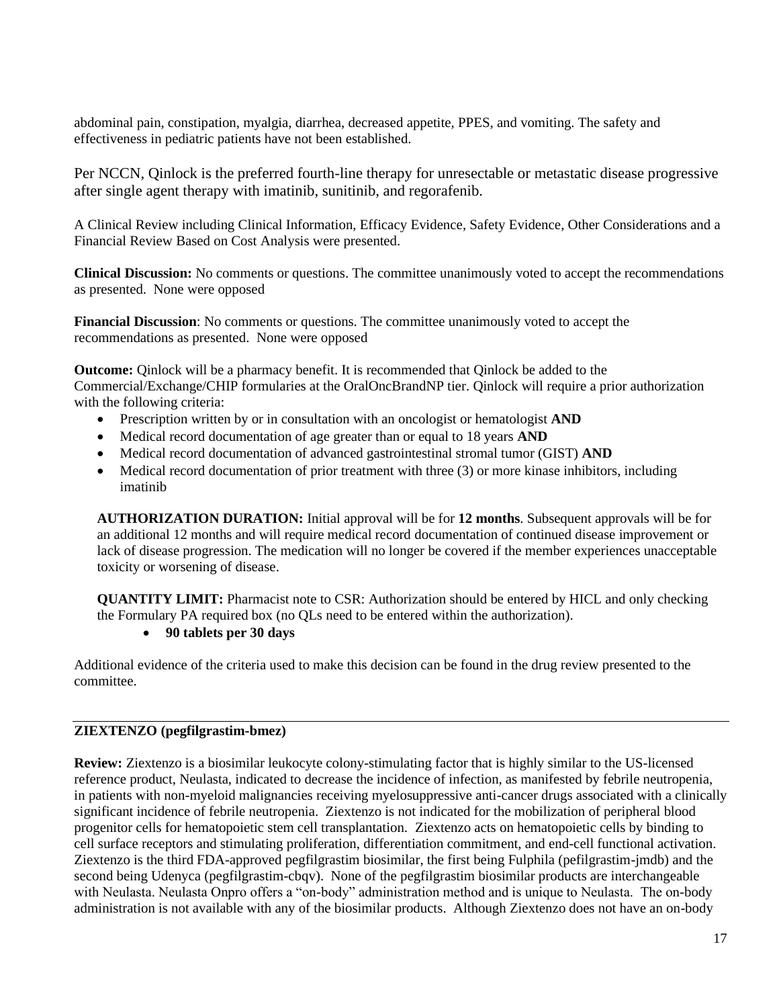abdominal pain, constipation, myalgia, diarrhea, decreased appetite, PPES, and vomiting. The safety and effectiveness in pediatric patients have not been established.

Per NCCN, Qinlock is the preferred fourth-line therapy for unresectable or metastatic disease progressive after single agent therapy with imatinib, sunitinib, and regorafenib.

A Clinical Review including Clinical Information, Efficacy Evidence, Safety Evidence, Other Considerations and a Financial Review Based on Cost Analysis were presented.

**Clinical Discussion:** No comments or questions. The committee unanimously voted to accept the recommendations as presented. None were opposed

**Financial Discussion**: No comments or questions. The committee unanimously voted to accept the recommendations as presented. None were opposed

**Outcome:** Qinlock will be a pharmacy benefit. It is recommended that Qinlock be added to the Commercial/Exchange/CHIP formularies at the OralOncBrandNP tier. Qinlock will require a prior authorization with the following criteria:

- Prescription written by or in consultation with an oncologist or hematologist **AND**
- Medical record documentation of age greater than or equal to 18 years **AND**
- Medical record documentation of advanced gastrointestinal stromal tumor (GIST) **AND**
- Medical record documentation of prior treatment with three (3) or more kinase inhibitors, including imatinib

**AUTHORIZATION DURATION:** Initial approval will be for **12 months**. Subsequent approvals will be for an additional 12 months and will require medical record documentation of continued disease improvement or lack of disease progression. The medication will no longer be covered if the member experiences unacceptable toxicity or worsening of disease.

**QUANTITY LIMIT:** Pharmacist note to CSR: Authorization should be entered by HICL and only checking the Formulary PA required box (no QLs need to be entered within the authorization).

#### • **90 tablets per 30 days**

Additional evidence of the criteria used to make this decision can be found in the drug review presented to the committee.

#### **ZIEXTENZO (pegfilgrastim-bmez)**

**Review:** Ziextenzo is a biosimilar leukocyte colony-stimulating factor that is highly similar to the US-licensed reference product, Neulasta, indicated to decrease the incidence of infection, as manifested by febrile neutropenia, in patients with non-myeloid malignancies receiving myelosuppressive anti-cancer drugs associated with a clinically significant incidence of febrile neutropenia. Ziextenzo is not indicated for the mobilization of peripheral blood progenitor cells for hematopoietic stem cell transplantation. Ziextenzo acts on hematopoietic cells by binding to cell surface receptors and stimulating proliferation, differentiation commitment, and end-cell functional activation. Ziextenzo is the third FDA-approved pegfilgrastim biosimilar, the first being Fulphila (pefilgrastim-jmdb) and the second being Udenyca (pegfilgrastim-cbqv). None of the pegfilgrastim biosimilar products are interchangeable with Neulasta. Neulasta Onpro offers a "on-body" administration method and is unique to Neulasta. The on-body administration is not available with any of the biosimilar products. Although Ziextenzo does not have an on-body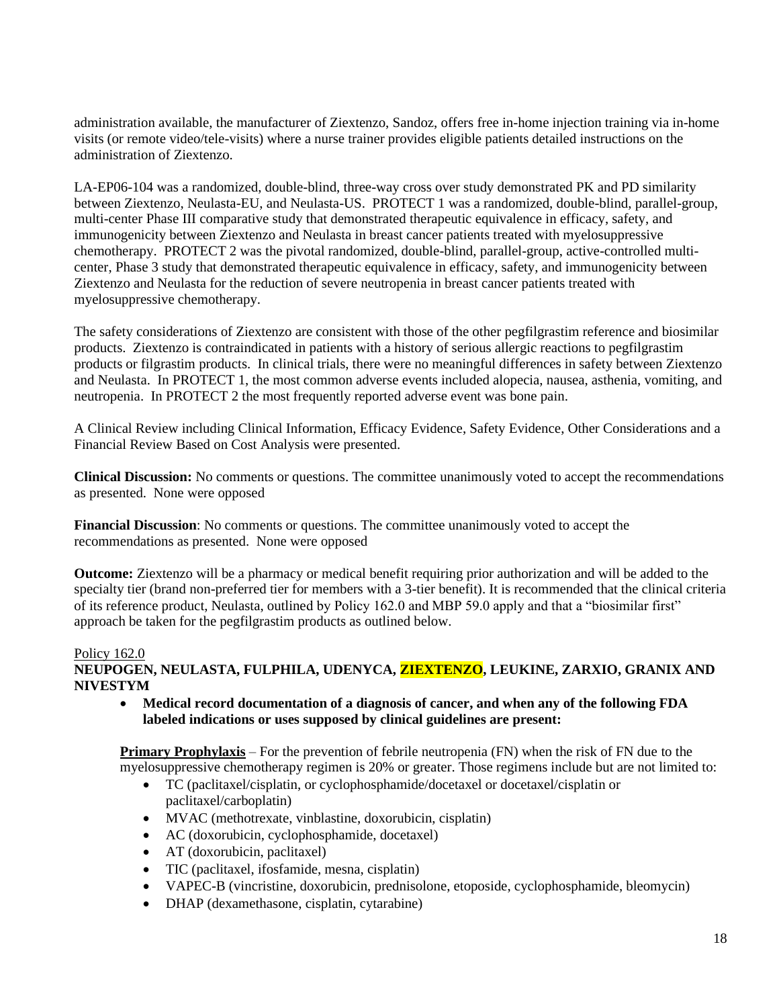administration available, the manufacturer of Ziextenzo, Sandoz, offers free in-home injection training via in-home visits (or remote video/tele-visits) where a nurse trainer provides eligible patients detailed instructions on the administration of Ziextenzo.

LA-EP06-104 was a randomized, double-blind, three-way cross over study demonstrated PK and PD similarity between Ziextenzo, Neulasta-EU, and Neulasta-US. PROTECT 1 was a randomized, double-blind, parallel-group, multi-center Phase III comparative study that demonstrated therapeutic equivalence in efficacy, safety, and immunogenicity between Ziextenzo and Neulasta in breast cancer patients treated with myelosuppressive chemotherapy. PROTECT 2 was the pivotal randomized, double-blind, parallel-group, active-controlled multicenter, Phase 3 study that demonstrated therapeutic equivalence in efficacy, safety, and immunogenicity between Ziextenzo and Neulasta for the reduction of severe neutropenia in breast cancer patients treated with myelosuppressive chemotherapy.

The safety considerations of Ziextenzo are consistent with those of the other pegfilgrastim reference and biosimilar products. Ziextenzo is contraindicated in patients with a history of serious allergic reactions to pegfilgrastim products or filgrastim products. In clinical trials, there were no meaningful differences in safety between Ziextenzo and Neulasta. In PROTECT 1, the most common adverse events included alopecia, nausea, asthenia, vomiting, and neutropenia. In PROTECT 2 the most frequently reported adverse event was bone pain.

A Clinical Review including Clinical Information, Efficacy Evidence, Safety Evidence, Other Considerations and a Financial Review Based on Cost Analysis were presented.

**Clinical Discussion:** No comments or questions. The committee unanimously voted to accept the recommendations as presented. None were opposed

**Financial Discussion**: No comments or questions. The committee unanimously voted to accept the recommendations as presented. None were opposed

**Outcome:** Ziextenzo will be a pharmacy or medical benefit requiring prior authorization and will be added to the specialty tier (brand non-preferred tier for members with a 3-tier benefit). It is recommended that the clinical criteria of its reference product, Neulasta, outlined by Policy 162.0 and MBP 59.0 apply and that a "biosimilar first" approach be taken for the pegfilgrastim products as outlined below.

#### Policy 162.0

### **NEUPOGEN, NEULASTA, FULPHILA, UDENYCA, ZIEXTENZO, LEUKINE, ZARXIO, GRANIX AND NIVESTYM**

• **Medical record documentation of a diagnosis of cancer, and when any of the following FDA labeled indications or uses supposed by clinical guidelines are present:** 

**Primary Prophylaxis** – For the prevention of febrile neutropenia (FN) when the risk of FN due to the myelosuppressive chemotherapy regimen is 20% or greater. Those regimens include but are not limited to:

- TC (paclitaxel/cisplatin, or cyclophosphamide/docetaxel or docetaxel/cisplatin or paclitaxel/carboplatin)
- MVAC (methotrexate, vinblastine, doxorubicin, cisplatin)
- AC (doxorubicin, cyclophosphamide, docetaxel)
- AT (doxorubicin, paclitaxel)
- TIC (paclitaxel, ifosfamide, mesna, cisplatin)
- VAPEC-B (vincristine, doxorubicin, prednisolone, etoposide, cyclophosphamide, bleomycin)
- DHAP (dexamethasone, cisplatin, cytarabine)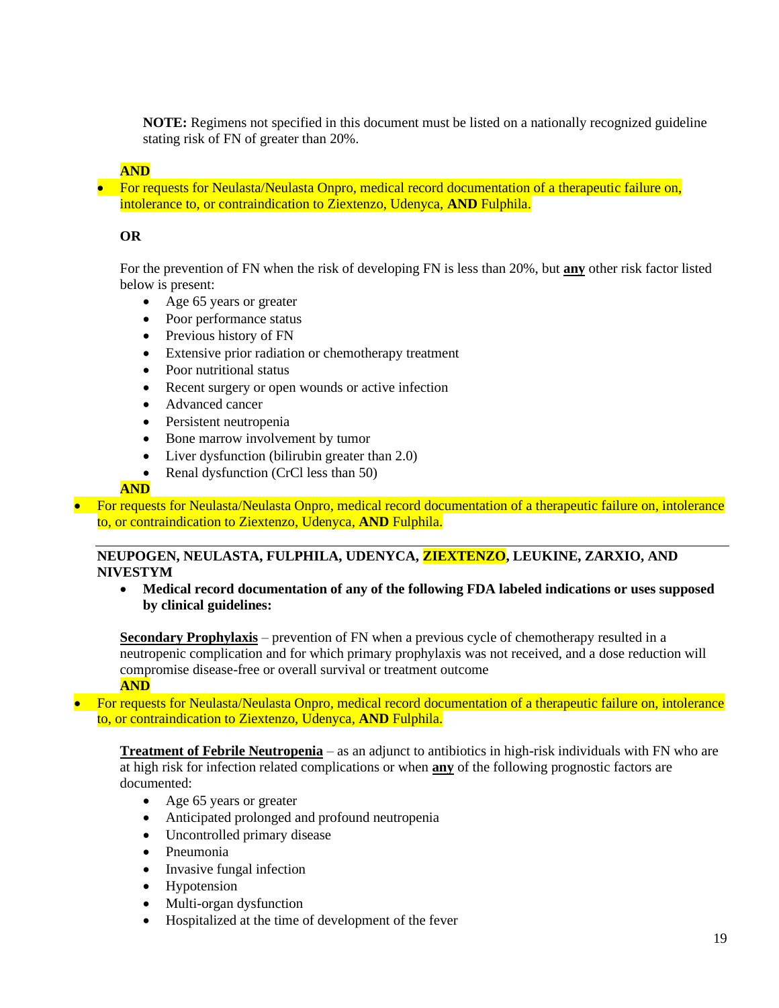**NOTE:** Regimens not specified in this document must be listed on a nationally recognized guideline stating risk of FN of greater than 20%.

# **AND**

• For requests for Neulasta/Neulasta Onpro, medical record documentation of a therapeutic failure on, intolerance to, or contraindication to Ziextenzo, Udenyca, **AND** Fulphila.

### **OR**

For the prevention of FN when the risk of developing FN is less than 20%, but **any** other risk factor listed below is present:

- Age 65 years or greater
- Poor performance status
- Previous history of FN
- Extensive prior radiation or chemotherapy treatment
- Poor nutritional status
- Recent surgery or open wounds or active infection
- Advanced cancer
- Persistent neutropenia
- Bone marrow involvement by tumor
- Liver dysfunction (bilirubin greater than 2.0)
- Renal dysfunction (CrCl less than 50)

#### **AND**

• For requests for Neulasta/Neulasta Onpro, medical record documentation of a therapeutic failure on, intolerance to, or contraindication to Ziextenzo, Udenyca, **AND** Fulphila.

### **NEUPOGEN, NEULASTA, FULPHILA, UDENYCA, ZIEXTENZO, LEUKINE, ZARXIO, AND NIVESTYM**

• **Medical record documentation of any of the following FDA labeled indications or uses supposed by clinical guidelines:** 

**Secondary Prophylaxis** – prevention of FN when a previous cycle of chemotherapy resulted in a neutropenic complication and for which primary prophylaxis was not received, and a dose reduction will compromise disease-free or overall survival or treatment outcome **AND**

• For requests for Neulasta/Neulasta Onpro, medical record documentation of a therapeutic failure on, intolerance to, or contraindication to Ziextenzo, Udenyca, **AND** Fulphila.

**Treatment of Febrile Neutropenia** – as an adjunct to antibiotics in high-risk individuals with FN who are at high risk for infection related complications or when **any** of the following prognostic factors are documented:

- Age 65 years or greater
- Anticipated prolonged and profound neutropenia
- Uncontrolled primary disease
- Pneumonia
- Invasive fungal infection
- Hypotension
- Multi-organ dysfunction
- Hospitalized at the time of development of the fever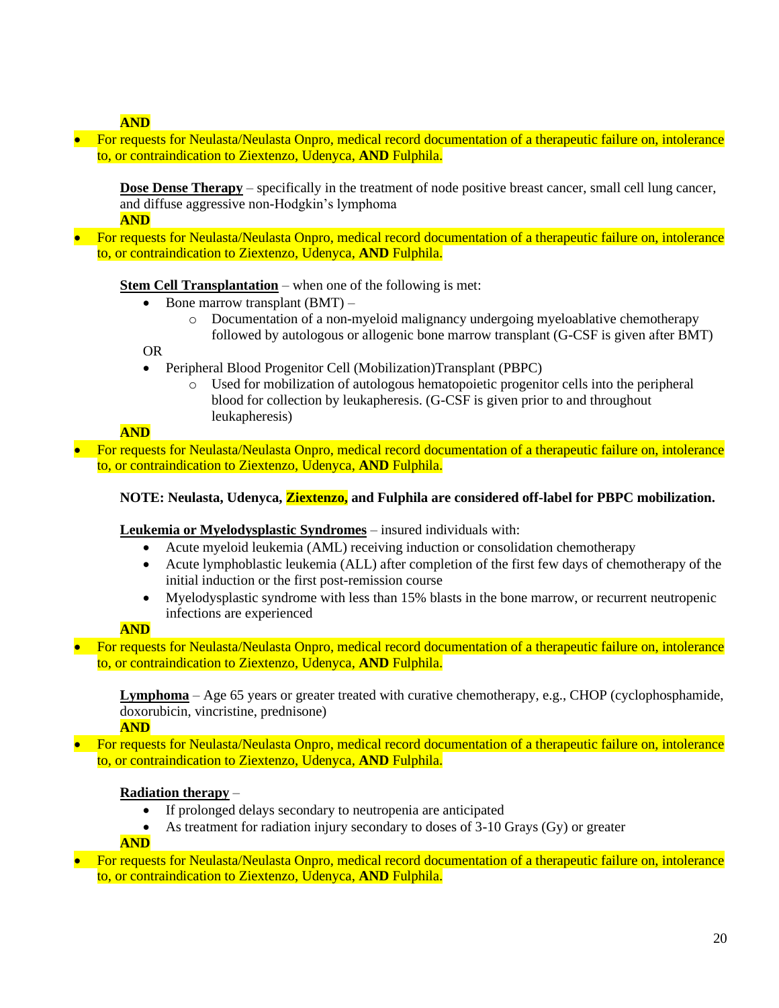**AND**

• For requests for Neulasta/Neulasta Onpro, medical record documentation of a therapeutic failure on, intolerance to, or contraindication to Ziextenzo, Udenyca, **AND** Fulphila.

**Dose Dense Therapy** – specifically in the treatment of node positive breast cancer, small cell lung cancer, and diffuse aggressive non-Hodgkin's lymphoma **AND**

• For requests for Neulasta/Neulasta Onpro, medical record documentation of a therapeutic failure on, intolerance to, or contraindication to Ziextenzo, Udenyca, **AND** Fulphila.

**Stem Cell Transplantation** – when one of the following is met:

- Bone marrow transplant  $(BMT)$ 
	- o Documentation of a non-myeloid malignancy undergoing myeloablative chemotherapy followed by autologous or allogenic bone marrow transplant (G-CSF is given after BMT)

OR

- Peripheral Blood Progenitor Cell (Mobilization)Transplant (PBPC)
	- o Used for mobilization of autologous hematopoietic progenitor cells into the peripheral blood for collection by leukapheresis. (G-CSF is given prior to and throughout leukapheresis)

**AND**

• For requests for Neulasta/Neulasta Onpro, medical record documentation of a therapeutic failure on, intolerance to, or contraindication to Ziextenzo, Udenyca, **AND** Fulphila.

# **NOTE: Neulasta, Udenyca, Ziextenzo, and Fulphila are considered off-label for PBPC mobilization.**

# **Leukemia or Myelodysplastic Syndromes** – insured individuals with:

- Acute myeloid leukemia (AML) receiving induction or consolidation chemotherapy
- Acute lymphoblastic leukemia (ALL) after completion of the first few days of chemotherapy of the initial induction or the first post-remission course
- Myelodysplastic syndrome with less than 15% blasts in the bone marrow, or recurrent neutropenic infections are experienced

# **AND**

• For requests for Neulasta/Neulasta Onpro, medical record documentation of a therapeutic failure on, intolerance to, or contraindication to Ziextenzo, Udenyca, **AND** Fulphila.

**Lymphoma** – Age 65 years or greater treated with curative chemotherapy, e.g., CHOP (cyclophosphamide, doxorubicin, vincristine, prednisone)

**AND**

• For requests for Neulasta/Neulasta Onpro, medical record documentation of a therapeutic failure on, intolerance to, or contraindication to Ziextenzo, Udenyca, **AND** Fulphila.

#### **Radiation therapy** –

- If prolonged delays secondary to neutropenia are anticipated
- As treatment for radiation injury secondary to doses of 3-10 Grays (Gy) or greater

#### **AND**

• For requests for Neulasta/Neulasta Onpro, medical record documentation of a therapeutic failure on, intolerance to, or contraindication to Ziextenzo, Udenyca, **AND** Fulphila.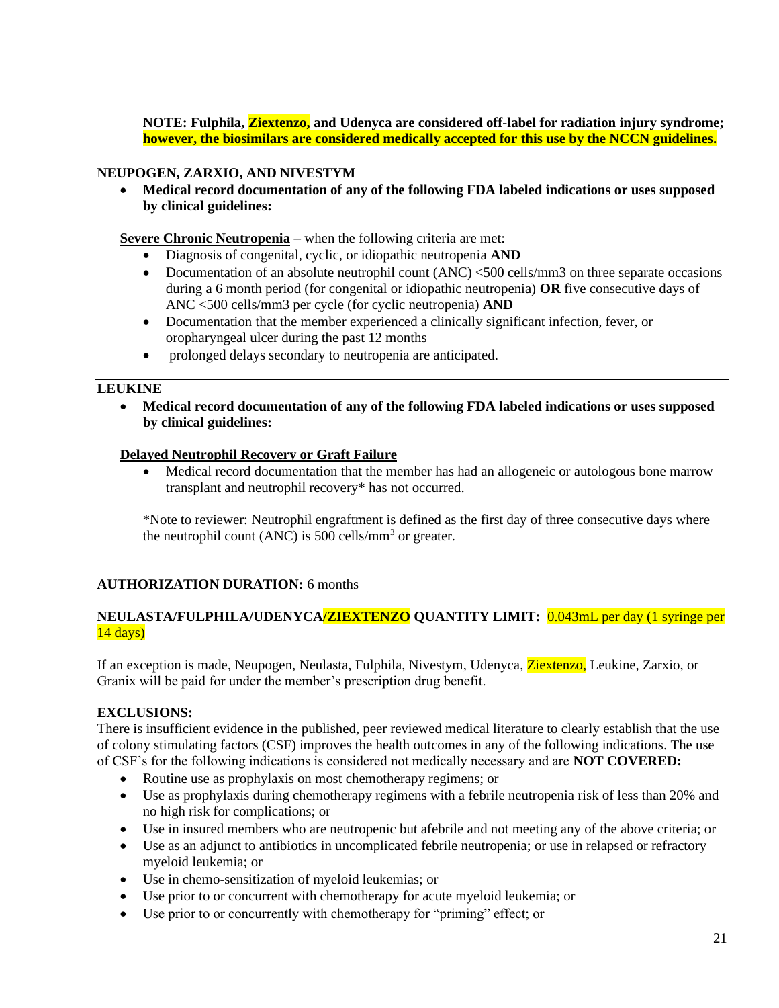**NOTE: Fulphila, Ziextenzo, and Udenyca are considered off-label for radiation injury syndrome; however, the biosimilars are considered medically accepted for this use by the NCCN guidelines.**

### **NEUPOGEN, ZARXIO, AND NIVESTYM**

• **Medical record documentation of any of the following FDA labeled indications or uses supposed by clinical guidelines:** 

**Severe Chronic Neutropenia** – when the following criteria are met:

- Diagnosis of congenital, cyclic, or idiopathic neutropenia **AND**
- Documentation of an absolute neutrophil count (ANC) <500 cells/mm3 on three separate occasions during a 6 month period (for congenital or idiopathic neutropenia) **OR** five consecutive days of ANC <500 cells/mm3 per cycle (for cyclic neutropenia) **AND**
- Documentation that the member experienced a clinically significant infection, fever, or oropharyngeal ulcer during the past 12 months
- prolonged delays secondary to neutropenia are anticipated.

### **LEUKINE**

• **Medical record documentation of any of the following FDA labeled indications or uses supposed by clinical guidelines:** 

### **Delayed Neutrophil Recovery or Graft Failure**

• Medical record documentation that the member has had an allogeneic or autologous bone marrow transplant and neutrophil recovery\* has not occurred.

\*Note to reviewer: Neutrophil engraftment is defined as the first day of three consecutive days where the neutrophil count (ANC) is 500 cells/mm<sup>3</sup> or greater.

# **AUTHORIZATION DURATION:** 6 months

#### **NEULASTA/FULPHILA/UDENYCA/ZIEXTENZO QUANTITY LIMIT:** 0.043mL per day (1 syringe per  $14 \text{ days}$

If an exception is made, Neupogen, Neulasta, Fulphila, Nivestym, Udenyca, Ziextenzo, Leukine, Zarxio, or Granix will be paid for under the member's prescription drug benefit.

# **EXCLUSIONS:**

There is insufficient evidence in the published, peer reviewed medical literature to clearly establish that the use of colony stimulating factors (CSF) improves the health outcomes in any of the following indications. The use of CSF's for the following indications is considered not medically necessary and are **NOT COVERED:** 

- Routine use as prophylaxis on most chemotherapy regimens; or
- Use as prophylaxis during chemotherapy regimens with a febrile neutropenia risk of less than 20% and no high risk for complications; or
- Use in insured members who are neutropenic but afebrile and not meeting any of the above criteria; or
- Use as an adjunct to antibiotics in uncomplicated febrile neutropenia; or use in relapsed or refractory myeloid leukemia; or
- Use in chemo-sensitization of myeloid leukemias; or
- Use prior to or concurrent with chemotherapy for acute myeloid leukemia; or
- Use prior to or concurrently with chemotherapy for "priming" effect; or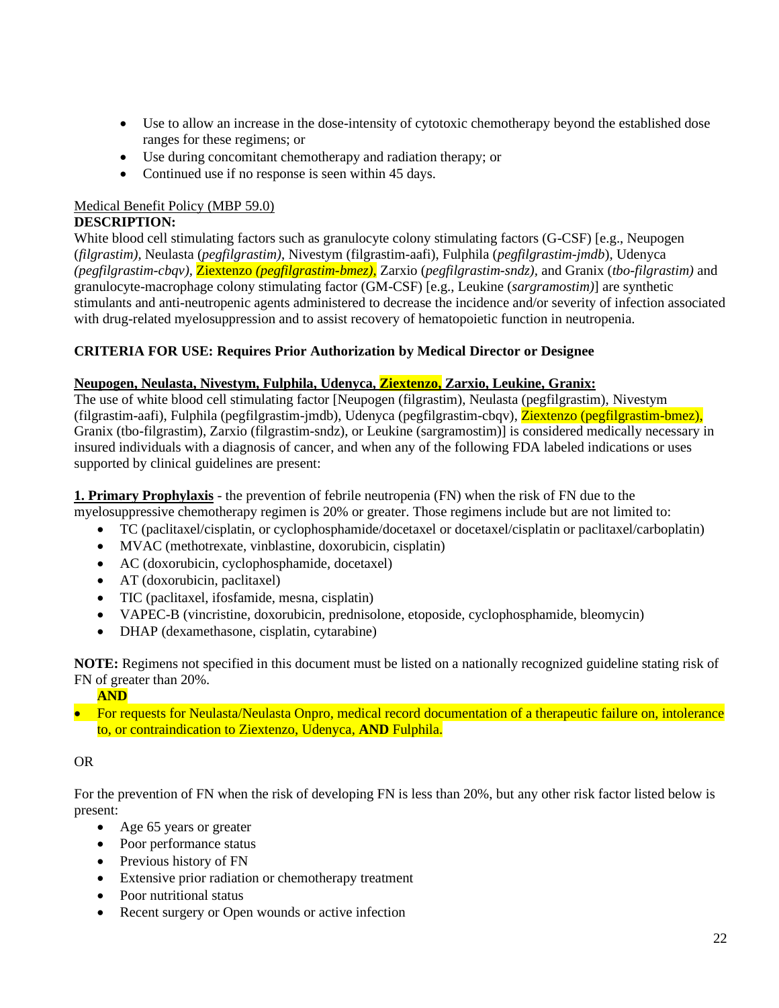- Use to allow an increase in the dose-intensity of cytotoxic chemotherapy beyond the established dose ranges for these regimens; or
- Use during concomitant chemotherapy and radiation therapy; or
- Continued use if no response is seen within 45 days.

# Medical Benefit Policy (MBP 59.0)

# **DESCRIPTION:**

White blood cell stimulating factors such as granulocyte colony stimulating factors (G-CSF) [e.g., Neupogen (*filgrastim),* Neulasta (*pegfilgrastim)*, Nivestym (filgrastim-aafi), Fulphila (*pegfilgrastim-jmdb*)*,* Udenyca *(pegfilgrastim-cbqv),* Ziextenzo *(pegfilgrastim-bmez),* Zarxio (*pegfilgrastim-sndz),* and Granix (*tbo-filgrastim)* and granulocyte-macrophage colony stimulating factor (GM-CSF) [e.g., Leukine (*sargramostim)*] are synthetic stimulants and anti-neutropenic agents administered to decrease the incidence and/or severity of infection associated with drug-related myelosuppression and to assist recovery of hematopoietic function in neutropenia.

# **CRITERIA FOR USE: Requires Prior Authorization by Medical Director or Designee**

# **Neupogen, Neulasta, Nivestym, Fulphila, Udenyca, Ziextenzo, Zarxio, Leukine, Granix:**

The use of white blood cell stimulating factor [Neupogen (filgrastim), Neulasta (pegfilgrastim), Nivestym (filgrastim-aafi), Fulphila (pegfilgrastim-jmdb), Udenyca (pegfilgrastim-cbqv), Ziextenzo (pegfilgrastim-bmez), Granix (tbo-filgrastim), Zarxio (filgrastim-sndz), or Leukine (sargramostim)] is considered medically necessary in insured individuals with a diagnosis of cancer, and when any of the following FDA labeled indications or uses supported by clinical guidelines are present:

#### **1. Primary Prophylaxis** - the prevention of febrile neutropenia (FN) when the risk of FN due to the myelosuppressive chemotherapy regimen is 20% or greater. Those regimens include but are not limited to:

- TC (paclitaxel/cisplatin, or cyclophosphamide/docetaxel or docetaxel/cisplatin or paclitaxel/carboplatin)
- MVAC (methotrexate, vinblastine, doxorubicin, cisplatin)
- AC (doxorubicin, cyclophosphamide, docetaxel)
- AT (doxorubicin, paclitaxel)
- TIC (paclitaxel, ifosfamide, mesna, cisplatin)
- VAPEC-B (vincristine, doxorubicin, prednisolone, etoposide, cyclophosphamide, bleomycin)
- DHAP (dexamethasone, cisplatin, cytarabine)

**NOTE:** Regimens not specified in this document must be listed on a nationally recognized guideline stating risk of FN of greater than 20%.

# **AND**

• For requests for Neulasta/Neulasta Onpro, medical record documentation of a therapeutic failure on, intolerance to, or contraindication to Ziextenzo, Udenyca, **AND** Fulphila.

# OR

For the prevention of FN when the risk of developing FN is less than 20%, but any other risk factor listed below is present:

- Age 65 years or greater
- Poor performance status
- Previous history of FN
- Extensive prior radiation or chemotherapy treatment
- Poor nutritional status
- Recent surgery or Open wounds or active infection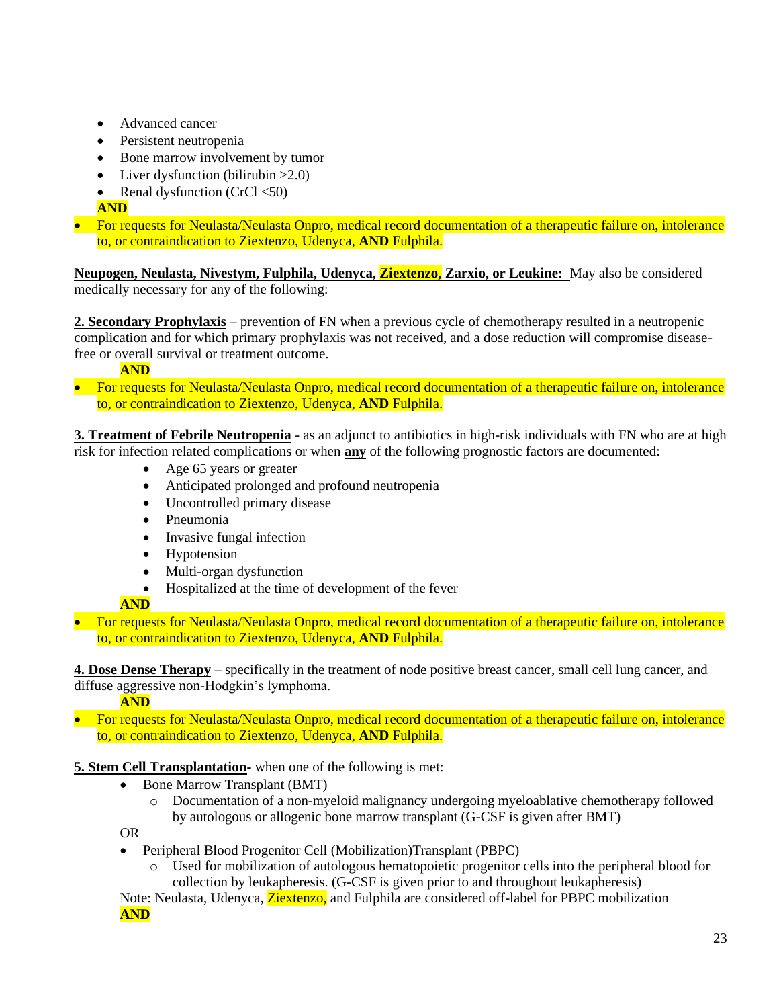- Advanced cancer
- Persistent neutropenia
- Bone marrow involvement by tumor
- Liver dysfunction (bilirubin  $>2.0$ )
- Renal dysfunction (CrCl  $\langle 50 \rangle$

**AND**

• For requests for Neulasta/Neulasta Onpro, medical record documentation of a therapeutic failure on, intolerance to, or contraindication to Ziextenzo, Udenyca, **AND** Fulphila.

**Neupogen, Neulasta, Nivestym, Fulphila, Udenyca, Ziextenzo, Zarxio, or Leukine:** May also be considered medically necessary for any of the following:

**2. Secondary Prophylaxis** – prevention of FN when a previous cycle of chemotherapy resulted in a neutropenic complication and for which primary prophylaxis was not received, and a dose reduction will compromise diseasefree or overall survival or treatment outcome.

**AND**

• For requests for Neulasta/Neulasta Onpro, medical record documentation of a therapeutic failure on, intolerance to, or contraindication to Ziextenzo, Udenyca, **AND** Fulphila.

**3. Treatment of Febrile Neutropenia** - as an adjunct to antibiotics in high-risk individuals with FN who are at high risk for infection related complications or when **any** of the following prognostic factors are documented:

- Age 65 years or greater
- Anticipated prolonged and profound neutropenia
- Uncontrolled primary disease
- Pneumonia
- Invasive fungal infection
- Hypotension
- Multi-organ dysfunction
- Hospitalized at the time of development of the fever

# **AND**

• For requests for Neulasta/Neulasta Onpro, medical record documentation of a therapeutic failure on, intolerance to, or contraindication to Ziextenzo, Udenyca, **AND** Fulphila.

**4. Dose Dense Therapy** – specifically in the treatment of node positive breast cancer, small cell lung cancer, and diffuse aggressive non-Hodgkin's lymphoma.

**AND**

• For requests for Neulasta/Neulasta Onpro, medical record documentation of a therapeutic failure on, intolerance to, or contraindication to Ziextenzo, Udenyca, **AND** Fulphila.

**5. Stem Cell Transplantation-** when one of the following is met:

- Bone Marrow Transplant (BMT)
	- o Documentation of a non-myeloid malignancy undergoing myeloablative chemotherapy followed by autologous or allogenic bone marrow transplant (G-CSF is given after BMT)

OR

- Peripheral Blood Progenitor Cell (Mobilization)Transplant (PBPC)
	- o Used for mobilization of autologous hematopoietic progenitor cells into the peripheral blood for collection by leukapheresis. (G-CSF is given prior to and throughout leukapheresis)

Note: Neulasta, Udenyca, Ziextenzo, and Fulphila are considered off-label for PBPC mobilization **AND**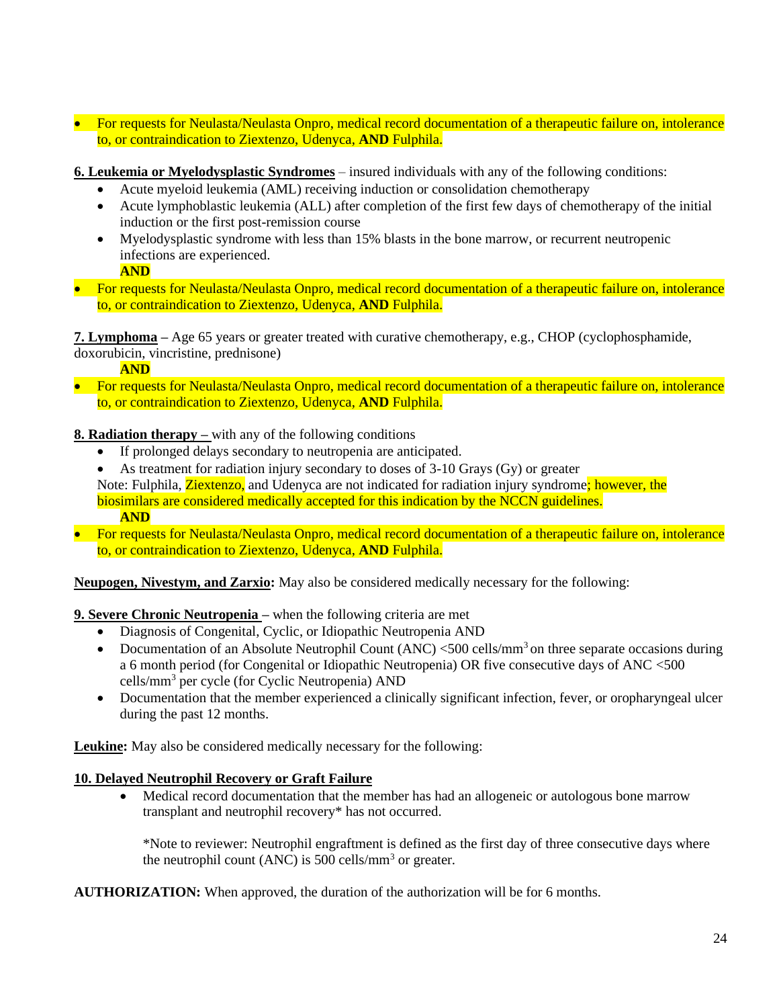- For requests for Neulasta/Neulasta Onpro, medical record documentation of a therapeutic failure on, intolerance to, or contraindication to Ziextenzo, Udenyca, **AND** Fulphila.
- **6. Leukemia or Myelodysplastic Syndromes** insured individuals with any of the following conditions:
	- Acute myeloid leukemia (AML) receiving induction or consolidation chemotherapy
	- Acute lymphoblastic leukemia (ALL) after completion of the first few days of chemotherapy of the initial induction or the first post-remission course
	- Myelodysplastic syndrome with less than 15% blasts in the bone marrow, or recurrent neutropenic infections are experienced.

**AND**

• For requests for Neulasta/Neulasta Onpro, medical record documentation of a therapeutic failure on, intolerance to, or contraindication to Ziextenzo, Udenyca, **AND** Fulphila.

**7. Lymphoma –** Age 65 years or greater treated with curative chemotherapy, e.g., CHOP (cyclophosphamide, doxorubicin, vincristine, prednisone)

**AND**

• For requests for Neulasta/Neulasta Onpro, medical record documentation of a therapeutic failure on, intolerance to, or contraindication to Ziextenzo, Udenyca, **AND** Fulphila.

**8. Radiation therapy** – with any of the following conditions

- If prolonged delays secondary to neutropenia are anticipated.
- As treatment for radiation injury secondary to doses of 3-10 Grays (Gy) or greater Note: Fulphila, **Ziextenzo**, and Udenyca are not indicated for radiation injury syndrome; however, the biosimilars are considered medically accepted for this indication by the NCCN guidelines. **AND**
- For requests for Neulasta/Neulasta Onpro, medical record documentation of a therapeutic failure on, intolerance to, or contraindication to Ziextenzo, Udenyca, **AND** Fulphila.

**Neupogen, Nivestym, and Zarxio:** May also be considered medically necessary for the following:

# **9. Severe Chronic Neutropenia –** when the following criteria are met

- Diagnosis of Congenital, Cyclic, or Idiopathic Neutropenia AND
- Documentation of an Absolute Neutrophil Count  $(ANC) < 500$  cells/mm<sup>3</sup> on three separate occasions during a 6 month period (for Congenital or Idiopathic Neutropenia) OR five consecutive days of ANC <500 cells/mm<sup>3</sup> per cycle (for Cyclic Neutropenia) AND
- Documentation that the member experienced a clinically significant infection, fever, or oropharyngeal ulcer during the past 12 months.

**Leukine:** May also be considered medically necessary for the following:

# **10. Delayed Neutrophil Recovery or Graft Failure**

• Medical record documentation that the member has had an allogeneic or autologous bone marrow transplant and neutrophil recovery\* has not occurred.

\*Note to reviewer: Neutrophil engraftment is defined as the first day of three consecutive days where the neutrophil count (ANC) is 500 cells/mm<sup>3</sup> or greater.

**AUTHORIZATION:** When approved, the duration of the authorization will be for 6 months.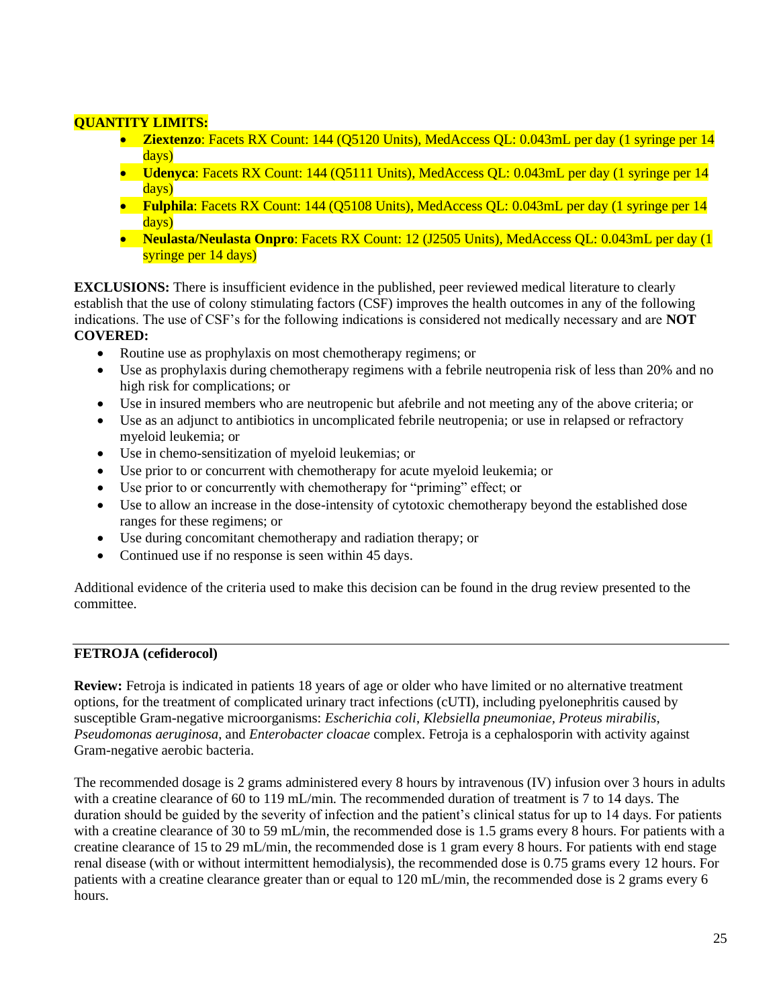# **QUANTITY LIMITS:**

- **Ziextenzo**: Facets RX Count: 144 (Q5120 Units), MedAccess QL: 0.043mL per day (1 syringe per 14 days)
- **Udenyca**: Facets RX Count: 144 (Q5111 Units), MedAccess QL: 0.043mL per day (1 syringe per 14 days)
- **Fulphila**: Facets RX Count: 144 (Q5108 Units), MedAccess QL: 0.043mL per day (1 syringe per 14 days)
- **Neulasta/Neulasta Onpro**: Facets RX Count: 12 (J2505 Units), MedAccess QL: 0.043mL per day (1 syringe per 14 days)

**EXCLUSIONS:** There is insufficient evidence in the published, peer reviewed medical literature to clearly establish that the use of colony stimulating factors (CSF) improves the health outcomes in any of the following indications. The use of CSF's for the following indications is considered not medically necessary and are **NOT COVERED:**

- Routine use as prophylaxis on most chemotherapy regimens; or
- Use as prophylaxis during chemotherapy regimens with a febrile neutropenia risk of less than 20% and no high risk for complications; or
- Use in insured members who are neutropenic but afebrile and not meeting any of the above criteria; or
- Use as an adjunct to antibiotics in uncomplicated febrile neutropenia; or use in relapsed or refractory myeloid leukemia; or
- Use in chemo-sensitization of myeloid leukemias; or
- Use prior to or concurrent with chemotherapy for acute myeloid leukemia; or
- Use prior to or concurrently with chemotherapy for "priming" effect; or
- Use to allow an increase in the dose-intensity of cytotoxic chemotherapy beyond the established dose ranges for these regimens; or
- Use during concomitant chemotherapy and radiation therapy; or
- Continued use if no response is seen within 45 days.

Additional evidence of the criteria used to make this decision can be found in the drug review presented to the committee.

# **FETROJA (cefiderocol)**

**Review:** Fetroja is indicated in patients 18 years of age or older who have limited or no alternative treatment options, for the treatment of complicated urinary tract infections (cUTI), including pyelonephritis caused by susceptible Gram-negative microorganisms: *Escherichia coli*, *Klebsiella pneumoniae, Proteus mirabilis*, *Pseudomonas aeruginosa*, and *Enterobacter cloacae* complex. Fetroja is a cephalosporin with activity against Gram-negative aerobic bacteria.

The recommended dosage is 2 grams administered every 8 hours by intravenous (IV) infusion over 3 hours in adults with a creatine clearance of 60 to 119 mL/min. The recommended duration of treatment is 7 to 14 days. The duration should be guided by the severity of infection and the patient's clinical status for up to 14 days. For patients with a creatine clearance of 30 to 59 mL/min, the recommended dose is 1.5 grams every 8 hours. For patients with a creatine clearance of 15 to 29 mL/min, the recommended dose is 1 gram every 8 hours. For patients with end stage renal disease (with or without intermittent hemodialysis), the recommended dose is 0.75 grams every 12 hours. For patients with a creatine clearance greater than or equal to 120 mL/min, the recommended dose is 2 grams every 6 hours.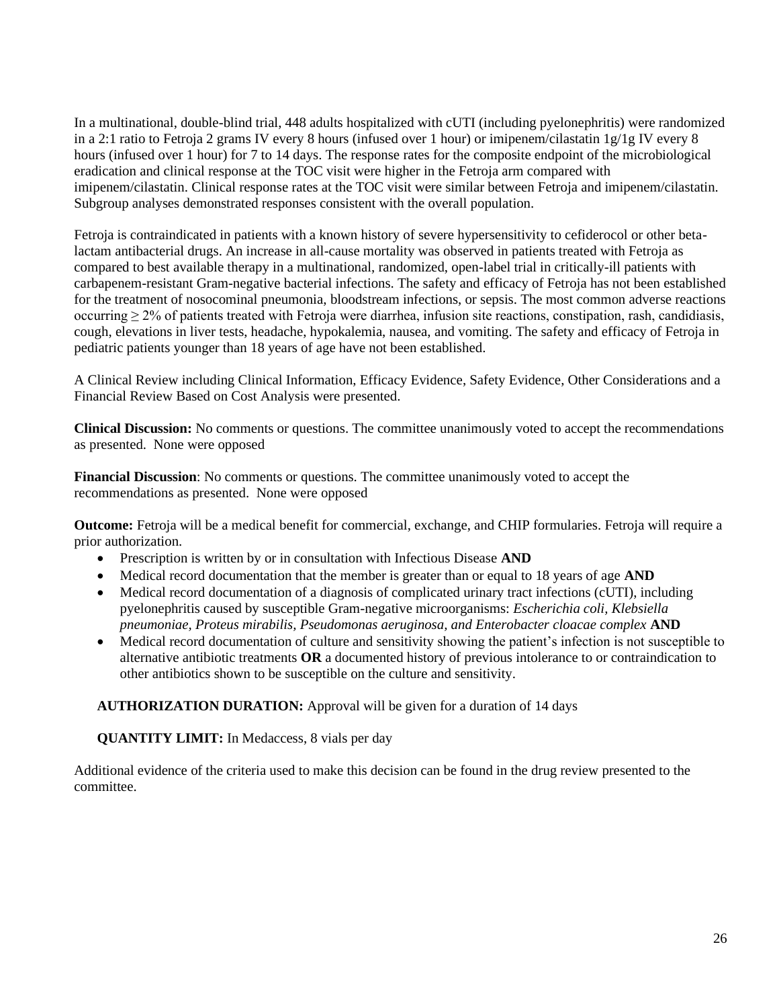In a multinational, double-blind trial, 448 adults hospitalized with cUTI (including pyelonephritis) were randomized in a 2:1 ratio to Fetroja 2 grams IV every 8 hours (infused over 1 hour) or imipenem/cilastatin 1g/1g IV every 8 hours (infused over 1 hour) for 7 to 14 days. The response rates for the composite endpoint of the microbiological eradication and clinical response at the TOC visit were higher in the Fetroja arm compared with imipenem/cilastatin. Clinical response rates at the TOC visit were similar between Fetroja and imipenem/cilastatin. Subgroup analyses demonstrated responses consistent with the overall population.

Fetroja is contraindicated in patients with a known history of severe hypersensitivity to cefiderocol or other betalactam antibacterial drugs. An increase in all-cause mortality was observed in patients treated with Fetroja as compared to best available therapy in a multinational, randomized, open-label trial in critically-ill patients with carbapenem-resistant Gram-negative bacterial infections. The safety and efficacy of Fetroja has not been established for the treatment of nosocominal pneumonia, bloodstream infections, or sepsis. The most common adverse reactions occurring ≥ 2% of patients treated with Fetroja were diarrhea, infusion site reactions, constipation, rash, candidiasis, cough, elevations in liver tests, headache, hypokalemia, nausea, and vomiting. The safety and efficacy of Fetroja in pediatric patients younger than 18 years of age have not been established.

A Clinical Review including Clinical Information, Efficacy Evidence, Safety Evidence, Other Considerations and a Financial Review Based on Cost Analysis were presented.

**Clinical Discussion:** No comments or questions. The committee unanimously voted to accept the recommendations as presented. None were opposed

**Financial Discussion**: No comments or questions. The committee unanimously voted to accept the recommendations as presented. None were opposed

**Outcome:** Fetroja will be a medical benefit for commercial, exchange, and CHIP formularies. Fetroja will require a prior authorization.

- Prescription is written by or in consultation with Infectious Disease **AND**
- Medical record documentation that the member is greater than or equal to 18 years of age **AND**
- Medical record documentation of a diagnosis of complicated urinary tract infections (cUTI), including pyelonephritis caused by susceptible Gram-negative microorganisms: *Escherichia coli, Klebsiella pneumoniae, Proteus mirabilis, Pseudomonas aeruginosa, and Enterobacter cloacae complex* **AND**
- Medical record documentation of culture and sensitivity showing the patient's infection is not susceptible to alternative antibiotic treatments **OR** a documented history of previous intolerance to or contraindication to other antibiotics shown to be susceptible on the culture and sensitivity.

**AUTHORIZATION DURATION:** Approval will be given for a duration of 14 days

**QUANTITY LIMIT:** In Medaccess, 8 vials per day

Additional evidence of the criteria used to make this decision can be found in the drug review presented to the committee.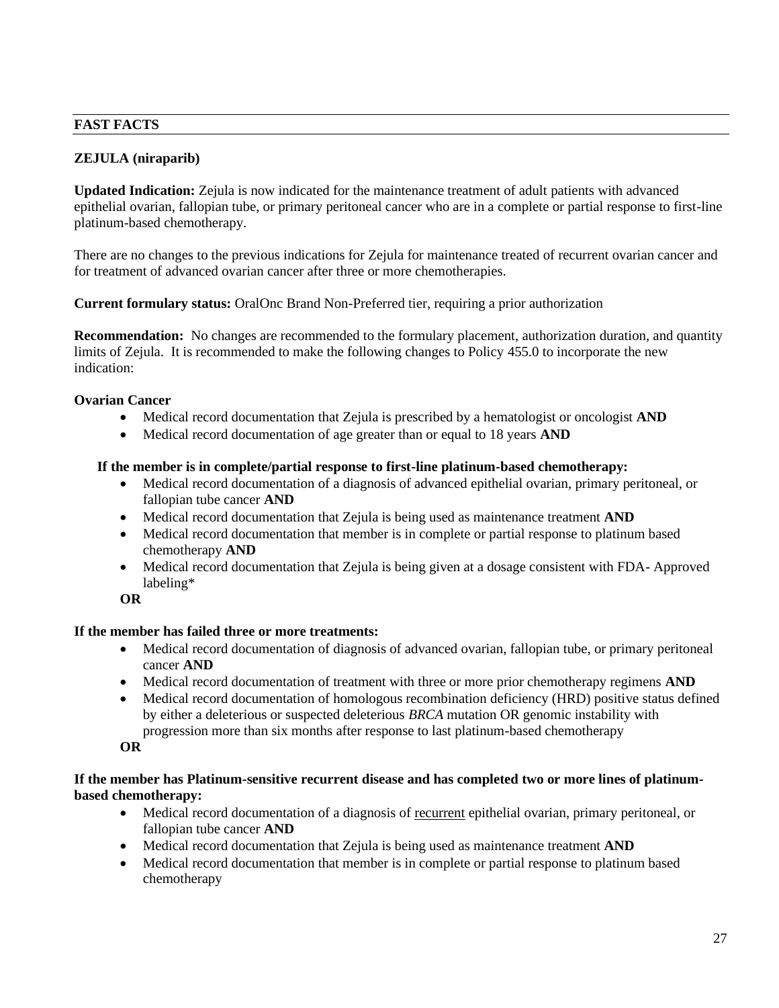### **FAST FACTS**

# **ZEJULA (niraparib)**

**Updated Indication:** Zejula is now indicated for the maintenance treatment of adult patients with advanced epithelial ovarian, fallopian tube, or primary peritoneal cancer who are in a complete or partial response to first-line platinum-based chemotherapy.

There are no changes to the previous indications for Zejula for maintenance treated of recurrent ovarian cancer and for treatment of advanced ovarian cancer after three or more chemotherapies.

**Current formulary status:** OralOnc Brand Non-Preferred tier, requiring a prior authorization

**Recommendation:** No changes are recommended to the formulary placement, authorization duration, and quantity limits of Zejula. It is recommended to make the following changes to Policy 455.0 to incorporate the new indication:

### **Ovarian Cancer**

- Medical record documentation that Zejula is prescribed by a hematologist or oncologist **AND**
- Medical record documentation of age greater than or equal to 18 years **AND**

#### **If the member is in complete/partial response to first-line platinum-based chemotherapy:**

- Medical record documentation of a diagnosis of advanced epithelial ovarian, primary peritoneal, or fallopian tube cancer **AND**
- Medical record documentation that Zejula is being used as maintenance treatment **AND**
- Medical record documentation that member is in complete or partial response to platinum based chemotherapy **AND**
- Medical record documentation that Zejula is being given at a dosage consistent with FDA- Approved labeling\*

**OR**

#### **If the member has failed three or more treatments:**

- Medical record documentation of diagnosis of advanced ovarian, fallopian tube, or primary peritoneal cancer **AND**
- Medical record documentation of treatment with three or more prior chemotherapy regimens **AND**
- Medical record documentation of homologous recombination deficiency (HRD) positive status defined by either a deleterious or suspected deleterious *BRCA* mutation OR genomic instability with progression more than six months after response to last platinum-based chemotherapy

**OR**

#### **If the member has Platinum-sensitive recurrent disease and has completed two or more lines of platinumbased chemotherapy:**

- Medical record documentation of a diagnosis of recurrent epithelial ovarian, primary peritoneal, or fallopian tube cancer **AND**
- Medical record documentation that Zejula is being used as maintenance treatment **AND**
- Medical record documentation that member is in complete or partial response to platinum based chemotherapy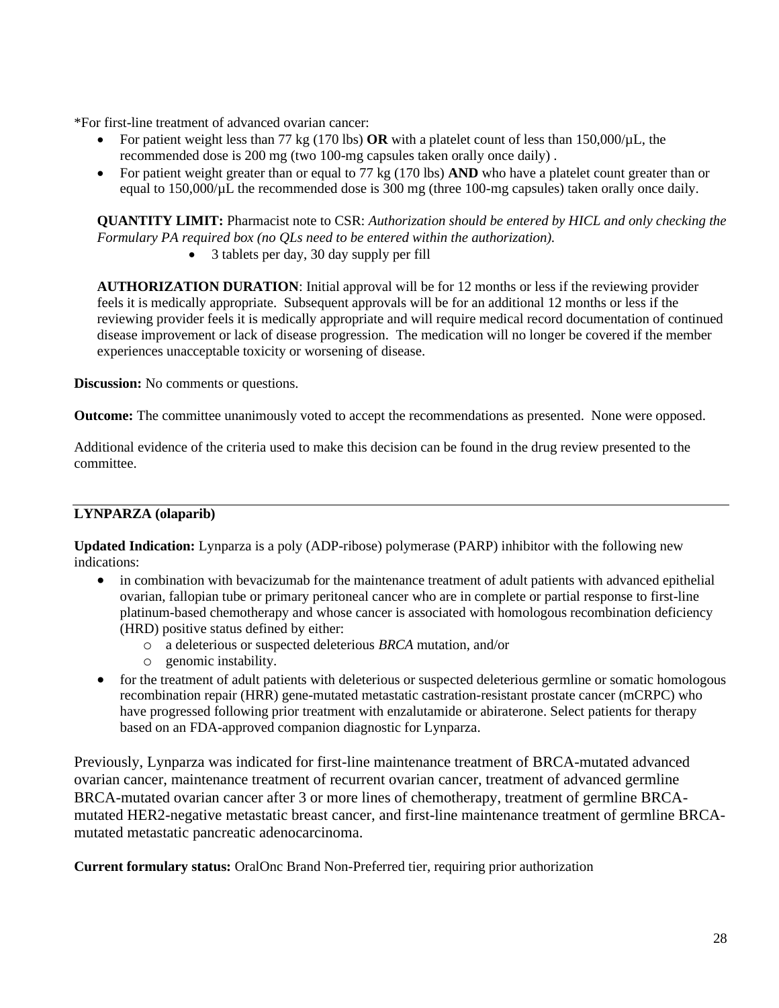\*For first-line treatment of advanced ovarian cancer:

- For patient weight less than 77 kg (170 lbs) **OR** with a platelet count of less than 150,000/µL, the recommended dose is 200 mg (two 100-mg capsules taken orally once daily) .
- For patient weight greater than or equal to 77 kg (170 lbs) **AND** who have a platelet count greater than or equal to 150,000/ $\mu$ L the recommended dose is 300 mg (three 100-mg capsules) taken orally once daily.

**QUANTITY LIMIT:** Pharmacist note to CSR: *Authorization should be entered by HICL and only checking the Formulary PA required box (no QLs need to be entered within the authorization).*

• 3 tablets per day, 30 day supply per fill

**AUTHORIZATION DURATION**: Initial approval will be for 12 months or less if the reviewing provider feels it is medically appropriate. Subsequent approvals will be for an additional 12 months or less if the reviewing provider feels it is medically appropriate and will require medical record documentation of continued disease improvement or lack of disease progression. The medication will no longer be covered if the member experiences unacceptable toxicity or worsening of disease.

**Discussion:** No comments or questions.

**Outcome:** The committee unanimously voted to accept the recommendations as presented. None were opposed.

Additional evidence of the criteria used to make this decision can be found in the drug review presented to the committee.

#### **LYNPARZA (olaparib)**

**Updated Indication:** Lynparza is a poly (ADP-ribose) polymerase (PARP) inhibitor with the following new indications:

- in combination with bevacizumab for the maintenance treatment of adult patients with advanced epithelial ovarian, fallopian tube or primary peritoneal cancer who are in complete or partial response to first-line platinum-based chemotherapy and whose cancer is associated with homologous recombination deficiency (HRD) positive status defined by either:
	- o a deleterious or suspected deleterious *BRCA* mutation, and/or
	- o genomic instability.
- for the treatment of adult patients with deleterious or suspected deleterious germline or somatic homologous recombination repair (HRR) gene-mutated metastatic castration-resistant prostate cancer (mCRPC) who have progressed following prior treatment with enzalutamide or abiraterone. Select patients for therapy based on an FDA-approved companion diagnostic for Lynparza.

Previously, Lynparza was indicated for first-line maintenance treatment of BRCA-mutated advanced ovarian cancer, maintenance treatment of recurrent ovarian cancer, treatment of advanced germline BRCA-mutated ovarian cancer after 3 or more lines of chemotherapy, treatment of germline BRCAmutated HER2-negative metastatic breast cancer, and first-line maintenance treatment of germline BRCAmutated metastatic pancreatic adenocarcinoma.

**Current formulary status:** OralOnc Brand Non-Preferred tier, requiring prior authorization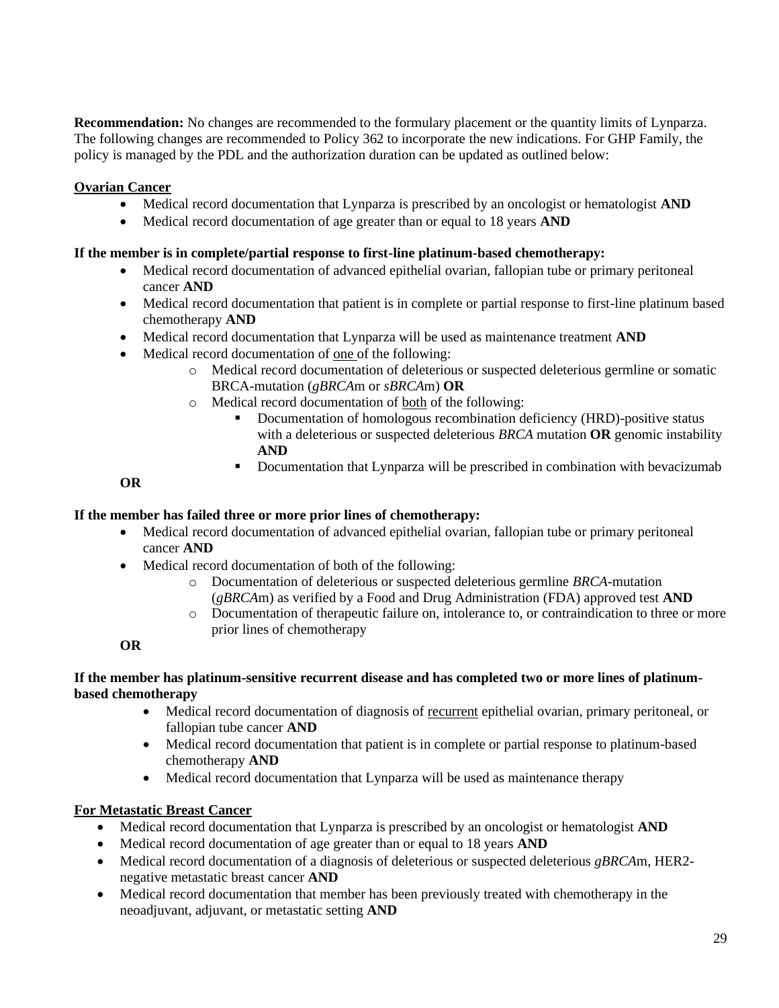**Recommendation:** No changes are recommended to the formulary placement or the quantity limits of Lynparza. The following changes are recommended to Policy 362 to incorporate the new indications. For GHP Family, the policy is managed by the PDL and the authorization duration can be updated as outlined below:

# **Ovarian Cancer**

- Medical record documentation that Lynparza is prescribed by an oncologist or hematologist **AND**
- Medical record documentation of age greater than or equal to 18 years **AND**

# **If the member is in complete/partial response to first-line platinum-based chemotherapy:**

- Medical record documentation of advanced epithelial ovarian, fallopian tube or primary peritoneal cancer **AND**
- Medical record documentation that patient is in complete or partial response to first-line platinum based chemotherapy **AND**
- Medical record documentation that Lynparza will be used as maintenance treatment **AND**
- Medical record documentation of one of the following:
	- o Medical record documentation of deleterious or suspected deleterious germline or somatic BRCA-mutation (*gBRCA*m or *sBRCA*m) **OR**
	- o Medical record documentation of both of the following:
		- Documentation of homologous recombination deficiency (HRD)-positive status with a deleterious or suspected deleterious *BRCA* mutation **OR** genomic instability **AND**
		- Documentation that Lynparza will be prescribed in combination with bevacizumab

**OR**

# **If the member has failed three or more prior lines of chemotherapy:**

- Medical record documentation of advanced epithelial ovarian, fallopian tube or primary peritoneal cancer **AND**
- Medical record documentation of both of the following:
	- o Documentation of deleterious or suspected deleterious germline *BRCA*-mutation (*gBRCA*m) as verified by a Food and Drug Administration (FDA) approved test **AND**
	- o Documentation of therapeutic failure on, intolerance to, or contraindication to three or more prior lines of chemotherapy

**OR**

### **If the member has platinum-sensitive recurrent disease and has completed two or more lines of platinumbased chemotherapy**

- Medical record documentation of diagnosis of recurrent epithelial ovarian, primary peritoneal, or fallopian tube cancer **AND**
- Medical record documentation that patient is in complete or partial response to platinum-based chemotherapy **AND**
- Medical record documentation that Lynparza will be used as maintenance therapy

# **For Metastatic Breast Cancer**

- Medical record documentation that Lynparza is prescribed by an oncologist or hematologist **AND**
- Medical record documentation of age greater than or equal to 18 years **AND**
- Medical record documentation of a diagnosis of deleterious or suspected deleterious *gBRCA*m, HER2 negative metastatic breast cancer **AND**
- Medical record documentation that member has been previously treated with chemotherapy in the neoadjuvant, adjuvant, or metastatic setting **AND**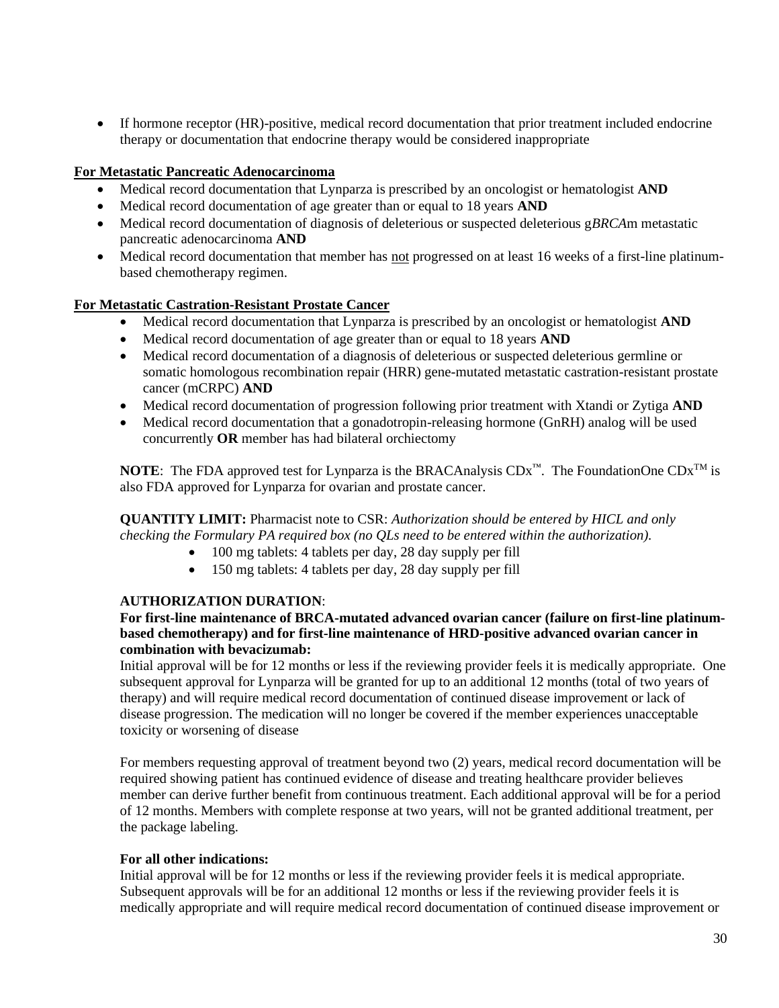• If hormone receptor (HR)-positive, medical record documentation that prior treatment included endocrine therapy or documentation that endocrine therapy would be considered inappropriate

# **For Metastatic Pancreatic Adenocarcinoma**

- Medical record documentation that Lynparza is prescribed by an oncologist or hematologist **AND**
- Medical record documentation of age greater than or equal to 18 years **AND**
- Medical record documentation of diagnosis of deleterious or suspected deleterious g*BRCA*m metastatic pancreatic adenocarcinoma **AND**
- Medical record documentation that member has not progressed on at least 16 weeks of a first-line platinumbased chemotherapy regimen.

# **For Metastatic Castration-Resistant Prostate Cancer**

- Medical record documentation that Lynparza is prescribed by an oncologist or hematologist **AND**
- Medical record documentation of age greater than or equal to 18 years **AND**
- Medical record documentation of a diagnosis of deleterious or suspected deleterious germline or somatic homologous recombination repair (HRR) gene-mutated metastatic castration-resistant prostate cancer (mCRPC) **AND**
- Medical record documentation of progression following prior treatment with Xtandi or Zytiga **AND**
- Medical record documentation that a gonadotropin-releasing hormone (GnRH) analog will be used concurrently **OR** member has had bilateral orchiectomy

**NOTE:** The FDA approved test for Lynparza is the BRACAnalysis  $CDx^m$ . The FoundationOne  $CDx^{TM}$  is also FDA approved for Lynparza for ovarian and prostate cancer.

**QUANTITY LIMIT:** Pharmacist note to CSR: *Authorization should be entered by HICL and only checking the Formulary PA required box (no QLs need to be entered within the authorization).*

- 100 mg tablets: 4 tablets per day, 28 day supply per fill
- 150 mg tablets: 4 tablets per day, 28 day supply per fill

#### **AUTHORIZATION DURATION**:

### **For first-line maintenance of BRCA-mutated advanced ovarian cancer (failure on first-line platinumbased chemotherapy) and for first-line maintenance of HRD-positive advanced ovarian cancer in combination with bevacizumab:**

Initial approval will be for 12 months or less if the reviewing provider feels it is medically appropriate. One subsequent approval for Lynparza will be granted for up to an additional 12 months (total of two years of therapy) and will require medical record documentation of continued disease improvement or lack of disease progression. The medication will no longer be covered if the member experiences unacceptable toxicity or worsening of disease

For members requesting approval of treatment beyond two (2) years, medical record documentation will be required showing patient has continued evidence of disease and treating healthcare provider believes member can derive further benefit from continuous treatment. Each additional approval will be for a period of 12 months. Members with complete response at two years, will not be granted additional treatment, per the package labeling.

#### **For all other indications:**

Initial approval will be for 12 months or less if the reviewing provider feels it is medical appropriate. Subsequent approvals will be for an additional 12 months or less if the reviewing provider feels it is medically appropriate and will require medical record documentation of continued disease improvement or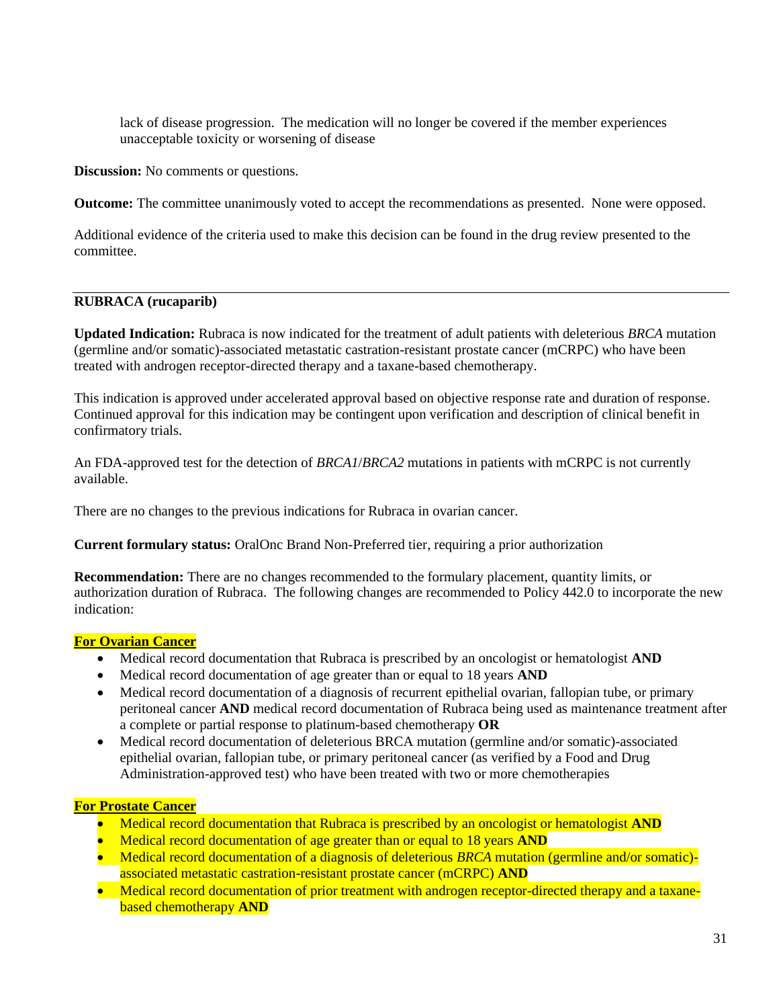lack of disease progression. The medication will no longer be covered if the member experiences unacceptable toxicity or worsening of disease

**Discussion:** No comments or questions.

**Outcome:** The committee unanimously voted to accept the recommendations as presented. None were opposed.

Additional evidence of the criteria used to make this decision can be found in the drug review presented to the committee.

#### **RUBRACA (rucaparib)**

**Updated Indication:** Rubraca is now indicated for the treatment of adult patients with deleterious *BRCA* mutation (germline and/or somatic)-associated metastatic castration-resistant prostate cancer (mCRPC) who have been treated with androgen receptor-directed therapy and a taxane-based chemotherapy.

This indication is approved under accelerated approval based on objective response rate and duration of response. Continued approval for this indication may be contingent upon verification and description of clinical benefit in confirmatory trials.

An FDA-approved test for the detection of *BRCA1*/*BRCA2* mutations in patients with mCRPC is not currently available.

There are no changes to the previous indications for Rubraca in ovarian cancer.

**Current formulary status:** OralOnc Brand Non-Preferred tier, requiring a prior authorization

**Recommendation:** There are no changes recommended to the formulary placement, quantity limits, or authorization duration of Rubraca. The following changes are recommended to Policy 442.0 to incorporate the new indication:

#### **For Ovarian Cancer**

- Medical record documentation that Rubraca is prescribed by an oncologist or hematologist **AND**
- Medical record documentation of age greater than or equal to 18 years **AND**
- Medical record documentation of a diagnosis of recurrent epithelial ovarian, fallopian tube, or primary peritoneal cancer **AND** medical record documentation of Rubraca being used as maintenance treatment after a complete or partial response to platinum-based chemotherapy **OR**
- Medical record documentation of deleterious BRCA mutation (germline and/or somatic)-associated epithelial ovarian, fallopian tube, or primary peritoneal cancer (as verified by a Food and Drug Administration-approved test) who have been treated with two or more chemotherapies

#### **For Prostate Cancer**

- Medical record documentation that Rubraca is prescribed by an oncologist or hematologist **AND**
- Medical record documentation of age greater than or equal to 18 years **AND**
- Medical record documentation of a diagnosis of deleterious *BRCA* mutation (germline and/or somatic)associated metastatic castration-resistant prostate cancer (mCRPC) **AND**
- Medical record documentation of prior treatment with androgen receptor-directed therapy and a taxanebased chemotherapy **AND**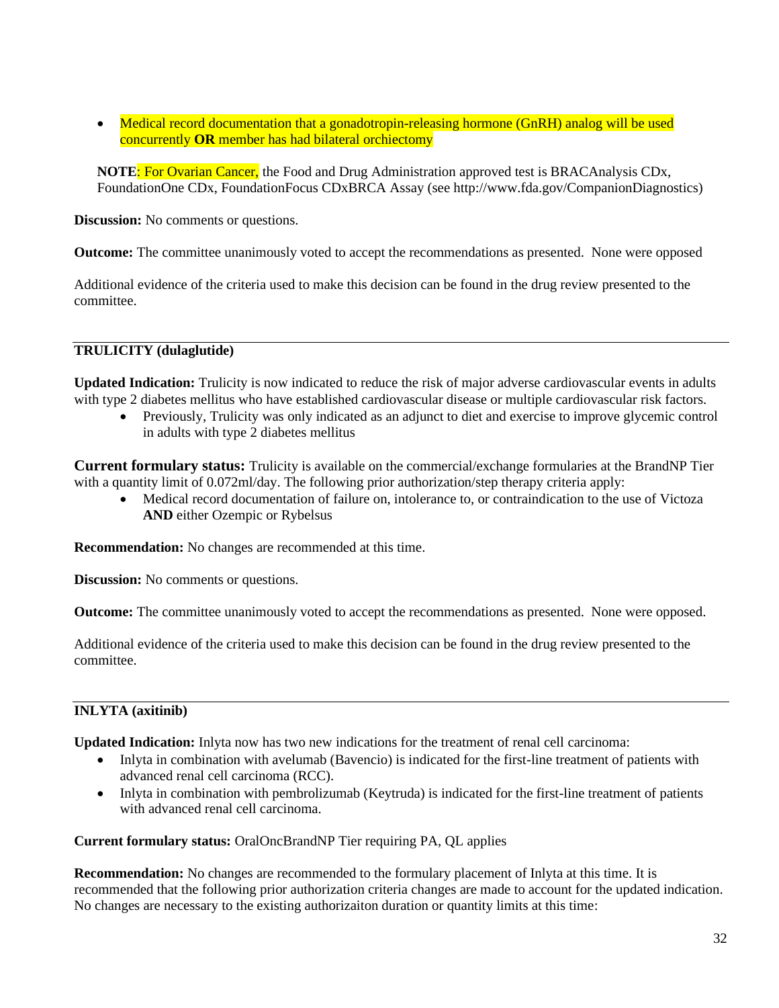• Medical record documentation that a gonadotropin-releasing hormone (GnRH) analog will be used concurrently **OR** member has had bilateral orchiectomy

**NOTE**: For Ovarian Cancer, the Food and Drug Administration approved test is BRACAnalysis CDx, FoundationOne CDx, FoundationFocus CDxBRCA Assay (see http://www.fda.gov/CompanionDiagnostics)

**Discussion:** No comments or questions.

**Outcome:** The committee unanimously voted to accept the recommendations as presented. None were opposed

Additional evidence of the criteria used to make this decision can be found in the drug review presented to the committee.

# **TRULICITY (dulaglutide)**

**Updated Indication:** Trulicity is now indicated to reduce the risk of major adverse cardiovascular events in adults with type 2 diabetes mellitus who have established cardiovascular disease or multiple cardiovascular risk factors.

• Previously, Trulicity was only indicated as an adjunct to diet and exercise to improve glycemic control in adults with type 2 diabetes mellitus

**Current formulary status:** Trulicity is available on the commercial/exchange formularies at the BrandNP Tier with a quantity limit of 0.072ml/day. The following prior authorization/step therapy criteria apply:

• Medical record documentation of failure on, intolerance to, or contraindication to the use of Victoza **AND** either Ozempic or Rybelsus

**Recommendation:** No changes are recommended at this time.

**Discussion:** No comments or questions.

**Outcome:** The committee unanimously voted to accept the recommendations as presented. None were opposed.

Additional evidence of the criteria used to make this decision can be found in the drug review presented to the committee.

# **INLYTA (axitinib)**

**Updated Indication:** Inlyta now has two new indications for the treatment of renal cell carcinoma:

- Inlyta in combination with avelumab (Bavencio) is indicated for the first-line treatment of patients with advanced renal cell carcinoma (RCC).
- Inlyta in combination with pembrolizumab (Keytruda) is indicated for the first-line treatment of patients with advanced renal cell carcinoma.

**Current formulary status:** OralOncBrandNP Tier requiring PA, QL applies

**Recommendation:** No changes are recommended to the formulary placement of Inlyta at this time. It is recommended that the following prior authorization criteria changes are made to account for the updated indication. No changes are necessary to the existing authorizaiton duration or quantity limits at this time: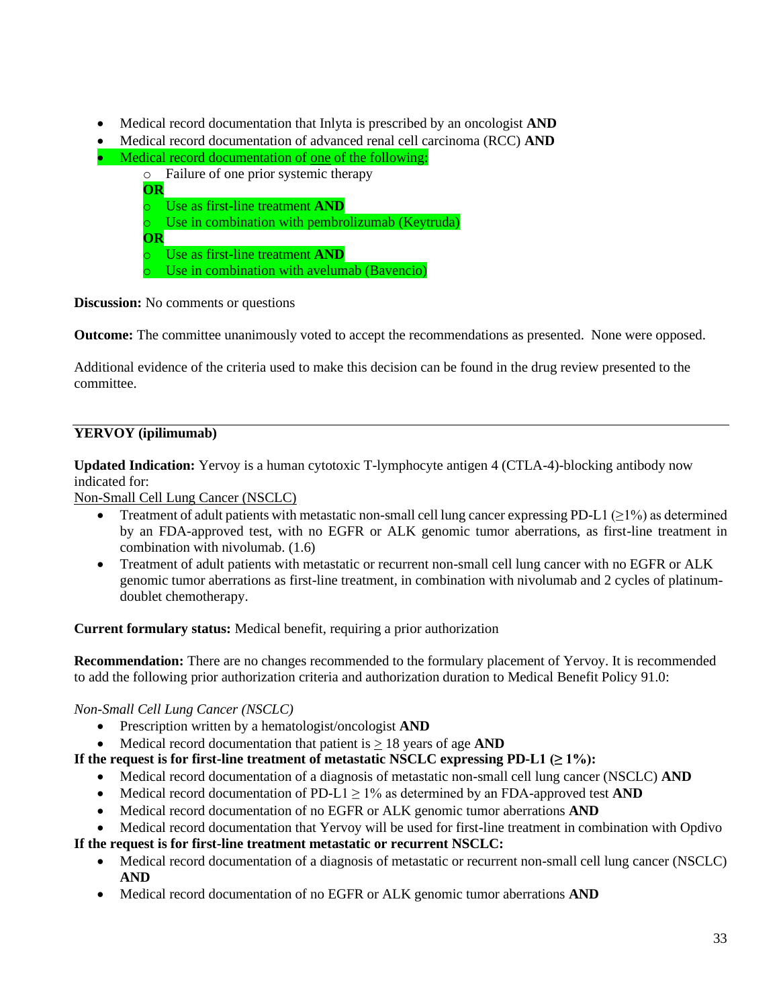- Medical record documentation that Inlyta is prescribed by an oncologist **AND**
- Medical record documentation of advanced renal cell carcinoma (RCC) **AND**
- Medical record documentation of one of the following:
	- o Failure of one prior systemic therapy
	- **OR** o Use as first-line treatment **AND**
	- o Use in combination with pembrolizumab (Keytruda) **OR**
	- o Use as first-line treatment **AND**
	- o Use in combination with avelumab (Bavencio)

**Discussion:** No comments or questions

**Outcome:** The committee unanimously voted to accept the recommendations as presented. None were opposed.

Additional evidence of the criteria used to make this decision can be found in the drug review presented to the committee.

# **YERVOY (ipilimumab)**

**Updated Indication:** Yervoy is a human cytotoxic T-lymphocyte antigen 4 (CTLA-4)-blocking antibody now indicated for:

Non-Small Cell Lung Cancer (NSCLC)

- Treatment of adult patients with metastatic non-small cell lung cancer expressing PD-L1 ( $\geq$ 1%) as determined by an FDA-approved test, with no EGFR or ALK genomic tumor aberrations, as first-line treatment in combination with nivolumab. (1.6)
- Treatment of adult patients with metastatic or recurrent non-small cell lung cancer with no EGFR or ALK genomic tumor aberrations as first-line treatment, in combination with nivolumab and 2 cycles of platinumdoublet chemotherapy.

**Current formulary status:** Medical benefit, requiring a prior authorization

**Recommendation:** There are no changes recommended to the formulary placement of Yervoy. It is recommended to add the following prior authorization criteria and authorization duration to Medical Benefit Policy 91.0:

# *Non-Small Cell Lung Cancer (NSCLC)*

- Prescription written by a hematologist/oncologist **AND**
- Medical record documentation that patient is > 18 years of age **AND**
- **If the request is for first-line treatment of metastatic NSCLC expressing PD-L1**  $(≥ 1\%)$ **:** 
	- Medical record documentation of a diagnosis of metastatic non-small cell lung cancer (NSCLC) **AND**
	- Medical record documentation of PD-L1  $\geq$  1% as determined by an FDA-approved test **AND**
	- Medical record documentation of no EGFR or ALK genomic tumor aberrations **AND**
	- Medical record documentation that Yervoy will be used for first-line treatment in combination with Opdivo

#### **If the request is for first-line treatment metastatic or recurrent NSCLC:**

- Medical record documentation of a diagnosis of metastatic or recurrent non-small cell lung cancer (NSCLC) **AND**
- Medical record documentation of no EGFR or ALK genomic tumor aberrations **AND**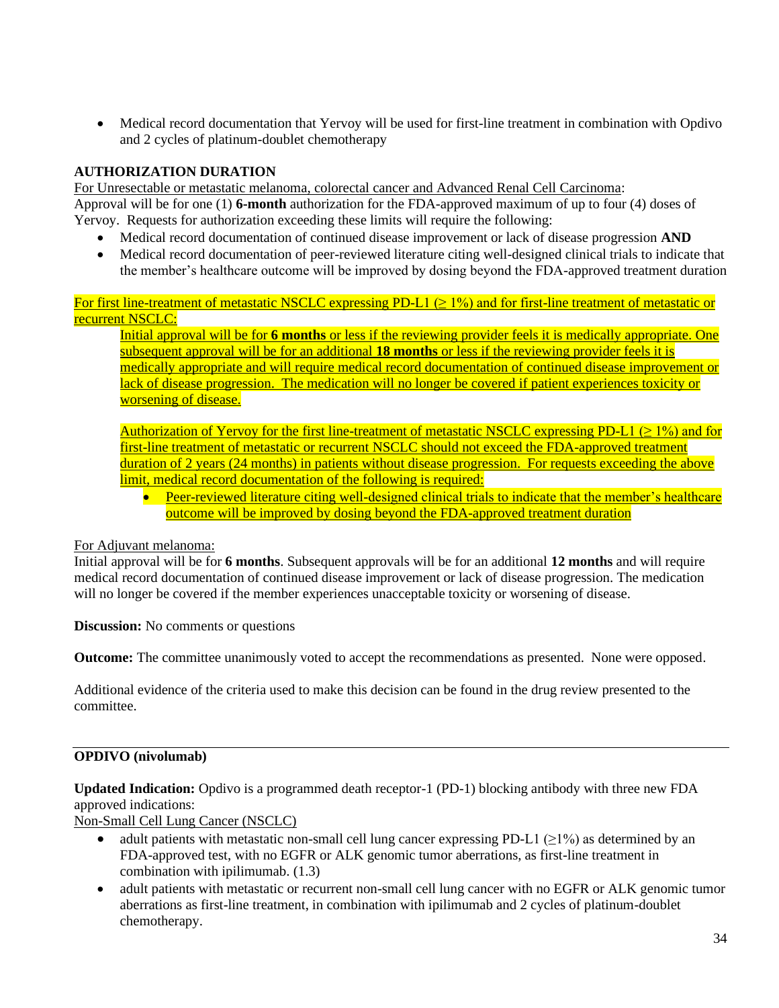• Medical record documentation that Yervoy will be used for first-line treatment in combination with Opdivo and 2 cycles of platinum-doublet chemotherapy

# **AUTHORIZATION DURATION**

For Unresectable or metastatic melanoma, colorectal cancer and Advanced Renal Cell Carcinoma: Approval will be for one (1) **6-month** authorization for the FDA-approved maximum of up to four (4) doses of Yervoy. Requests for authorization exceeding these limits will require the following:

- Medical record documentation of continued disease improvement or lack of disease progression **AND**
- Medical record documentation of peer-reviewed literature citing well-designed clinical trials to indicate that the member's healthcare outcome will be improved by dosing beyond the FDA-approved treatment duration

For first line-treatment of metastatic NSCLC expressing PD-L1 ( $\geq$  1%) and for first-line treatment of metastatic or recurrent NSCLC:

Initial approval will be for **6 months** or less if the reviewing provider feels it is medically appropriate. One subsequent approval will be for an additional **18 months** or less if the reviewing provider feels it is medically appropriate and will require medical record documentation of continued disease improvement or lack of disease progression. The medication will no longer be covered if patient experiences toxicity or worsening of disease.

Authorization of Yervoy for the first line-treatment of metastatic NSCLC expressing PD-L1 ( $\geq 1\%$ ) and for first-line treatment of metastatic or recurrent NSCLC should not exceed the FDA-approved treatment duration of 2 years (24 months) in patients without disease progression. For requests exceeding the above limit, medical record documentation of the following is required:

• Peer-reviewed literature citing well-designed clinical trials to indicate that the member's healthcare outcome will be improved by dosing beyond the FDA-approved treatment duration

#### For Adjuvant melanoma:

Initial approval will be for **6 months**. Subsequent approvals will be for an additional **12 months** and will require medical record documentation of continued disease improvement or lack of disease progression. The medication will no longer be covered if the member experiences unacceptable toxicity or worsening of disease.

**Discussion:** No comments or questions

**Outcome:** The committee unanimously voted to accept the recommendations as presented. None were opposed.

Additional evidence of the criteria used to make this decision can be found in the drug review presented to the committee.

# **OPDIVO (nivolumab)**

**Updated Indication:** Opdivo is a programmed death receptor-1 (PD-1) blocking antibody with three new FDA approved indications:

Non-Small Cell Lung Cancer (NSCLC)

- adult patients with metastatic non-small cell lung cancer expressing PD-L1  $(\geq 1\%)$  as determined by an FDA-approved test, with no EGFR or ALK genomic tumor aberrations, as first-line treatment in combination with ipilimumab. (1.3)
- adult patients with metastatic or recurrent non-small cell lung cancer with no EGFR or ALK genomic tumor aberrations as first-line treatment, in combination with ipilimumab and 2 cycles of platinum-doublet chemotherapy.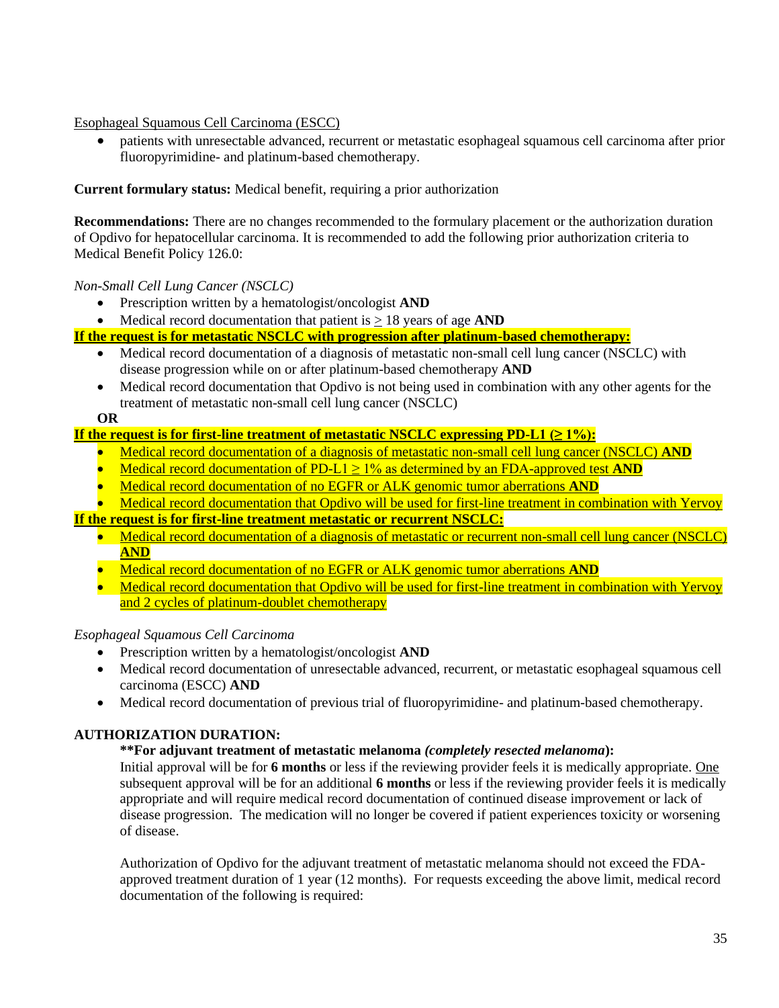Esophageal Squamous Cell Carcinoma (ESCC)

• patients with unresectable advanced, recurrent or metastatic esophageal squamous cell carcinoma after prior fluoropyrimidine- and platinum-based chemotherapy.

**Current formulary status:** Medical benefit, requiring a prior authorization

**Recommendations:** There are no changes recommended to the formulary placement or the authorization duration of Opdivo for hepatocellular carcinoma. It is recommended to add the following prior authorization criteria to Medical Benefit Policy 126.0:

### *Non-Small Cell Lung Cancer (NSCLC)*

- Prescription written by a hematologist/oncologist **AND**
- Medical record documentation that patient is > 18 years of age **AND**

**If the request is for metastatic NSCLC with progression after platinum-based chemotherapy:**

- Medical record documentation of a diagnosis of metastatic non-small cell lung cancer (NSCLC) with disease progression while on or after platinum-based chemotherapy **AND**
- Medical record documentation that Opdivo is not being used in combination with any other agents for the treatment of metastatic non-small cell lung cancer (NSCLC)

#### **OR**

### **If the request is for first-line treatment of metastatic NSCLC expressing PD-L1 (≥ 1%):**

- Medical record documentation of a diagnosis of metastatic non-small cell lung cancer (NSCLC) **AND**
- Medical record documentation of PD-L1  $\geq$  1% as determined by an FDA-approved test **AND**
- Medical record documentation of no EGFR or ALK genomic tumor aberrations **AND**

• Medical record documentation that Opdivo will be used for first-line treatment in combination with Yervoy **If the request is for first-line treatment metastatic or recurrent NSCLC:**

- - Medical record documentation of a diagnosis of metastatic or recurrent non-small cell lung cancer (NSCLC) **AND**
	- Medical record documentation of no EGFR or ALK genomic tumor aberrations **AND**
	- Medical record documentation that Opdivo will be used for first-line treatment in combination with Yervoy and 2 cycles of platinum-doublet chemotherapy

*Esophageal Squamous Cell Carcinoma*

- Prescription written by a hematologist/oncologist **AND**
- Medical record documentation of unresectable advanced, recurrent, or metastatic esophageal squamous cell carcinoma (ESCC) **AND**
- Medical record documentation of previous trial of fluoropyrimidine- and platinum-based chemotherapy.

### **AUTHORIZATION DURATION:**

#### **\*\*For adjuvant treatment of metastatic melanoma** *(completely resected melanoma***):**

Initial approval will be for **6 months** or less if the reviewing provider feels it is medically appropriate. One subsequent approval will be for an additional **6 months** or less if the reviewing provider feels it is medically appropriate and will require medical record documentation of continued disease improvement or lack of disease progression. The medication will no longer be covered if patient experiences toxicity or worsening of disease.

Authorization of Opdivo for the adjuvant treatment of metastatic melanoma should not exceed the FDAapproved treatment duration of 1 year (12 months). For requests exceeding the above limit, medical record documentation of the following is required: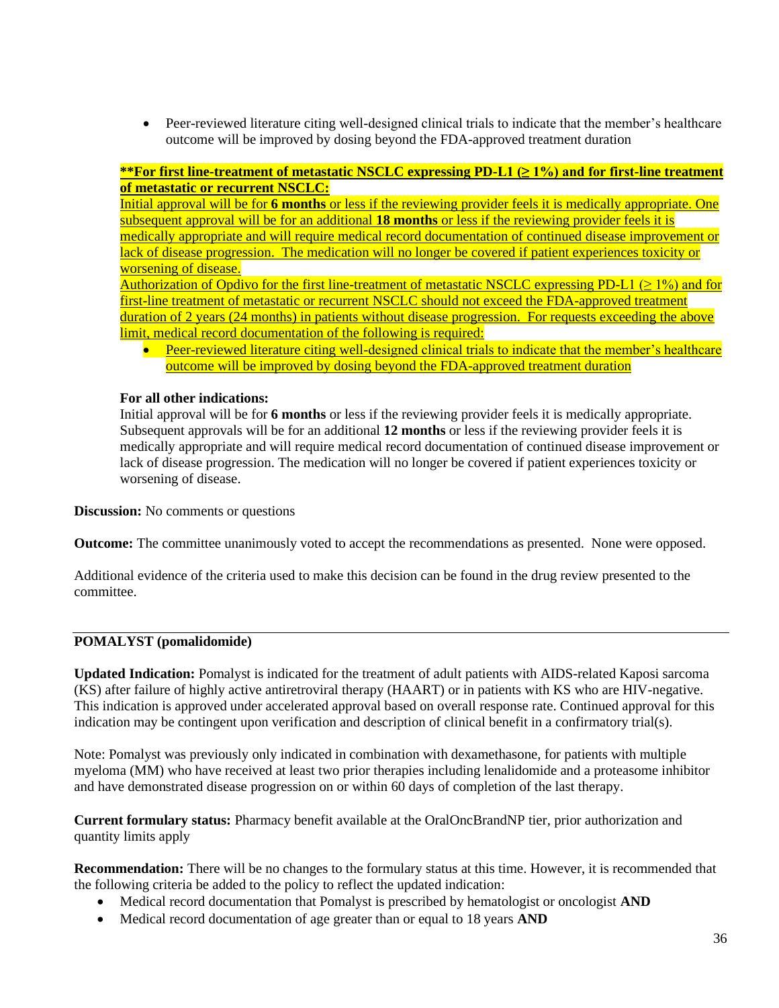• Peer-reviewed literature citing well-designed clinical trials to indicate that the member's healthcare outcome will be improved by dosing beyond the FDA-approved treatment duration

### **\*\*For first line-treatment of metastatic NSCLC expressing PD-L1 (≥ 1%) and for first-line treatment of metastatic or recurrent NSCLC:**

Initial approval will be for **6 months** or less if the reviewing provider feels it is medically appropriate. One subsequent approval will be for an additional **18 months** or less if the reviewing provider feels it is medically appropriate and will require medical record documentation of continued disease improvement or lack of disease progression. The medication will no longer be covered if patient experiences toxicity or worsening of disease.

Authorization of Opdivo for the first line-treatment of metastatic NSCLC expressing PD-L1 ( $\geq 1\%$ ) and for first-line treatment of metastatic or recurrent NSCLC should not exceed the FDA-approved treatment duration of 2 years (24 months) in patients without disease progression. For requests exceeding the above limit, medical record documentation of the following is required:

• Peer-reviewed literature citing well-designed clinical trials to indicate that the member's healthcare outcome will be improved by dosing beyond the FDA-approved treatment duration

### **For all other indications:**

Initial approval will be for **6 months** or less if the reviewing provider feels it is medically appropriate. Subsequent approvals will be for an additional **12 months** or less if the reviewing provider feels it is medically appropriate and will require medical record documentation of continued disease improvement or lack of disease progression. The medication will no longer be covered if patient experiences toxicity or worsening of disease.

**Discussion:** No comments or questions

**Outcome:** The committee unanimously voted to accept the recommendations as presented. None were opposed.

Additional evidence of the criteria used to make this decision can be found in the drug review presented to the committee.

#### **POMALYST (pomalidomide)**

**Updated Indication:** Pomalyst is indicated for the treatment of adult patients with AIDS-related Kaposi sarcoma (KS) after failure of highly active antiretroviral therapy (HAART) or in patients with KS who are HIV-negative. This indication is approved under accelerated approval based on overall response rate. Continued approval for this indication may be contingent upon verification and description of clinical benefit in a confirmatory trial(s).

Note: Pomalyst was previously only indicated in combination with dexamethasone, for patients with multiple myeloma (MM) who have received at least two prior therapies including lenalidomide and a proteasome inhibitor and have demonstrated disease progression on or within 60 days of completion of the last therapy.

**Current formulary status:** Pharmacy benefit available at the OralOncBrandNP tier, prior authorization and quantity limits apply

**Recommendation:** There will be no changes to the formulary status at this time. However, it is recommended that the following criteria be added to the policy to reflect the updated indication:

- Medical record documentation that Pomalyst is prescribed by hematologist or oncologist **AND**
- Medical record documentation of age greater than or equal to 18 years **AND**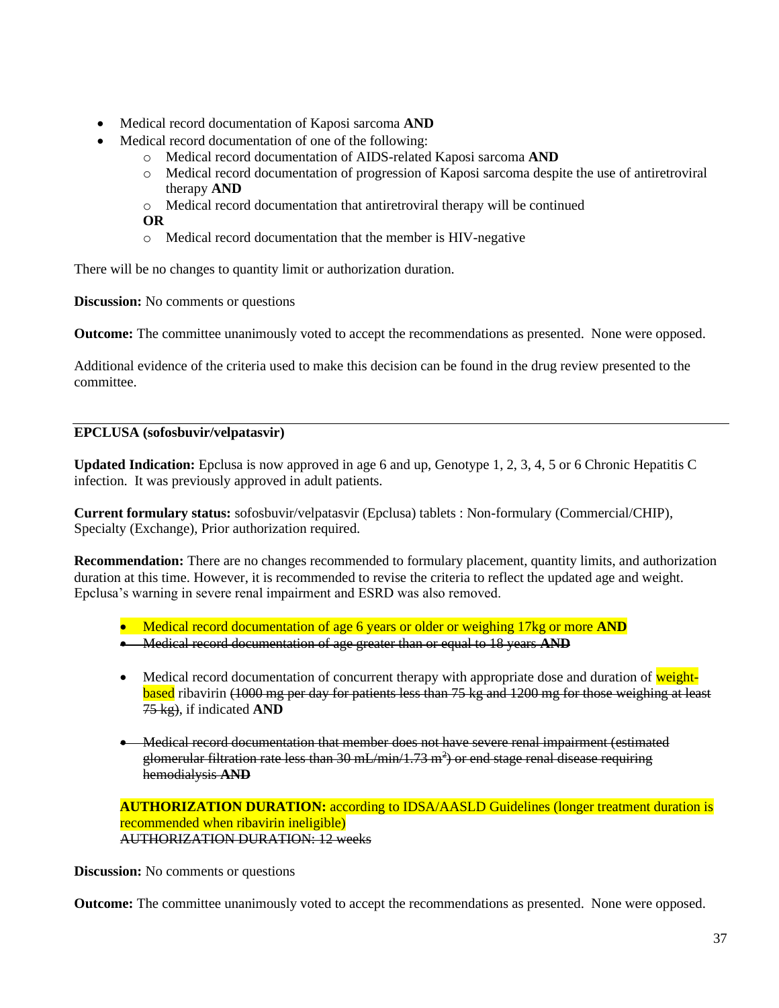- Medical record documentation of Kaposi sarcoma **AND**
- Medical record documentation of one of the following:
	- o Medical record documentation of AIDS-related Kaposi sarcoma **AND**
	- o Medical record documentation of progression of Kaposi sarcoma despite the use of antiretroviral therapy **AND**
	- o Medical record documentation that antiretroviral therapy will be continued **OR**
	- o Medical record documentation that the member is HIV-negative

There will be no changes to quantity limit or authorization duration.

**Discussion:** No comments or questions

**Outcome:** The committee unanimously voted to accept the recommendations as presented. None were opposed.

Additional evidence of the criteria used to make this decision can be found in the drug review presented to the committee.

### **EPCLUSA (sofosbuvir/velpatasvir)**

**Updated Indication:** Epclusa is now approved in age 6 and up, Genotype 1, 2, 3, 4, 5 or 6 Chronic Hepatitis C infection. It was previously approved in adult patients.

**Current formulary status:** sofosbuvir/velpatasvir (Epclusa) tablets : Non-formulary (Commercial/CHIP), Specialty (Exchange), Prior authorization required.

**Recommendation:** There are no changes recommended to formulary placement, quantity limits, and authorization duration at this time. However, it is recommended to revise the criteria to reflect the updated age and weight. Epclusa's warning in severe renal impairment and ESRD was also removed.

- Medical record documentation of age 6 years or older or weighing 17kg or more **AND**
- Medical record documentation of age greater than or equal to 18 years **AND**
- Medical record documentation of concurrent therapy with appropriate dose and duration of weightbased ribavirin (1000 mg per day for patients less than 75 kg and 1200 mg for those weighing at least 75 kg), if indicated **AND**
- Medical record documentation that member does not have severe renal impairment (estimated glomerular filtration rate less than 30 mL/min/1.73 m<sup>2</sup>) or end stage renal disease requiring hemodialysis **AND**

**AUTHORIZATION DURATION:** according to IDSA/AASLD Guidelines (longer treatment duration is recommended when ribavirin ineligible) AUTHORIZATION DURATION: 12 weeks

**Discussion:** No comments or questions

**Outcome:** The committee unanimously voted to accept the recommendations as presented. None were opposed.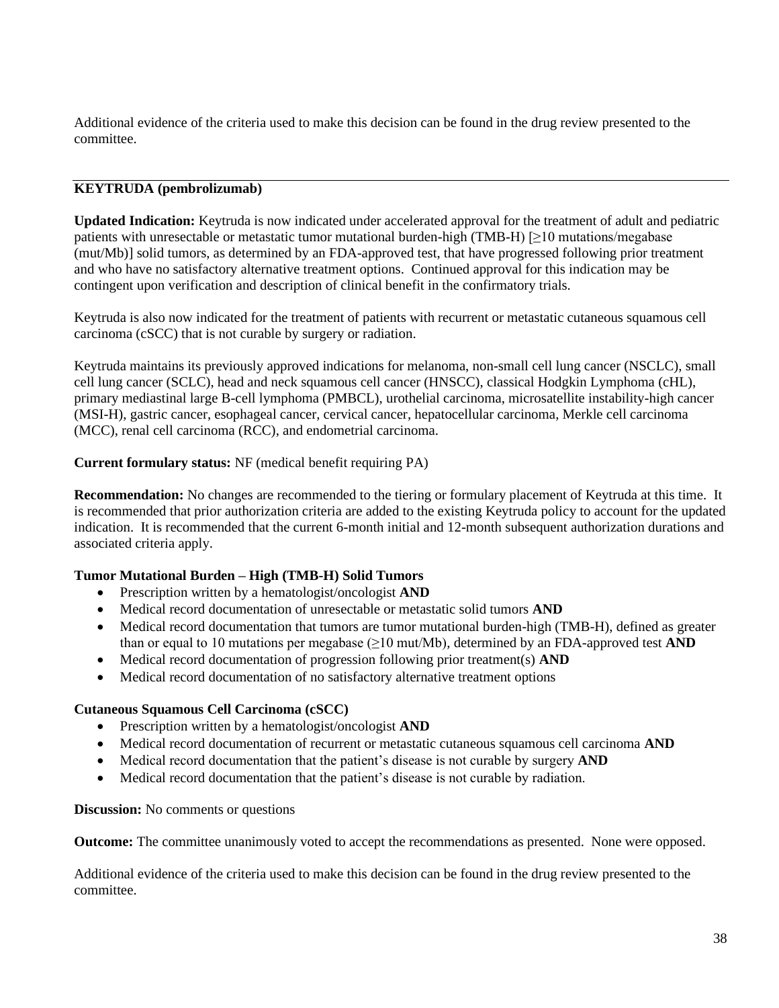Additional evidence of the criteria used to make this decision can be found in the drug review presented to the committee.

### **KEYTRUDA (pembrolizumab)**

**Updated Indication:** Keytruda is now indicated under accelerated approval for the treatment of adult and pediatric patients with unresectable or metastatic tumor mutational burden-high (TMB-H) [≥10 mutations/megabase (mut/Mb)] solid tumors, as determined by an FDA-approved test, that have progressed following prior treatment and who have no satisfactory alternative treatment options. Continued approval for this indication may be contingent upon verification and description of clinical benefit in the confirmatory trials.

Keytruda is also now indicated for the treatment of patients with recurrent or metastatic cutaneous squamous cell carcinoma (cSCC) that is not curable by surgery or radiation.

Keytruda maintains its previously approved indications for melanoma, non-small cell lung cancer (NSCLC), small cell lung cancer (SCLC), head and neck squamous cell cancer (HNSCC), classical Hodgkin Lymphoma (cHL), primary mediastinal large B-cell lymphoma (PMBCL), urothelial carcinoma, microsatellite instability-high cancer (MSI-H), gastric cancer, esophageal cancer, cervical cancer, hepatocellular carcinoma, Merkle cell carcinoma (MCC), renal cell carcinoma (RCC), and endometrial carcinoma.

#### **Current formulary status:** NF (medical benefit requiring PA)

**Recommendation:** No changes are recommended to the tiering or formulary placement of Keytruda at this time. It is recommended that prior authorization criteria are added to the existing Keytruda policy to account for the updated indication. It is recommended that the current 6-month initial and 12-month subsequent authorization durations and associated criteria apply.

#### **Tumor Mutational Burden – High (TMB-H) Solid Tumors**

- Prescription written by a hematologist/oncologist **AND**
- Medical record documentation of unresectable or metastatic solid tumors **AND**
- Medical record documentation that tumors are tumor mutational burden-high (TMB-H), defined as greater than or equal to 10 mutations per megabase ( $\geq$ 10 mut/Mb), determined by an FDA-approved test **AND**
- Medical record documentation of progression following prior treatment(s) **AND**
- Medical record documentation of no satisfactory alternative treatment options

#### **Cutaneous Squamous Cell Carcinoma (cSCC)**

- Prescription written by a hematologist/oncologist **AND**
- Medical record documentation of recurrent or metastatic cutaneous squamous cell carcinoma **AND**
- Medical record documentation that the patient's disease is not curable by surgery **AND**
- Medical record documentation that the patient's disease is not curable by radiation.

#### **Discussion:** No comments or questions

**Outcome:** The committee unanimously voted to accept the recommendations as presented. None were opposed.

Additional evidence of the criteria used to make this decision can be found in the drug review presented to the committee.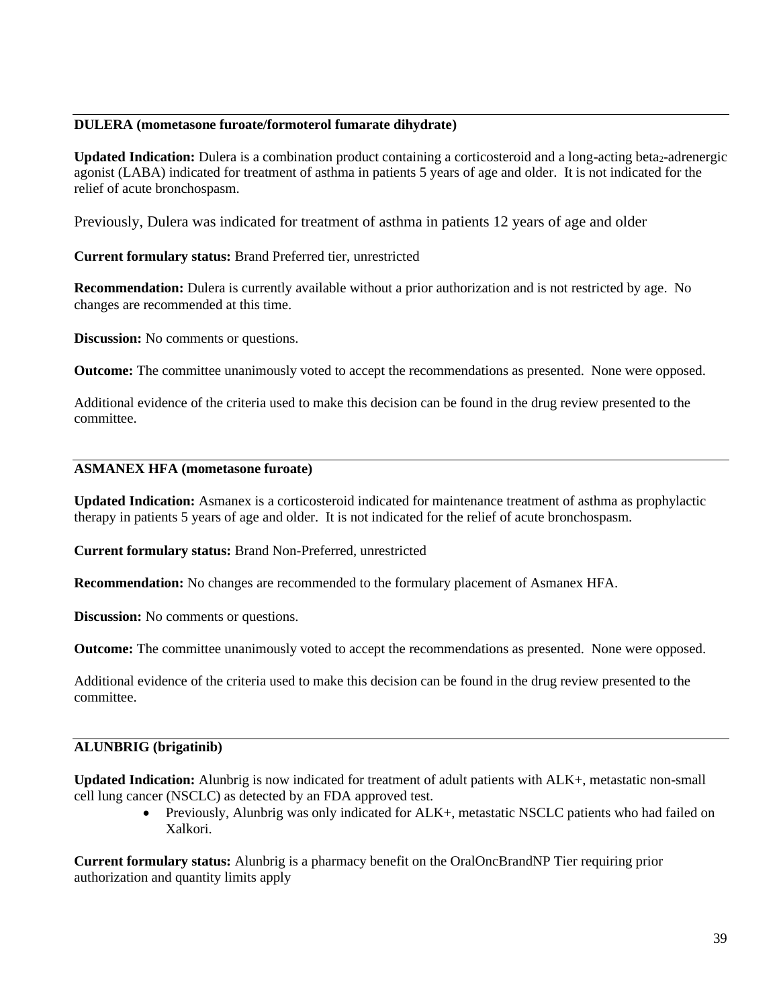#### **DULERA (mometasone furoate/formoterol fumarate dihydrate)**

**Updated Indication:** Dulera is a combination product containing a corticosteroid and a long-acting beta<sub>2</sub>-adrenergic agonist (LABA) indicated for treatment of asthma in patients 5 years of age and older. It is not indicated for the relief of acute bronchospasm.

Previously, Dulera was indicated for treatment of asthma in patients 12 years of age and older

**Current formulary status:** Brand Preferred tier, unrestricted

**Recommendation:** Dulera is currently available without a prior authorization and is not restricted by age. No changes are recommended at this time.

**Discussion:** No comments or questions.

**Outcome:** The committee unanimously voted to accept the recommendations as presented. None were opposed.

Additional evidence of the criteria used to make this decision can be found in the drug review presented to the committee.

#### **ASMANEX HFA (mometasone furoate)**

**Updated Indication:** Asmanex is a corticosteroid indicated for maintenance treatment of asthma as prophylactic therapy in patients 5 years of age and older. It is not indicated for the relief of acute bronchospasm.

**Current formulary status:** Brand Non-Preferred, unrestricted

**Recommendation:** No changes are recommended to the formulary placement of Asmanex HFA.

**Discussion:** No comments or questions.

**Outcome:** The committee unanimously voted to accept the recommendations as presented. None were opposed.

Additional evidence of the criteria used to make this decision can be found in the drug review presented to the committee.

#### **ALUNBRIG (brigatinib)**

**Updated Indication:** Alunbrig is now indicated for treatment of adult patients with ALK+, metastatic non-small cell lung cancer (NSCLC) as detected by an FDA approved test.

> • Previously, Alunbrig was only indicated for ALK+, metastatic NSCLC patients who had failed on Xalkori.

**Current formulary status:** Alunbrig is a pharmacy benefit on the OralOncBrandNP Tier requiring prior authorization and quantity limits apply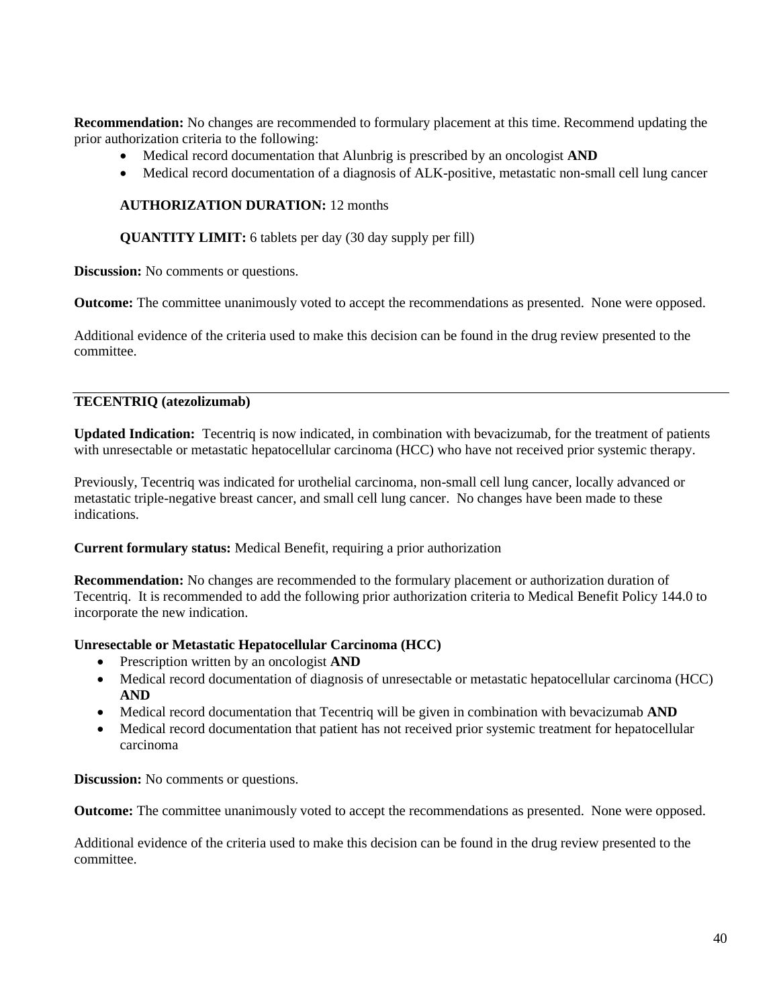**Recommendation:** No changes are recommended to formulary placement at this time. Recommend updating the prior authorization criteria to the following:

- Medical record documentation that Alunbrig is prescribed by an oncologist **AND**
- Medical record documentation of a diagnosis of ALK-positive, metastatic non-small cell lung cancer

### **AUTHORIZATION DURATION:** 12 months

**QUANTITY LIMIT:** 6 tablets per day (30 day supply per fill)

**Discussion:** No comments or questions.

**Outcome:** The committee unanimously voted to accept the recommendations as presented. None were opposed.

Additional evidence of the criteria used to make this decision can be found in the drug review presented to the committee.

### **TECENTRIQ (atezolizumab)**

**Updated Indication:** Tecentriq is now indicated, in combination with bevacizumab, for the treatment of patients with unresectable or metastatic hepatocellular carcinoma (HCC) who have not received prior systemic therapy.

Previously, Tecentriq was indicated for urothelial carcinoma, non-small cell lung cancer, locally advanced or metastatic triple-negative breast cancer, and small cell lung cancer. No changes have been made to these indications.

**Current formulary status:** Medical Benefit, requiring a prior authorization

**Recommendation:** No changes are recommended to the formulary placement or authorization duration of Tecentriq. It is recommended to add the following prior authorization criteria to Medical Benefit Policy 144.0 to incorporate the new indication.

#### **Unresectable or Metastatic Hepatocellular Carcinoma (HCC)**

- Prescription written by an oncologist **AND**
- Medical record documentation of diagnosis of unresectable or metastatic hepatocellular carcinoma (HCC) **AND**
- Medical record documentation that Tecentriq will be given in combination with bevacizumab **AND**
- Medical record documentation that patient has not received prior systemic treatment for hepatocellular carcinoma

**Discussion:** No comments or questions.

**Outcome:** The committee unanimously voted to accept the recommendations as presented. None were opposed.

Additional evidence of the criteria used to make this decision can be found in the drug review presented to the committee.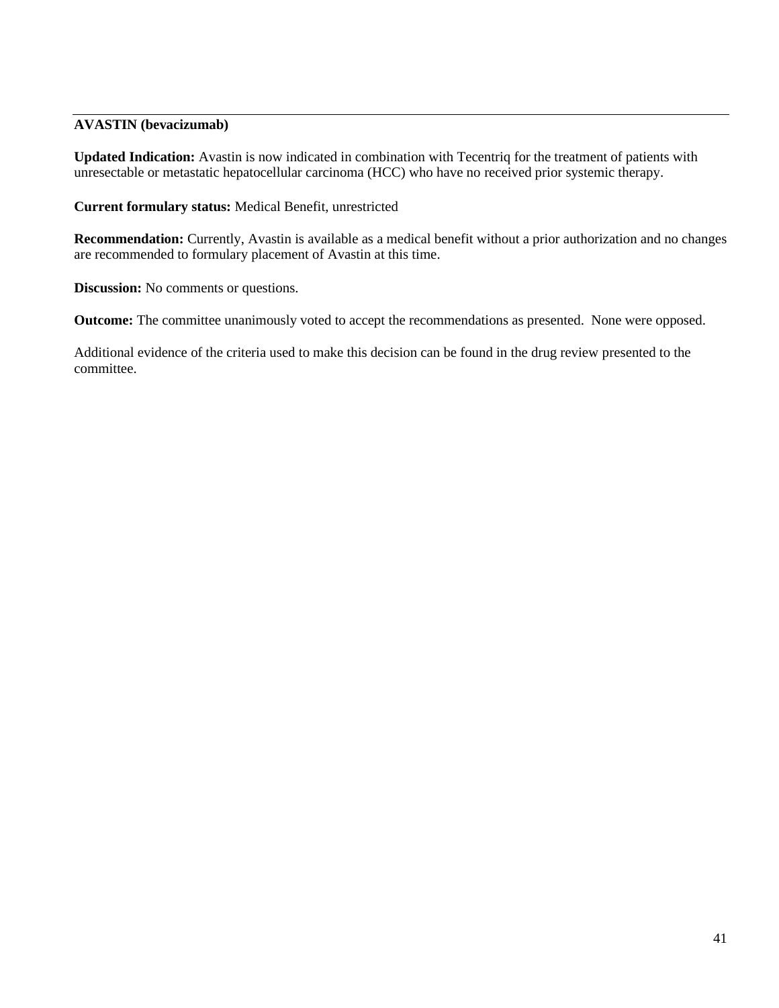### **AVASTIN (bevacizumab)**

**Updated Indication:** Avastin is now indicated in combination with Tecentriq for the treatment of patients with unresectable or metastatic hepatocellular carcinoma (HCC) who have no received prior systemic therapy.

**Current formulary status:** Medical Benefit, unrestricted

**Recommendation:** Currently, Avastin is available as a medical benefit without a prior authorization and no changes are recommended to formulary placement of Avastin at this time.

**Discussion:** No comments or questions.

**Outcome:** The committee unanimously voted to accept the recommendations as presented. None were opposed.

Additional evidence of the criteria used to make this decision can be found in the drug review presented to the committee.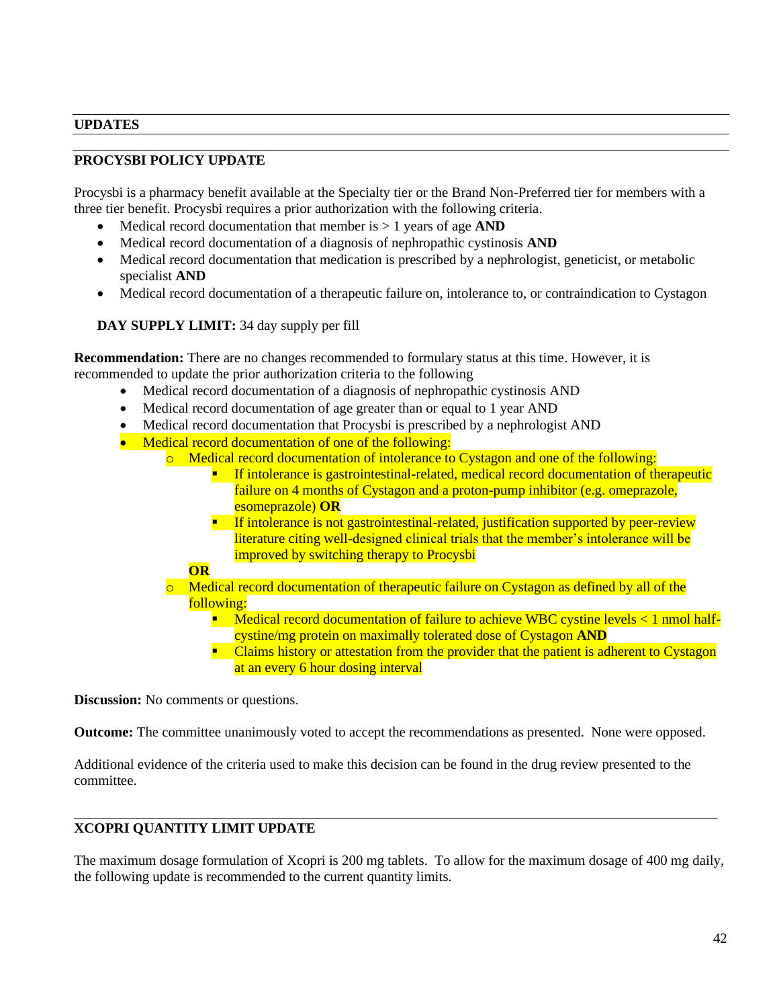#### **UPDATES**

### **PROCYSBI POLICY UPDATE**

Procysbi is a pharmacy benefit available at the Specialty tier or the Brand Non-Preferred tier for members with a three tier benefit. Procysbi requires a prior authorization with the following criteria.

- Medical record documentation that member is > 1 years of age **AND**
- Medical record documentation of a diagnosis of nephropathic cystinosis **AND**
- Medical record documentation that medication is prescribed by a nephrologist, geneticist, or metabolic specialist **AND**
- Medical record documentation of a therapeutic failure on, intolerance to, or contraindication to Cystagon

**DAY SUPPLY LIMIT:** 34 day supply per fill

**Recommendation:** There are no changes recommended to formulary status at this time. However, it is recommended to update the prior authorization criteria to the following

- Medical record documentation of a diagnosis of nephropathic cystinosis AND
- Medical record documentation of age greater than or equal to 1 year AND
- Medical record documentation that Procysbi is prescribed by a nephrologist AND
- Medical record documentation of one of the following:
	- o Medical record documentation of intolerance to Cystagon and one of the following:
		- **EXECUTE:** If intolerance is gastrointestinal-related, medical record documentation of therapeutic failure on 4 months of Cystagon and a proton-pump inhibitor (e.g. omeprazole, esomeprazole) **OR**
		- If intolerance is not gastrointestinal-related, justification supported by peer-review literature citing well-designed clinical trials that the member's intolerance will be improved by switching therapy to Procysbi

#### **OR**

- $\circ$  Medical record documentation of therapeutic failure on Cystagon as defined by all of the following:
	- Medical record documentation of failure to achieve WBC cystine levels < 1 nmol halfcystine/mg protein on maximally tolerated dose of Cystagon **AND**
	- Claims history or attestation from the provider that the patient is adherent to Cystagon at an every 6 hour dosing interval

**Discussion:** No comments or questions.

**Outcome:** The committee unanimously voted to accept the recommendations as presented. None were opposed.

Additional evidence of the criteria used to make this decision can be found in the drug review presented to the committee.

# **XCOPRI QUANTITY LIMIT UPDATE**

The maximum dosage formulation of Xcopri is 200 mg tablets. To allow for the maximum dosage of 400 mg daily, the following update is recommended to the current quantity limits.

\_\_\_\_\_\_\_\_\_\_\_\_\_\_\_\_\_\_\_\_\_\_\_\_\_\_\_\_\_\_\_\_\_\_\_\_\_\_\_\_\_\_\_\_\_\_\_\_\_\_\_\_\_\_\_\_\_\_\_\_\_\_\_\_\_\_\_\_\_\_\_\_\_\_\_\_\_\_\_\_\_\_\_\_\_\_\_\_\_\_\_\_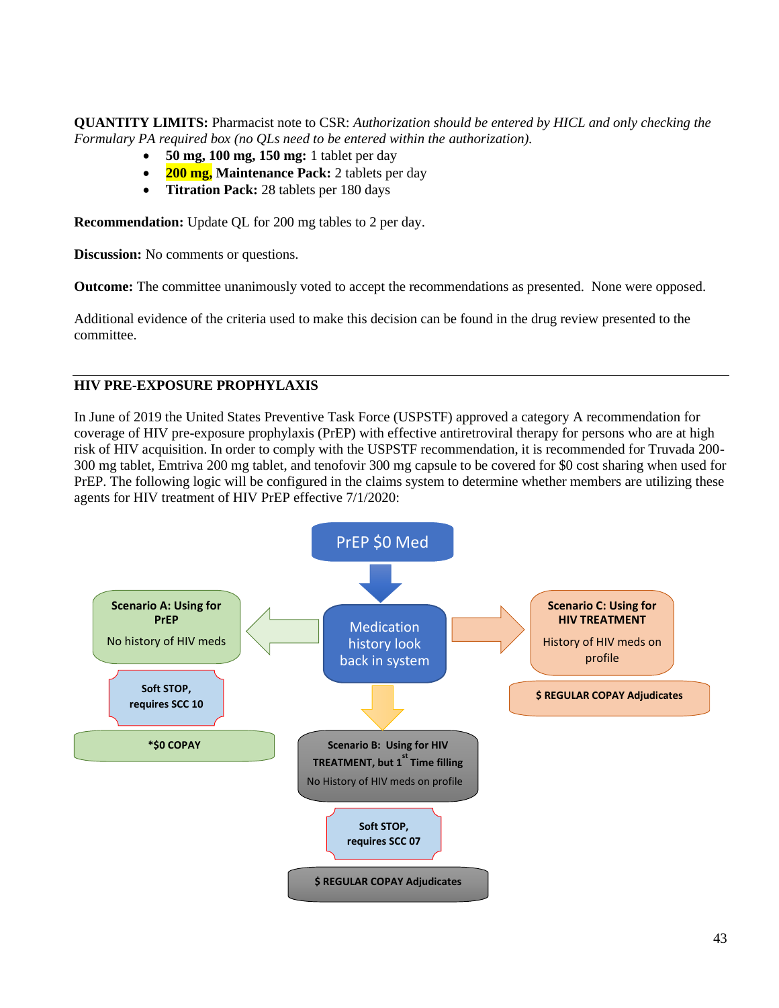**QUANTITY LIMITS:** Pharmacist note to CSR: *Authorization should be entered by HICL and only checking the Formulary PA required box (no QLs need to be entered within the authorization).*

- **50 mg, 100 mg, 150 mg:** 1 tablet per day
- **200 mg, Maintenance Pack:** 2 tablets per day
- **Titration Pack:** 28 tablets per 180 days

**Recommendation:** Update QL for 200 mg tables to 2 per day.

**Discussion:** No comments or questions.

**Outcome:** The committee unanimously voted to accept the recommendations as presented. None were opposed.

Additional evidence of the criteria used to make this decision can be found in the drug review presented to the committee.

### **HIV PRE-EXPOSURE PROPHYLAXIS**

In June of 2019 the United States Preventive Task Force (USPSTF) approved a category A recommendation for coverage of HIV pre-exposure prophylaxis (PrEP) with effective antiretroviral therapy for persons who are at high risk of HIV acquisition. In order to comply with the USPSTF recommendation, it is recommended for Truvada 200- 300 mg tablet, Emtriva 200 mg tablet, and tenofovir 300 mg capsule to be covered for \$0 cost sharing when used for PrEP. The following logic will be configured in the claims system to determine whether members are utilizing these agents for HIV treatment of HIV PrEP effective 7/1/2020:

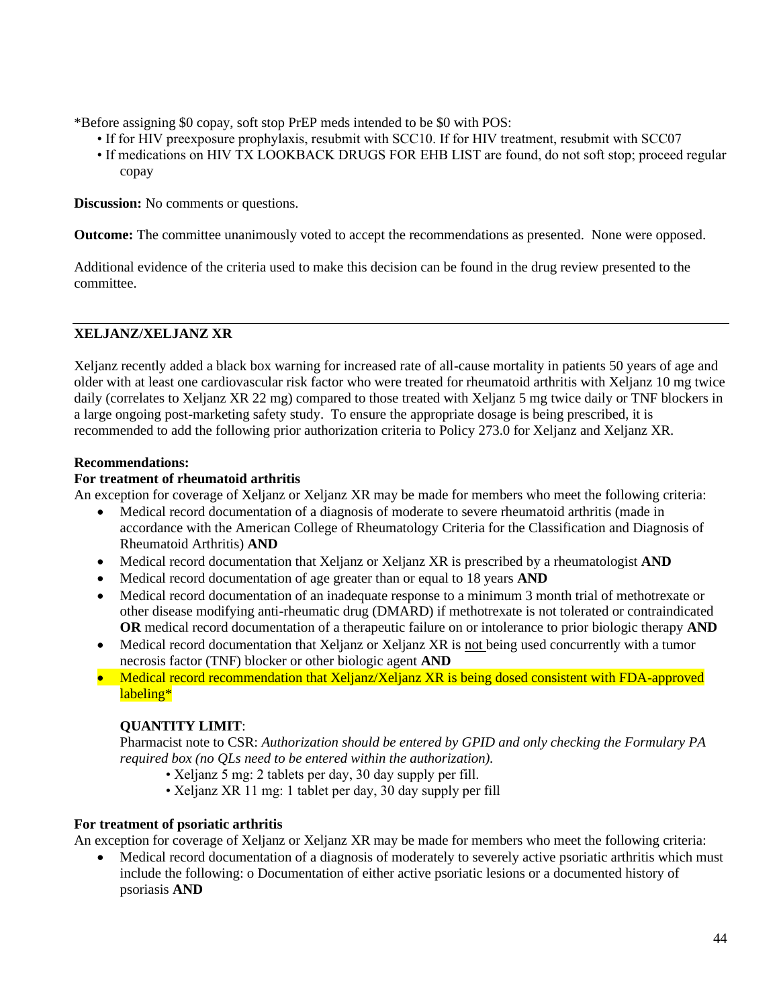\*Before assigning \$0 copay, soft stop PrEP meds intended to be \$0 with POS:

- If for HIV preexposure prophylaxis, resubmit with SCC10. If for HIV treatment, resubmit with SCC07
- If medications on HIV TX LOOKBACK DRUGS FOR EHB LIST are found, do not soft stop; proceed regular copay

**Discussion:** No comments or questions.

**Outcome:** The committee unanimously voted to accept the recommendations as presented. None were opposed.

Additional evidence of the criteria used to make this decision can be found in the drug review presented to the committee.

### **XELJANZ/XELJANZ XR**

Xeljanz recently added a black box warning for increased rate of all-cause mortality in patients 50 years of age and older with at least one cardiovascular risk factor who were treated for rheumatoid arthritis with Xeljanz 10 mg twice daily (correlates to Xeljanz XR 22 mg) compared to those treated with Xeljanz 5 mg twice daily or TNF blockers in a large ongoing post-marketing safety study. To ensure the appropriate dosage is being prescribed, it is recommended to add the following prior authorization criteria to Policy 273.0 for Xeljanz and Xeljanz XR.

### **Recommendations:**

### **For treatment of rheumatoid arthritis**

An exception for coverage of Xeljanz or Xeljanz XR may be made for members who meet the following criteria:

- Medical record documentation of a diagnosis of moderate to severe rheumatoid arthritis (made in accordance with the American College of Rheumatology Criteria for the Classification and Diagnosis of Rheumatoid Arthritis) **AND**
- Medical record documentation that Xeljanz or Xeljanz XR is prescribed by a rheumatologist **AND**
- Medical record documentation of age greater than or equal to 18 years **AND**
- Medical record documentation of an inadequate response to a minimum 3 month trial of methotrexate or other disease modifying anti-rheumatic drug (DMARD) if methotrexate is not tolerated or contraindicated **OR** medical record documentation of a therapeutic failure on or intolerance to prior biologic therapy **AND**
- Medical record documentation that Xeljanz or Xeljanz XR is not being used concurrently with a tumor necrosis factor (TNF) blocker or other biologic agent **AND**
- Medical record recommendation that Xeljanz/Xeljanz XR is being dosed consistent with FDA-approved labeling\*

# **QUANTITY LIMIT**:

Pharmacist note to CSR: *Authorization should be entered by GPID and only checking the Formulary PA required box (no QLs need to be entered within the authorization).* 

- Xeljanz 5 mg: 2 tablets per day, 30 day supply per fill.
- Xeljanz XR 11 mg: 1 tablet per day, 30 day supply per fill

#### **For treatment of psoriatic arthritis**

An exception for coverage of Xeljanz or Xeljanz XR may be made for members who meet the following criteria:

• Medical record documentation of a diagnosis of moderately to severely active psoriatic arthritis which must include the following: o Documentation of either active psoriatic lesions or a documented history of psoriasis **AND**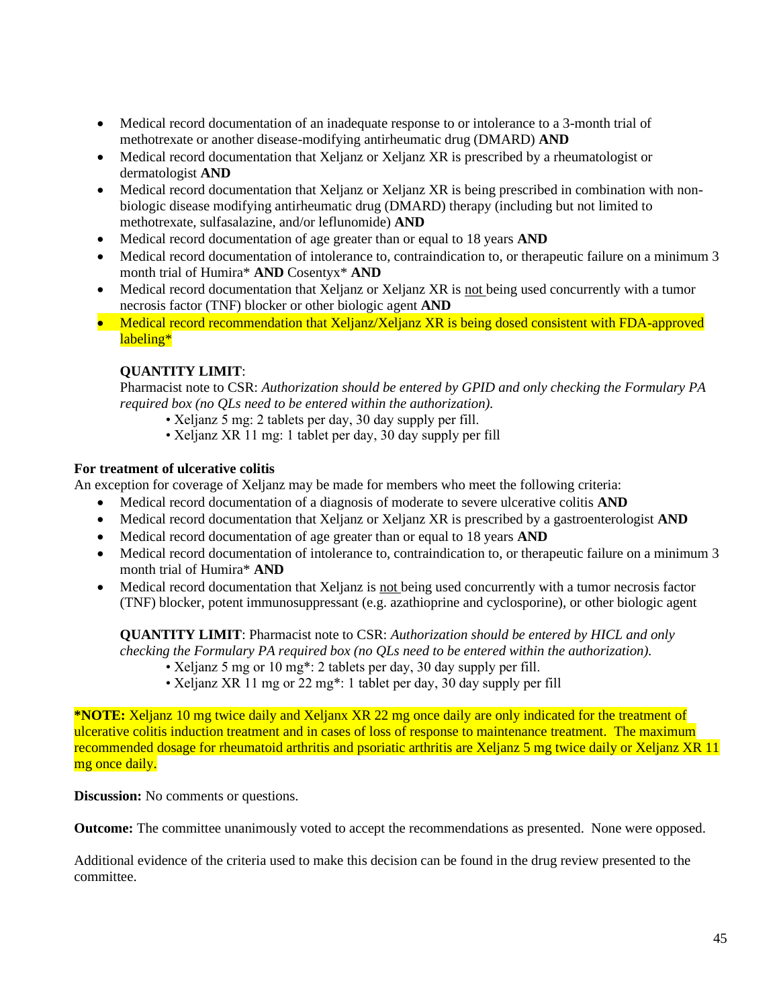- Medical record documentation of an inadequate response to or intolerance to a 3-month trial of methotrexate or another disease-modifying antirheumatic drug (DMARD) **AND**
- Medical record documentation that Xeljanz or Xeljanz XR is prescribed by a rheumatologist or dermatologist **AND**
- Medical record documentation that Xeljanz or Xeljanz XR is being prescribed in combination with nonbiologic disease modifying antirheumatic drug (DMARD) therapy (including but not limited to methotrexate, sulfasalazine, and/or leflunomide) **AND**
- Medical record documentation of age greater than or equal to 18 years **AND**
- Medical record documentation of intolerance to, contraindication to, or therapeutic failure on a minimum 3 month trial of Humira\* **AND** Cosentyx\* **AND**
- Medical record documentation that Xeljanz or Xeljanz XR is not being used concurrently with a tumor necrosis factor (TNF) blocker or other biologic agent **AND**
- Medical record recommendation that Xeljanz/Xeljanz XR is being dosed consistent with FDA-approved labeling\*

# **QUANTITY LIMIT**:

Pharmacist note to CSR: *Authorization should be entered by GPID and only checking the Formulary PA required box (no QLs need to be entered within the authorization).* 

- Xeljanz 5 mg: 2 tablets per day, 30 day supply per fill.
- Xeljanz XR 11 mg: 1 tablet per day, 30 day supply per fill

### **For treatment of ulcerative colitis**

An exception for coverage of Xeljanz may be made for members who meet the following criteria:

- Medical record documentation of a diagnosis of moderate to severe ulcerative colitis **AND**
- Medical record documentation that Xeljanz or Xeljanz XR is prescribed by a gastroenterologist **AND**
- Medical record documentation of age greater than or equal to 18 years **AND**
- Medical record documentation of intolerance to, contraindication to, or therapeutic failure on a minimum 3 month trial of Humira\* **AND**
- Medical record documentation that Xeljanz is not being used concurrently with a tumor necrosis factor (TNF) blocker, potent immunosuppressant (e.g. azathioprine and cyclosporine), or other biologic agent

**QUANTITY LIMIT**: Pharmacist note to CSR: *Authorization should be entered by HICL and only checking the Formulary PA required box (no QLs need to be entered within the authorization).* 

- Xeljanz 5 mg or 10 mg\*: 2 tablets per day, 30 day supply per fill.
- Xeljanz XR 11 mg or 22 mg\*: 1 tablet per day, 30 day supply per fill

**\*NOTE:** Xeljanz 10 mg twice daily and Xeljanx XR 22 mg once daily are only indicated for the treatment of ulcerative colitis induction treatment and in cases of loss of response to maintenance treatment. The maximum recommended dosage for rheumatoid arthritis and psoriatic arthritis are Xeljanz 5 mg twice daily or Xeljanz XR 11 mg once daily.

**Discussion:** No comments or questions.

**Outcome:** The committee unanimously voted to accept the recommendations as presented. None were opposed.

Additional evidence of the criteria used to make this decision can be found in the drug review presented to the committee.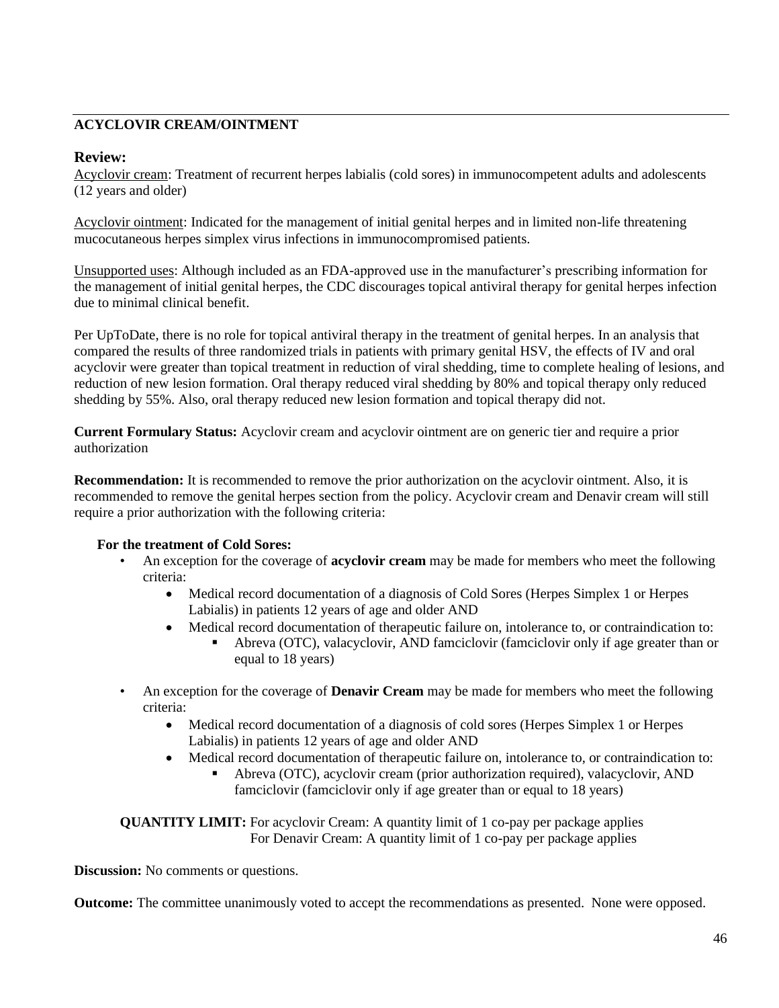# **ACYCLOVIR CREAM/OINTMENT**

# **Review:**

Acyclovir cream: Treatment of recurrent herpes labialis (cold sores) in immunocompetent adults and adolescents (12 years and older)

Acyclovir ointment: Indicated for the management of initial genital herpes and in limited non-life threatening mucocutaneous herpes simplex virus infections in immunocompromised patients.

Unsupported uses: Although included as an FDA-approved use in the manufacturer's prescribing information for the management of initial genital herpes, the CDC discourages topical antiviral therapy for genital herpes infection due to minimal clinical benefit.

Per UpToDate, there is no role for topical antiviral therapy in the treatment of genital herpes. In an analysis that compared the results of three randomized trials in patients with primary genital HSV, the effects of IV and oral acyclovir were greater than topical treatment in reduction of viral shedding, time to complete healing of lesions, and reduction of new lesion formation. Oral therapy reduced viral shedding by 80% and topical therapy only reduced shedding by 55%. Also, oral therapy reduced new lesion formation and topical therapy did not.

**Current Formulary Status:** Acyclovir cream and acyclovir ointment are on generic tier and require a prior authorization

**Recommendation:** It is recommended to remove the prior authorization on the acyclovir ointment. Also, it is recommended to remove the genital herpes section from the policy. Acyclovir cream and Denavir cream will still require a prior authorization with the following criteria:

# **For the treatment of Cold Sores:**

- An exception for the coverage of **acyclovir cream** may be made for members who meet the following criteria:
	- Medical record documentation of a diagnosis of Cold Sores (Herpes Simplex 1 or Herpes Labialis) in patients 12 years of age and older AND
	- Medical record documentation of therapeutic failure on, intolerance to, or contraindication to:
		- Abreva (OTC), valacyclovir, AND famciclovir (famciclovir only if age greater than or equal to 18 years)
- An exception for the coverage of **Denavir Cream** may be made for members who meet the following criteria:
	- Medical record documentation of a diagnosis of cold sores (Herpes Simplex 1 or Herpes Labialis) in patients 12 years of age and older AND
	- Medical record documentation of therapeutic failure on, intolerance to, or contraindication to:
		- Abreva (OTC), acyclovir cream (prior authorization required), valacyclovir, AND famciclovir (famciclovir only if age greater than or equal to 18 years)

**QUANTITY LIMIT:** For acyclovir Cream: A quantity limit of 1 co-pay per package applies For Denavir Cream: A quantity limit of 1 co-pay per package applies

**Discussion:** No comments or questions.

**Outcome:** The committee unanimously voted to accept the recommendations as presented. None were opposed.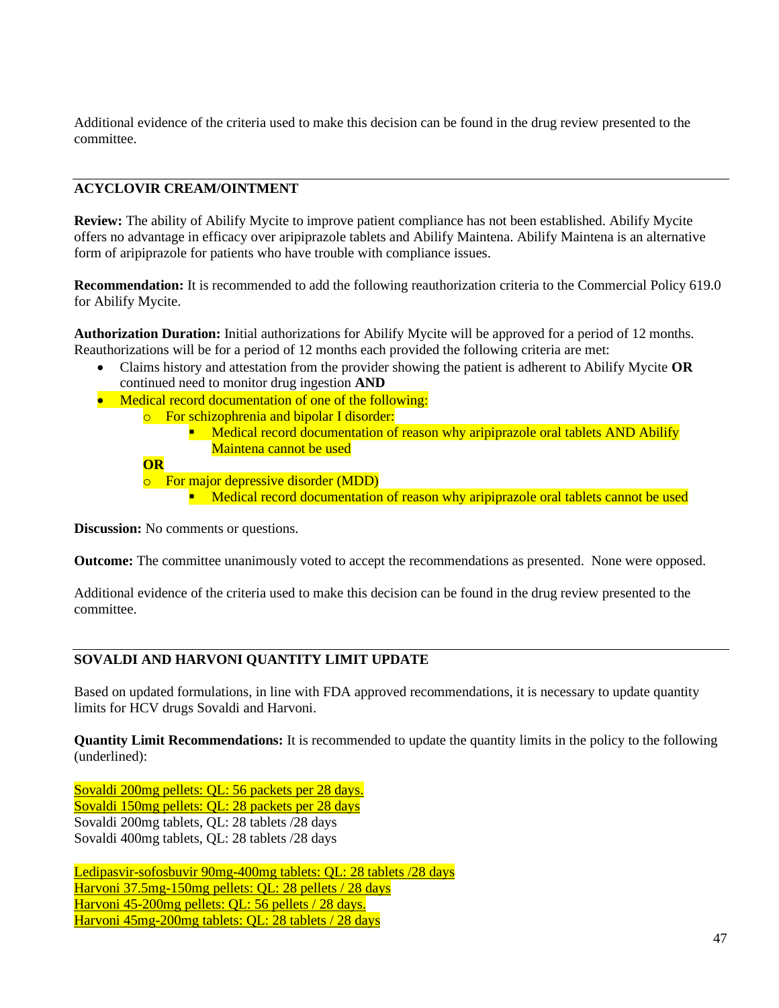Additional evidence of the criteria used to make this decision can be found in the drug review presented to the committee.

# **ACYCLOVIR CREAM/OINTMENT**

**Review:** The ability of Abilify Mycite to improve patient compliance has not been established. Abilify Mycite offers no advantage in efficacy over aripiprazole tablets and Abilify Maintena. Abilify Maintena is an alternative form of aripiprazole for patients who have trouble with compliance issues.

**Recommendation:** It is recommended to add the following reauthorization criteria to the Commercial Policy 619.0 for Abilify Mycite.

**Authorization Duration:** Initial authorizations for Abilify Mycite will be approved for a period of 12 months. Reauthorizations will be for a period of 12 months each provided the following criteria are met:

- Claims history and attestation from the provider showing the patient is adherent to Abilify Mycite **OR** continued need to monitor drug ingestion **AND**
- Medical record documentation of one of the following:
	- o For schizophrenia and bipolar I disorder:
		- **E** Medical record documentation of reason why aripiprazole oral tablets AND Abilify Maintena cannot be used

**OR**

o For major depressive disorder (MDD) **EXECT** Medical record documentation of reason why aripiprazole oral tablets cannot be used

**Discussion:** No comments or questions.

**Outcome:** The committee unanimously voted to accept the recommendations as presented. None were opposed.

Additional evidence of the criteria used to make this decision can be found in the drug review presented to the committee.

# **SOVALDI AND HARVONI QUANTITY LIMIT UPDATE**

Based on updated formulations, in line with FDA approved recommendations, it is necessary to update quantity limits for HCV drugs Sovaldi and Harvoni.

**Quantity Limit Recommendations:** It is recommended to update the quantity limits in the policy to the following (underlined):

Sovaldi 200mg pellets: QL: 56 packets per 28 days. Sovaldi 150mg pellets: QL: 28 packets per 28 days Sovaldi 200mg tablets, QL: 28 tablets /28 days Sovaldi 400mg tablets, QL: 28 tablets /28 days

Ledipasvir-sofosbuvir 90mg-400mg tablets: QL: 28 tablets /28 days Harvoni 37.5mg-150mg pellets: QL: 28 pellets / 28 days Harvoni 45-200mg pellets: QL: 56 pellets / 28 days. Harvoni 45mg-200mg tablets: QL: 28 tablets / 28 days